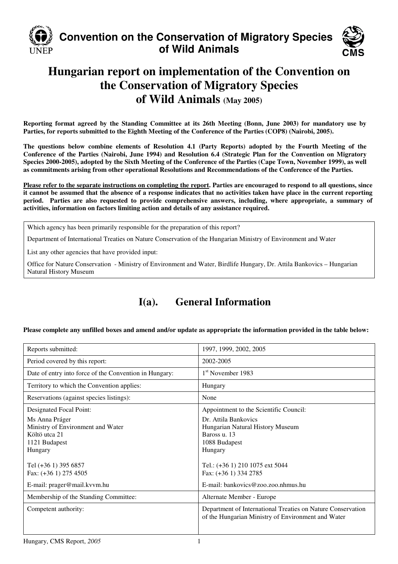

# **Convention on the Conservation of Migratory Species of Wild Animals**



# **Hungarian report on implementation of the Convention on the Conservation of Migratory Species of Wild Animals (May 2005)**

**Reporting format agreed by the Standing Committee at its 26th Meeting (Bonn, June 2003) for mandatory use by Parties, for reports submitted to the Eighth Meeting of the Conference of the Parties (COP8) (Nairobi, 2005).** 

**The questions below combine elements of Resolution 4.1 (Party Reports) adopted by the Fourth Meeting of the Conference of the Parties (Nairobi, June 1994) and Resolution 6.4 (Strategic Plan for the Convention on Migratory Species 2000-2005), adopted by the Sixth Meeting of the Conference of the Parties (Cape Town, November 1999), as well as commitments arising from other operational Resolutions and Recommendations of the Conference of the Parties.** 

**Please refer to the separate instructions on completing the report. Parties are encouraged to respond to all questions, since it cannot be assumed that the absence of a response indicates that no activities taken have place in the current reporting period. Parties are also requested to provide comprehensive answers, including, where appropriate, a summary of activities, information on factors limiting action and details of any assistance required.** 

Which agency has been primarily responsible for the preparation of this report?

Department of International Treaties on Nature Conservation of the Hungarian Ministry of Environment and Water

List any other agencies that have provided input:

Office for Nature Conservation - Ministry of Environment and Water, Birdlife Hungary, Dr. Attila Bankovics – Hungarian Natural History Museum

# **I(a). General Information**

**Please complete any unfilled boxes and amend and/or update as appropriate the information provided in the table below:** 

| Reports submitted:                                                                               | 1997, 1999, 2002, 2005                                                                                            |
|--------------------------------------------------------------------------------------------------|-------------------------------------------------------------------------------------------------------------------|
| Period covered by this report:                                                                   | 2002-2005                                                                                                         |
| Date of entry into force of the Convention in Hungary:                                           | 1 <sup>st</sup> November 1983                                                                                     |
| Territory to which the Convention applies:                                                       | Hungary                                                                                                           |
| Reservations (against species listings):                                                         | None                                                                                                              |
| Designated Focal Point:                                                                          | Appointment to the Scientific Council:                                                                            |
| Ms Anna Práger<br>Ministry of Environment and Water<br>Költö utca 21<br>1121 Budapest<br>Hungary | Dr. Attila Bankovics<br>Hungarian Natural History Museum<br>Baross u. 13<br>1088 Budapest<br>Hungary              |
| Tel (+36 1) 395 6857<br>Fax: (+36 1) 275 4505                                                    | Tel.: (+36 1) 210 1075 ext 5044<br>Fax: (+36 1) 334 2785                                                          |
| E-mail: prager@mail.kvvm.hu                                                                      | E-mail: bankovics@zoo.zoo.nhmus.hu                                                                                |
| Membership of the Standing Committee:                                                            | Alternate Member - Europe                                                                                         |
| Competent authority:                                                                             | Department of International Treaties on Nature Conservation<br>of the Hungarian Ministry of Environment and Water |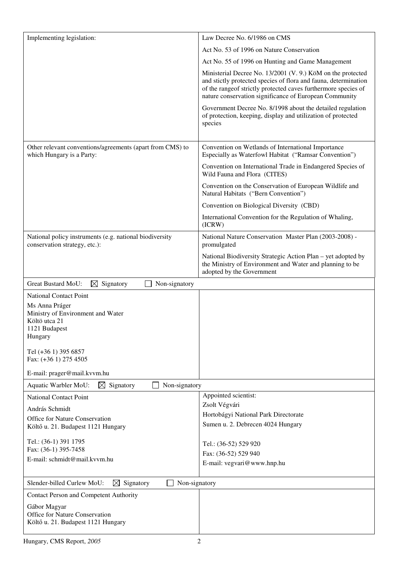| Implementing legislation:                                                                | Law Decree No. 6/1986 on CMS                                                                                                                                                                                                                               |
|------------------------------------------------------------------------------------------|------------------------------------------------------------------------------------------------------------------------------------------------------------------------------------------------------------------------------------------------------------|
|                                                                                          | Act No. 53 of 1996 on Nature Conservation                                                                                                                                                                                                                  |
|                                                                                          | Act No. 55 of 1996 on Hunting and Game Management                                                                                                                                                                                                          |
|                                                                                          | Ministerial Decree No. 13/2001 (V. 9.) KöM on the protected<br>and stictly protected species of flora and fauna, determination<br>of the rangeof strictly protected caves furthermore species of<br>nature conservation significance of European Community |
|                                                                                          | Government Decree No. 8/1998 about the detailed regulation<br>of protection, keeping, display and utilization of protected<br>species                                                                                                                      |
| Other relevant conventions/agreements (apart from CMS) to<br>which Hungary is a Party:   | Convention on Wetlands of International Importance<br>Especially as Waterfowl Habitat ("Ramsar Convention")                                                                                                                                                |
|                                                                                          | Convention on International Trade in Endangered Species of<br>Wild Fauna and Flora (CITES)                                                                                                                                                                 |
|                                                                                          | Convention on the Conservation of European Wildlife and<br>Natural Habitats ("Bern Convention")                                                                                                                                                            |
|                                                                                          | Convention on Biological Diversity (CBD)                                                                                                                                                                                                                   |
|                                                                                          | International Convention for the Regulation of Whaling,<br>(ICRW)                                                                                                                                                                                          |
| National policy instruments (e.g. national biodiversity<br>conservation strategy, etc.): | National Nature Conservation Master Plan (2003-2008) -<br>promulgated                                                                                                                                                                                      |
|                                                                                          | National Biodiversity Strategic Action Plan – yet adopted by<br>the Ministry of Environment and Water and planning to be<br>adopted by the Government                                                                                                      |
| <b>Great Bustard MoU:</b><br>⊠<br>Signatory<br>Non-signatory                             |                                                                                                                                                                                                                                                            |
| <b>National Contact Point</b>                                                            |                                                                                                                                                                                                                                                            |
| Ms Anna Práger<br>Ministry of Environment and Water                                      |                                                                                                                                                                                                                                                            |
| Költö utca 21                                                                            |                                                                                                                                                                                                                                                            |
| 1121 Budapest<br>Hungary                                                                 |                                                                                                                                                                                                                                                            |
| Tel (+36 1) 395 6857<br>Fax: (+36 1) 275 4505                                            |                                                                                                                                                                                                                                                            |
|                                                                                          |                                                                                                                                                                                                                                                            |
| E-mail: prager@mail.kvvm.hu                                                              |                                                                                                                                                                                                                                                            |
| $\boxtimes$ Signatory<br>Non-signatory<br>Aquatic Warbler MoU:                           | Appointed scientist:                                                                                                                                                                                                                                       |
| <b>National Contact Point</b>                                                            | Zsolt Végvári                                                                                                                                                                                                                                              |
| András Schmidt                                                                           | Hortobágyi National Park Directorate                                                                                                                                                                                                                       |
| Office for Nature Conservation<br>Költő u. 21. Budapest 1121 Hungary                     | Sumen u. 2. Debrecen 4024 Hungary                                                                                                                                                                                                                          |
| Tel.: (36-1) 391 1795                                                                    | Tel.: (36-52) 529 920                                                                                                                                                                                                                                      |
| Fax: (36-1) 395-7458<br>E-mail: schmidt@mail.kvvm.hu                                     | Fax: (36-52) 529 940                                                                                                                                                                                                                                       |
|                                                                                          | E-mail: vegvari@www.hnp.hu                                                                                                                                                                                                                                 |
| Slender-billed Curlew MoU:<br>Signatory<br>⊠<br>Non-signatory                            |                                                                                                                                                                                                                                                            |
| <b>Contact Person and Competent Authority</b>                                            |                                                                                                                                                                                                                                                            |
| Gábor Magyar                                                                             |                                                                                                                                                                                                                                                            |
| Office for Nature Conservation<br>Költő u. 21. Budapest 1121 Hungary                     |                                                                                                                                                                                                                                                            |
|                                                                                          |                                                                                                                                                                                                                                                            |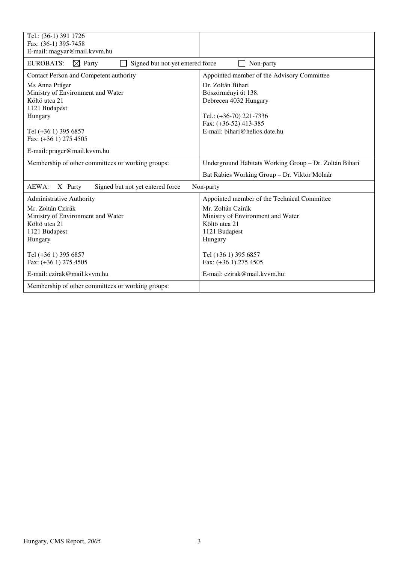| Tel.: (36-1) 391 1726                                                     |                                                        |
|---------------------------------------------------------------------------|--------------------------------------------------------|
| Fax: (36-1) 395-7458                                                      |                                                        |
| E-mail: magyar@mail.kvvm.hu                                               |                                                        |
| <b>EUROBATS:</b><br>$\boxtimes$ Party<br>Signed but not yet entered force | Non-party                                              |
| Contact Person and Competent authority                                    | Appointed member of the Advisory Committee             |
| Ms Anna Práger                                                            | Dr. Zoltán Bihari                                      |
| Ministry of Environment and Water                                         | Böszörményi út 138.                                    |
| Költö utca 21                                                             | Debrecen 4032 Hungary                                  |
| 1121 Budapest                                                             |                                                        |
| Hungary                                                                   | Tel.: (+36-70) 221-7336<br>Fax: (+36-52) 413-385       |
| Tel (+36 1) 395 6857                                                      | E-mail: bihari@helios.date.hu                          |
| Fax: (+36 1) 275 4505                                                     |                                                        |
|                                                                           |                                                        |
| E-mail: prager@mail.kvvm.hu                                               |                                                        |
| Membership of other committees or working groups:                         | Underground Habitats Working Group - Dr. Zoltán Bihari |
|                                                                           | Bat Rabies Working Group - Dr. Viktor Molnár           |
| AEWA:<br>Signed but not yet entered force<br>X Party                      | Non-party                                              |
| <b>Administrative Authority</b>                                           | Appointed member of the Technical Committee            |
| Mr. Zoltán Czirák                                                         | Mr. Zoltán Czirák                                      |
| Ministry of Environment and Water                                         | Ministry of Environment and Water                      |
| Költö utca 21                                                             | Költö utca 21                                          |
| 1121 Budapest                                                             | 1121 Budapest                                          |
| Hungary                                                                   | Hungary                                                |
| Tel (+36 1) 395 6857                                                      | Tel (+36 1) 395 6857                                   |
| Fax: (+36 1) 275 4505                                                     | Fax: (+36 1) 275 4505                                  |
| E-mail: czirak@mail.kvvm.hu                                               | E-mail: czirak@mail.kvvm.hu:                           |
| Membership of other committees or working groups:                         |                                                        |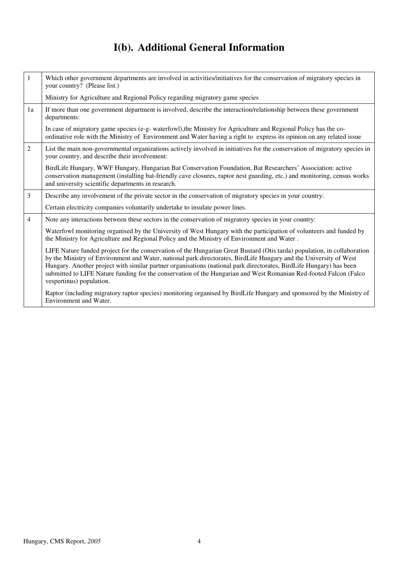# **I(b). Additional General Information**

| $\mathbf{1}$   | Which other government departments are involved in activities/initiatives for the conservation of migratory species in<br>your country? (Please list.)                                                                                                                                                                                                                                                                                                                                    |
|----------------|-------------------------------------------------------------------------------------------------------------------------------------------------------------------------------------------------------------------------------------------------------------------------------------------------------------------------------------------------------------------------------------------------------------------------------------------------------------------------------------------|
|                | Ministry for Agriculture and Regional Policy regarding migratory game species                                                                                                                                                                                                                                                                                                                                                                                                             |
| 1a             | If more than one government department is involved, describe the interaction/relationship between these government<br>departments:                                                                                                                                                                                                                                                                                                                                                        |
|                | In case of migratory game species (e-g- waterfowl), the Ministry for Agriculture and Regional Policy has the co-<br>ordinative role with the Ministry of Environment and Water having a right to express its opinion on any related issue                                                                                                                                                                                                                                                 |
| 2              | List the main non-governmental organizations actively involved in initiatives for the conservation of migratory species in<br>your country, and describe their involvement:                                                                                                                                                                                                                                                                                                               |
|                | BirdLife Hungary, WWF Hungary, Hungarian Bat Conservation Foundation, Bat Researchers' Association: active<br>conservation management (installing bat-friendly cave closures, raptor nest guarding, etc.) and monitoring, census works<br>and university scientific departments in research.                                                                                                                                                                                              |
| 3              | Describe any involvement of the private sector in the conservation of migratory species in your country:                                                                                                                                                                                                                                                                                                                                                                                  |
|                | Certain electricity companies voluntarily undertake to insulate power lines.                                                                                                                                                                                                                                                                                                                                                                                                              |
| $\overline{4}$ | Note any interactions between these sectors in the conservation of migratory species in your country:                                                                                                                                                                                                                                                                                                                                                                                     |
|                | Waterfowl monitoring organised by the University of West Hungary with the participation of volunteers and funded by<br>the Ministry for Agriculture and Regional Policy and the Ministry of Environment and Water.                                                                                                                                                                                                                                                                        |
|                | LIFE Nature funded project for the conservation of the Hungarian Great Bustard (Otis tarda) population, in collaboration<br>by the Ministry of Environment and Water, national park directorates, BirdLife Hungary and the University of West<br>Hungary. Another project with similar partner organisations (national park directorates, BirdLife Hungary) has been<br>submitted to LIFE Nature funding for the conservation of the Hungarian and West Romanian Red-footed Falcon (Falco |
|                | vespertinus) population.                                                                                                                                                                                                                                                                                                                                                                                                                                                                  |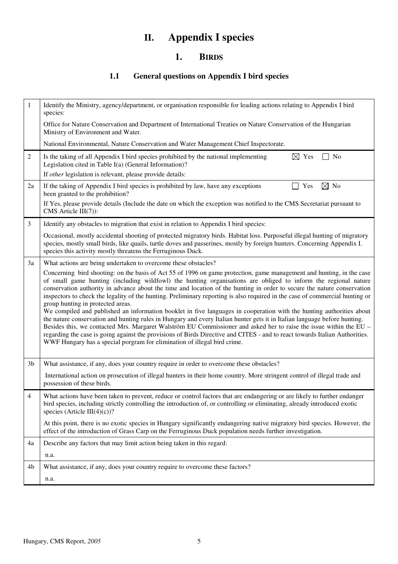# **II. Appendix I species**

#### **1. BIRDS**

## **1.1 General questions on Appendix I bird species**

| 1              | Identify the Ministry, agency/department, or organisation responsible for leading actions relating to Appendix I bird<br>species:                                                                                                                                                                                                                                                                                                                                                                                                                                                                                                                                                                                                                                                                                                                                                                                                                                                                                                                                                                                             |
|----------------|-------------------------------------------------------------------------------------------------------------------------------------------------------------------------------------------------------------------------------------------------------------------------------------------------------------------------------------------------------------------------------------------------------------------------------------------------------------------------------------------------------------------------------------------------------------------------------------------------------------------------------------------------------------------------------------------------------------------------------------------------------------------------------------------------------------------------------------------------------------------------------------------------------------------------------------------------------------------------------------------------------------------------------------------------------------------------------------------------------------------------------|
|                | Office for Nature Conservation and Department of International Treaties on Nature Conservation of the Hungarian<br>Ministry of Environment and Water.                                                                                                                                                                                                                                                                                                                                                                                                                                                                                                                                                                                                                                                                                                                                                                                                                                                                                                                                                                         |
|                | National Environmental, Nature Conservation and Water Management Chief Inspectorate.                                                                                                                                                                                                                                                                                                                                                                                                                                                                                                                                                                                                                                                                                                                                                                                                                                                                                                                                                                                                                                          |
| $\overline{c}$ | $\boxtimes$ Yes<br>No<br>Is the taking of all Appendix I bird species prohibited by the national implementing<br>Legislation cited in Table I(a) (General Information)?<br>If other legislation is relevant, please provide details:                                                                                                                                                                                                                                                                                                                                                                                                                                                                                                                                                                                                                                                                                                                                                                                                                                                                                          |
| 2a             | $\boxtimes$ No<br>If the taking of Appendix I bird species is prohibited by law, have any exceptions<br>Yes<br>been granted to the prohibition?                                                                                                                                                                                                                                                                                                                                                                                                                                                                                                                                                                                                                                                                                                                                                                                                                                                                                                                                                                               |
|                | If Yes, please provide details (Include the date on which the exception was notified to the CMS Secretariat pursuant to<br>CMS Article III(7)):                                                                                                                                                                                                                                                                                                                                                                                                                                                                                                                                                                                                                                                                                                                                                                                                                                                                                                                                                                               |
| $\mathfrak{Z}$ | Identify any obstacles to migration that exist in relation to Appendix I bird species:                                                                                                                                                                                                                                                                                                                                                                                                                                                                                                                                                                                                                                                                                                                                                                                                                                                                                                                                                                                                                                        |
|                | Occasional, mostly accidental shooting of protected migratory birds. Habitat loss. Purposeful illegal hunting of migratory<br>species, mostly small birds, like quails, turtle doves and passerines, mostly by foreign hunters. Concerning Appendix I.<br>species this activity mostly threatens the Ferruginous Duck.                                                                                                                                                                                                                                                                                                                                                                                                                                                                                                                                                                                                                                                                                                                                                                                                        |
| 3a             | What actions are being undertaken to overcome these obstacles?                                                                                                                                                                                                                                                                                                                                                                                                                                                                                                                                                                                                                                                                                                                                                                                                                                                                                                                                                                                                                                                                |
|                | Concerning bird shooting: on the basis of Act 55 of 1996 on game protection, game management and hunting, in the case<br>of small game hunting (including wildfowl) the hunting organisations are obliged to inform the regional nature<br>conservation authority in advance about the time and location of the hunting in order to secure the nature conservation<br>inspectors to check the legality of the hunting. Preliminary reporting is also required in the case of commercial hunting or<br>group hunting in protected areas.<br>We compiled and published an information booklet in five languages in cooperation with the hunting authorities about<br>the nature conservation and hunting rules in Hungary and every Italian hunter gets it in Italian language before hunting.<br>Besides this, we contacted Mrs. Margaret Walström EU Commissioner and asked her to raise the issue within the EU -<br>regarding the case is going against the provisions of Birds Directive and CITES - and to react towards Italian Authorities.<br>WWF Hungary has a special porgram for elimination of illegal bird crime. |
| 3 <sub>b</sub> | What assistance, if any, does your country require in order to overcome these obstacles?                                                                                                                                                                                                                                                                                                                                                                                                                                                                                                                                                                                                                                                                                                                                                                                                                                                                                                                                                                                                                                      |
|                | International action on prosecution of illegal hunters in their home country. More stringent control of illegal trade and<br>possession of these birds.                                                                                                                                                                                                                                                                                                                                                                                                                                                                                                                                                                                                                                                                                                                                                                                                                                                                                                                                                                       |
| 4              | What actions have been taken to prevent, reduce or control factors that are endangering or are likely to further endanger<br>bird species, including strictly controlling the introduction of, or controlling or eliminating, already introduced exotic<br>species (Article III(4)(c))?                                                                                                                                                                                                                                                                                                                                                                                                                                                                                                                                                                                                                                                                                                                                                                                                                                       |
|                | At this point, there is no exotic species in Hungary significantly endangering native migratory bird species. However, the<br>effect of the introduction of Grass Carp on the Ferruginous Duck population needs further investigation.                                                                                                                                                                                                                                                                                                                                                                                                                                                                                                                                                                                                                                                                                                                                                                                                                                                                                        |
| 4a             | Describe any factors that may limit action being taken in this regard:                                                                                                                                                                                                                                                                                                                                                                                                                                                                                                                                                                                                                                                                                                                                                                                                                                                                                                                                                                                                                                                        |
|                | n.a.                                                                                                                                                                                                                                                                                                                                                                                                                                                                                                                                                                                                                                                                                                                                                                                                                                                                                                                                                                                                                                                                                                                          |
| 4b             | What assistance, if any, does your country require to overcome these factors?                                                                                                                                                                                                                                                                                                                                                                                                                                                                                                                                                                                                                                                                                                                                                                                                                                                                                                                                                                                                                                                 |
|                | n.a.                                                                                                                                                                                                                                                                                                                                                                                                                                                                                                                                                                                                                                                                                                                                                                                                                                                                                                                                                                                                                                                                                                                          |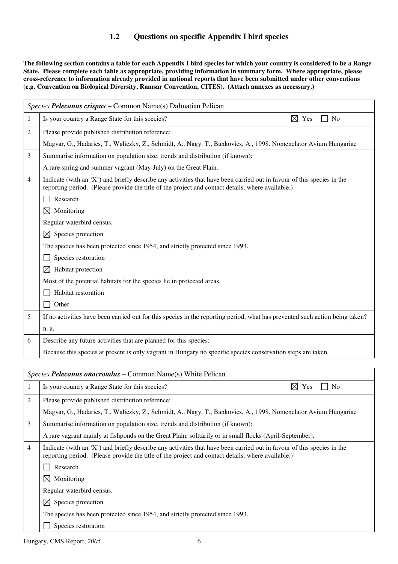#### **1.2 Questions on specific Appendix I bird species**

**The following section contains a table for each Appendix I bird species for which your country is considered to be a Range State. Please complete each table as appropriate, providing information in summary form. Where appropriate, please cross-reference to information already provided in national reports that have been submitted under other conventions (e.g. Convention on Biological Diversity, Ramsar Convention, CITES). (Attach annexes as necessary.)** 

|   | Species Pelecanus crispus – Common Name(s) Dalmatian Pelican                                                                                                                                                                |
|---|-----------------------------------------------------------------------------------------------------------------------------------------------------------------------------------------------------------------------------|
| 1 | Is your country a Range State for this species?<br>$\boxtimes$ Yes<br>No                                                                                                                                                    |
| 2 | Please provide published distribution reference:                                                                                                                                                                            |
|   | Magyar, G., Hadarics, T., Waliczky, Z., Schmidt, A., Nagy, T., Bankovics, A., 1998. Nomenclator Avium Hungariae                                                                                                             |
| 3 | Summarise information on population size, trends and distribution (if known):                                                                                                                                               |
|   | A rare spring and summer vagrant (May-July) on the Great Plain.                                                                                                                                                             |
| 4 | Indicate (with an 'X') and briefly describe any activities that have been carried out in favour of this species in the<br>reporting period. (Please provide the title of the project and contact details, where available.) |
|   | Research                                                                                                                                                                                                                    |
|   | Monitoring<br>$\boxtimes$                                                                                                                                                                                                   |
|   | Regular waterbird census.                                                                                                                                                                                                   |
|   | ⊠<br>Species protection                                                                                                                                                                                                     |
|   | The species has been protected since 1954, and strictly protected since 1993.                                                                                                                                               |
|   | Species restoration                                                                                                                                                                                                         |
|   | $\boxtimes$<br>Habitat protection                                                                                                                                                                                           |
|   | Most of the potential habitats for the species lie in protected areas.                                                                                                                                                      |
|   | Habitat restoration                                                                                                                                                                                                         |
|   | Other                                                                                                                                                                                                                       |
| 5 | If no activities have been carried out for this species in the reporting period, what has prevented such action being taken?                                                                                                |
|   | n. a.                                                                                                                                                                                                                       |
| 6 | Describe any future activities that are planned for this species:                                                                                                                                                           |
|   | Because this species at present is only vagrant in Hungary no specific species conservation steps are taken.                                                                                                                |

|                | Species Pelecanus onocrotalus – Common Name(s) White Pelican                                                                                                                                                                |  |  |
|----------------|-----------------------------------------------------------------------------------------------------------------------------------------------------------------------------------------------------------------------------|--|--|
|                | Is your country a Range State for this species?<br>$\bowtie$<br>No<br>Yes                                                                                                                                                   |  |  |
| 2              | Please provide published distribution reference:                                                                                                                                                                            |  |  |
|                | Magyar, G., Hadarics, T., Waliczky, Z., Schmidt, A., Nagy, T., Bankovics, A., 1998. Nomenclator Avium Hungariae                                                                                                             |  |  |
| 3              | Summarise information on population size, trends and distribution (if known):                                                                                                                                               |  |  |
|                | A rare vagrant mainly at fishponds on the Great Plain, solitarily or in small flocks (April-September).                                                                                                                     |  |  |
| $\overline{4}$ | Indicate (with an 'X') and briefly describe any activities that have been carried out in favour of this species in the<br>reporting period. (Please provide the title of the project and contact details, where available.) |  |  |
|                | Research                                                                                                                                                                                                                    |  |  |
|                | $\bowtie$<br>Monitoring                                                                                                                                                                                                     |  |  |
|                | Regular waterbird census.                                                                                                                                                                                                   |  |  |
|                | Species protection<br>$\boxtimes$                                                                                                                                                                                           |  |  |
|                | The species has been protected since 1954, and strictly protected since 1993.                                                                                                                                               |  |  |
|                | Species restoration                                                                                                                                                                                                         |  |  |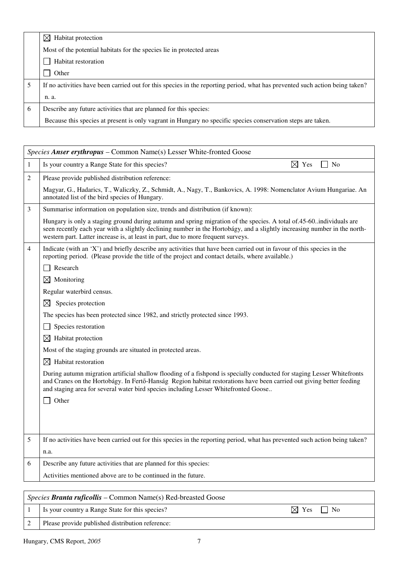|   | Habitat protection<br>$\bowtie$                                                                                              |
|---|------------------------------------------------------------------------------------------------------------------------------|
|   | Most of the potential habitats for the species lie in protected areas                                                        |
|   | Habitat restoration                                                                                                          |
|   | Other                                                                                                                        |
|   | If no activities have been carried out for this species in the reporting period, what has prevented such action being taken? |
|   | n. a.                                                                                                                        |
| 6 | Describe any future activities that are planned for this species:                                                            |
|   | Because this species at present is only vagrant in Hungary no specific species conservation steps are taken.                 |

|                | Species Anser erythropus - Common Name(s) Lesser White-fronted Goose                                                                                                                                                                                                                                                                    |
|----------------|-----------------------------------------------------------------------------------------------------------------------------------------------------------------------------------------------------------------------------------------------------------------------------------------------------------------------------------------|
| 1              | Is your country a Range State for this species?<br>$\boxtimes$ Yes<br>No                                                                                                                                                                                                                                                                |
| 2              | Please provide published distribution reference:                                                                                                                                                                                                                                                                                        |
|                | Magyar, G., Hadarics, T., Waliczky, Z., Schmidt, A., Nagy, T., Bankovics, A. 1998: Nomenclator Avium Hungariae. An<br>annotated list of the bird species of Hungary.                                                                                                                                                                    |
| 3              | Summarise information on population size, trends and distribution (if known):                                                                                                                                                                                                                                                           |
|                | Hungary is only a staging ground during autumn and spring migration of the species. A total of 45-60  individuals are<br>seen recently each year with a slightly declining number in the Hortobágy, and a slightly increasing number in the north-<br>western part. Latter increase is, at least in part, due to more frequent surveys. |
| $\overline{4}$ | Indicate (with an 'X') and briefly describe any activities that have been carried out in favour of this species in the<br>reporting period. (Please provide the title of the project and contact details, where available.)                                                                                                             |
|                | Research                                                                                                                                                                                                                                                                                                                                |
|                | $\boxtimes$<br>Monitoring                                                                                                                                                                                                                                                                                                               |
|                | Regular waterbird census.                                                                                                                                                                                                                                                                                                               |
|                | Species protection<br>$\boxtimes$                                                                                                                                                                                                                                                                                                       |
|                | The species has been protected since 1982, and strictly protected since 1993.                                                                                                                                                                                                                                                           |
|                | Species restoration                                                                                                                                                                                                                                                                                                                     |
|                | $\boxtimes$ Habitat protection                                                                                                                                                                                                                                                                                                          |
|                | Most of the staging grounds are situated in protected areas.                                                                                                                                                                                                                                                                            |
|                | $\boxtimes$ Habitat restoration                                                                                                                                                                                                                                                                                                         |
|                | During autumn migration artificial shallow flooding of a fishpond is specially conducted for staging Lesser Whitefronts<br>and Cranes on the Hortobágy. In Fertő-Hanság Region habitat restorations have been carried out giving better feeding<br>and staging area for several water bird species including Lesser Whitefronted Goose  |
|                | Other                                                                                                                                                                                                                                                                                                                                   |
|                |                                                                                                                                                                                                                                                                                                                                         |
|                |                                                                                                                                                                                                                                                                                                                                         |
| 5              | If no activities have been carried out for this species in the reporting period, what has prevented such action being taken?                                                                                                                                                                                                            |
|                | n.a.                                                                                                                                                                                                                                                                                                                                    |
| 6              | Describe any future activities that are planned for this species:                                                                                                                                                                                                                                                                       |
|                | Activities mentioned above are to be continued in the future.                                                                                                                                                                                                                                                                           |
|                |                                                                                                                                                                                                                                                                                                                                         |
|                | Species Branta ruficollis – Common Name(s) Red-breasted Goose                                                                                                                                                                                                                                                                           |

| Is your country a Range State for this species? | $\times$<br>$V$ $\alpha$ c | $N_{0}$ |
|-------------------------------------------------|----------------------------|---------|

|  | Please provide published distribution reference: |
|--|--------------------------------------------------|
|--|--------------------------------------------------|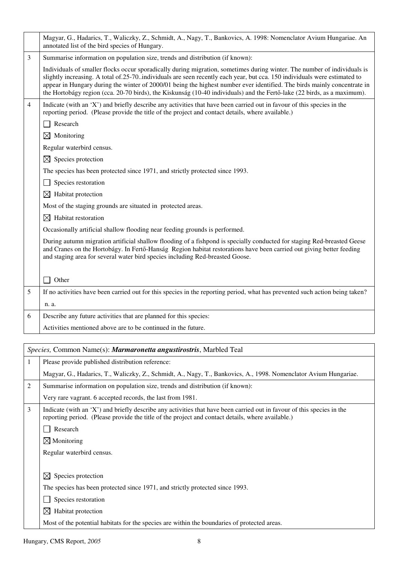|                | Magyar, G., Hadarics, T., Waliczky, Z., Schmidt, A., Nagy, T., Bankovics, A. 1998: Nomenclator Avium Hungariae. An<br>annotated list of the bird species of Hungary.                                                                                                                                                                                                                                                                                                                                          |
|----------------|---------------------------------------------------------------------------------------------------------------------------------------------------------------------------------------------------------------------------------------------------------------------------------------------------------------------------------------------------------------------------------------------------------------------------------------------------------------------------------------------------------------|
| 3              | Summarise information on population size, trends and distribution (if known):                                                                                                                                                                                                                                                                                                                                                                                                                                 |
|                | Individuals of smaller flocks occur sporadically during migration, sometimes during winter. The number of individuals is<br>slightly increasing. A total of 25-70. individuals are seen recently each year, but cca. 150 individuals were estimated to<br>appear in Hungary during the winter of 2000/01 being the highest number ever identified. The birds mainly concentrate in<br>the Hortobágy region (cca. 20-70 birds), the Kiskunság (10-40 individuals) and the Fertő-lake (22 birds, as a maximum). |
| $\overline{4}$ | Indicate (with an 'X') and briefly describe any activities that have been carried out in favour of this species in the<br>reporting period. (Please provide the title of the project and contact details, where available.)<br>Research                                                                                                                                                                                                                                                                       |
|                |                                                                                                                                                                                                                                                                                                                                                                                                                                                                                                               |
|                | $\boxtimes$ Monitoring                                                                                                                                                                                                                                                                                                                                                                                                                                                                                        |
|                | Regular waterbird census.                                                                                                                                                                                                                                                                                                                                                                                                                                                                                     |
|                | $\boxtimes$ Species protection                                                                                                                                                                                                                                                                                                                                                                                                                                                                                |
|                | The species has been protected since 1971, and strictly protected since 1993.                                                                                                                                                                                                                                                                                                                                                                                                                                 |
|                | Species restoration                                                                                                                                                                                                                                                                                                                                                                                                                                                                                           |
|                | $\boxtimes$ Habitat protection                                                                                                                                                                                                                                                                                                                                                                                                                                                                                |
|                | Most of the staging grounds are situated in protected areas.                                                                                                                                                                                                                                                                                                                                                                                                                                                  |
|                | $\boxtimes$ Habitat restoration                                                                                                                                                                                                                                                                                                                                                                                                                                                                               |
|                | Occasionally artificial shallow flooding near feeding grounds is performed.                                                                                                                                                                                                                                                                                                                                                                                                                                   |
|                | During autumn migration artificial shallow flooding of a fishpond is specially conducted for staging Red-breasted Geese<br>and Cranes on the Hortobágy. In Fertő-Hanság Region habitat restorations have been carried out giving better feeding<br>and staging area for several water bird species including Red-breasted Goose.                                                                                                                                                                              |
|                | Other                                                                                                                                                                                                                                                                                                                                                                                                                                                                                                         |
| 5              | If no activities have been carried out for this species in the reporting period, what has prevented such action being taken?                                                                                                                                                                                                                                                                                                                                                                                  |
|                | n. a.                                                                                                                                                                                                                                                                                                                                                                                                                                                                                                         |
| 6              |                                                                                                                                                                                                                                                                                                                                                                                                                                                                                                               |
|                | Describe any future activities that are planned for this species:                                                                                                                                                                                                                                                                                                                                                                                                                                             |
|                | Activities mentioned above are to be continued in the future.                                                                                                                                                                                                                                                                                                                                                                                                                                                 |
|                |                                                                                                                                                                                                                                                                                                                                                                                                                                                                                                               |
|                | Species, Common Name(s): Marmaronetta angustirostris, Marbled Teal                                                                                                                                                                                                                                                                                                                                                                                                                                            |
| $\mathbf{1}$   | Please provide published distribution reference:                                                                                                                                                                                                                                                                                                                                                                                                                                                              |
|                | Magyar, G., Hadarics, T., Waliczky, Z., Schmidt, A., Nagy, T., Bankovics, A., 1998. Nomenclator Avium Hungariae.                                                                                                                                                                                                                                                                                                                                                                                              |
| 2              | Summarise information on population size, trends and distribution (if known):                                                                                                                                                                                                                                                                                                                                                                                                                                 |
|                | Very rare vagrant. 6 accepted records, the last from 1981.                                                                                                                                                                                                                                                                                                                                                                                                                                                    |
| 3              | Indicate (with an 'X') and briefly describe any activities that have been carried out in favour of this species in the<br>reporting period. (Please provide the title of the project and contact details, where available.)                                                                                                                                                                                                                                                                                   |
|                | Research                                                                                                                                                                                                                                                                                                                                                                                                                                                                                                      |
|                | $\boxtimes$ Monitoring                                                                                                                                                                                                                                                                                                                                                                                                                                                                                        |
|                | Regular waterbird census.                                                                                                                                                                                                                                                                                                                                                                                                                                                                                     |
|                |                                                                                                                                                                                                                                                                                                                                                                                                                                                                                                               |
|                | Species protection<br>$\boxtimes$                                                                                                                                                                                                                                                                                                                                                                                                                                                                             |

Species restoration

 $\boxtimes$  Habitat protection

Most of the potential habitats for the species are within the boundaries of protected areas.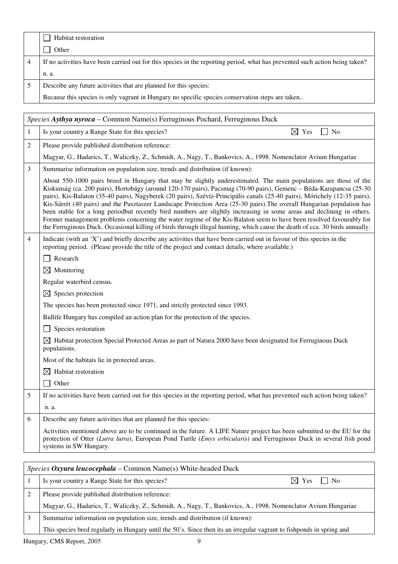| Habitat restoration                                                                                                          |
|------------------------------------------------------------------------------------------------------------------------------|
| Other                                                                                                                        |
| If no activities have been carried out for this species in the reporting period, what has prevented such action being taken? |
| n. a.                                                                                                                        |
| Describe any future activities that are planned for this species:                                                            |
| Because this species is only vagrant in Hungary no specific species conservation steps are taken                             |

|              | Species Aythya nyroca - Common Name(s) Ferruginous Pochard, Ferruginous Duck                                                                                                                                                                                                                                                                                                                                                                                                                                                                                                                                                                                                                                                                                                                                                                                                   |
|--------------|--------------------------------------------------------------------------------------------------------------------------------------------------------------------------------------------------------------------------------------------------------------------------------------------------------------------------------------------------------------------------------------------------------------------------------------------------------------------------------------------------------------------------------------------------------------------------------------------------------------------------------------------------------------------------------------------------------------------------------------------------------------------------------------------------------------------------------------------------------------------------------|
| $\mathbf{1}$ | Is your country a Range State for this species?<br>$\boxtimes$ Yes<br>$\exists$ No                                                                                                                                                                                                                                                                                                                                                                                                                                                                                                                                                                                                                                                                                                                                                                                             |
| 2            | Please provide published distribution reference:                                                                                                                                                                                                                                                                                                                                                                                                                                                                                                                                                                                                                                                                                                                                                                                                                               |
|              | Magyar, G., Hadarics, T., Waliczky, Z., Schmidt, A., Nagy, T., Bankovics, A., 1998. Nomenclator Avium Hungariae                                                                                                                                                                                                                                                                                                                                                                                                                                                                                                                                                                                                                                                                                                                                                                |
| 3            | Summarise information on population size, trends and distribution (if known):                                                                                                                                                                                                                                                                                                                                                                                                                                                                                                                                                                                                                                                                                                                                                                                                  |
|              | About 550-1000 pairs breed in Hungary that may be slightly underestimated. The main populations are those of the<br>Kiskunság (ca. 200 pairs), Hortobágy (around 120-170 pairs), Pacsmag (70-90 pairs), Gemenc – Béda-Karapancsa (25-30<br>pairs), Kis-Balaton (35-40 pairs), Nagyberek (20 pairs), Szévíz-Principális canals (25-40 pairs), Mórichely (12-35 pairs),<br>Kis-Sárrét (40 pairs) and the Pusztaszer Landscape Protection Area (25-30 pairs). The overall Hungarian population has<br>been stable for a long periodbut recently bird numbers are slightly increasing in some areas and declining in others.<br>Former management problems concerning the water regime of the Kis-Balaton seem to have been resolved favourably for<br>the Ferruginous Duck. Occasional killing of birds through illegal hunting, which cause the death of cca. 30 birds annually. |
| 4            | Indicate (with an 'X') and briefly describe any activities that have been carried out in favour of this species in the<br>reporting period. (Please provide the title of the project and contact details, where available.)                                                                                                                                                                                                                                                                                                                                                                                                                                                                                                                                                                                                                                                    |
|              | Research                                                                                                                                                                                                                                                                                                                                                                                                                                                                                                                                                                                                                                                                                                                                                                                                                                                                       |
|              | $\boxtimes$ Monitoring                                                                                                                                                                                                                                                                                                                                                                                                                                                                                                                                                                                                                                                                                                                                                                                                                                                         |
|              | Regular waterbird census.                                                                                                                                                                                                                                                                                                                                                                                                                                                                                                                                                                                                                                                                                                                                                                                                                                                      |
|              | $\boxtimes$ Species protection                                                                                                                                                                                                                                                                                                                                                                                                                                                                                                                                                                                                                                                                                                                                                                                                                                                 |
|              | The species has been protected since 1971, and strictly protected since 1993.                                                                                                                                                                                                                                                                                                                                                                                                                                                                                                                                                                                                                                                                                                                                                                                                  |
|              | Bidlife Hungary has compiled an action plan for the protection of the species.                                                                                                                                                                                                                                                                                                                                                                                                                                                                                                                                                                                                                                                                                                                                                                                                 |
|              | Species restoration                                                                                                                                                                                                                                                                                                                                                                                                                                                                                                                                                                                                                                                                                                                                                                                                                                                            |
|              | $\boxtimes$ Habitat protection Special Protected Areas as part of Natura 2000 have been designated for Ferruginous Duck<br>populations.                                                                                                                                                                                                                                                                                                                                                                                                                                                                                                                                                                                                                                                                                                                                        |
|              | Most of the habitats lie in protected areas.                                                                                                                                                                                                                                                                                                                                                                                                                                                                                                                                                                                                                                                                                                                                                                                                                                   |
|              | $\boxtimes$ Habitat restoration                                                                                                                                                                                                                                                                                                                                                                                                                                                                                                                                                                                                                                                                                                                                                                                                                                                |
|              | Other                                                                                                                                                                                                                                                                                                                                                                                                                                                                                                                                                                                                                                                                                                                                                                                                                                                                          |
| 5            | If no activities have been carried out for this species in the reporting period, what has prevented such action being taken?                                                                                                                                                                                                                                                                                                                                                                                                                                                                                                                                                                                                                                                                                                                                                   |
|              | n. a.                                                                                                                                                                                                                                                                                                                                                                                                                                                                                                                                                                                                                                                                                                                                                                                                                                                                          |
| 6            | Describe any future activities that are planned for this species:                                                                                                                                                                                                                                                                                                                                                                                                                                                                                                                                                                                                                                                                                                                                                                                                              |
|              | Activities mentioned above are to be continued in the future. A LIFE Nature project has been submitted to the EU for the<br>protection of Otter (Lutra lutra), European Pond Turtle ( <i>Emys orbicularis</i> ) and Ferruginous Duck in several fish pond<br>systems in SW Hungary.                                                                                                                                                                                                                                                                                                                                                                                                                                                                                                                                                                                            |

| <i>Species Oxyura leucocephala – Common Name(s)</i> White-headed Duck |                                                                                                                       |  |
|-----------------------------------------------------------------------|-----------------------------------------------------------------------------------------------------------------------|--|
|                                                                       | Is your country a Range State for this species?<br>$\boxtimes$ Yes<br>l I No                                          |  |
|                                                                       | Please provide published distribution reference:                                                                      |  |
|                                                                       | Magyar, G., Hadarics, T., Waliczky, Z., Schmidt, A., Nagy, T., Bankovics, A., 1998. Nomenclator Avium Hungariae       |  |
|                                                                       | Summarise information on population size, trends and distribution (if known):                                         |  |
|                                                                       | This species bred regularly in Hungary until the 50's. Since then its an irregular vagrant to fishponds in spring and |  |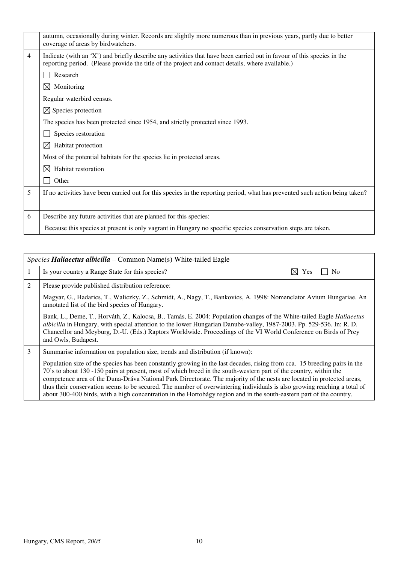|   | autumn, occasionally during winter. Records are slightly more numerous than in previous years, partly due to better<br>coverage of areas by birdwatchers.                                                                   |
|---|-----------------------------------------------------------------------------------------------------------------------------------------------------------------------------------------------------------------------------|
| 4 | Indicate (with an 'X') and briefly describe any activities that have been carried out in favour of this species in the<br>reporting period. (Please provide the title of the project and contact details, where available.) |
|   | Research                                                                                                                                                                                                                    |
|   | $\boxtimes$ Monitoring                                                                                                                                                                                                      |
|   | Regular waterbird census.                                                                                                                                                                                                   |
|   | $\boxtimes$ Species protection                                                                                                                                                                                              |
|   | The species has been protected since 1954, and strictly protected since 1993.                                                                                                                                               |
|   | Species restoration                                                                                                                                                                                                         |
|   | Habitat protection<br>$\bowtie$                                                                                                                                                                                             |
|   | Most of the potential habitats for the species lie in protected areas.                                                                                                                                                      |
|   | Habitat restoration<br>$\boxtimes$                                                                                                                                                                                          |
|   | Other                                                                                                                                                                                                                       |
| 5 | If no activities have been carried out for this species in the reporting period, what has prevented such action being taken?                                                                                                |
|   |                                                                                                                                                                                                                             |
| 6 | Describe any future activities that are planned for this species:                                                                                                                                                           |
|   | Because this species at present is only vagrant in Hungary no specific species conservation steps are taken.                                                                                                                |

|                | <i>Species Haliaeetus albicilla – Common Name(s)</i> White-tailed Eagle                                                                                                                                                                                                                                                                                                                                                                                                                                                                                                                                                      |  |
|----------------|------------------------------------------------------------------------------------------------------------------------------------------------------------------------------------------------------------------------------------------------------------------------------------------------------------------------------------------------------------------------------------------------------------------------------------------------------------------------------------------------------------------------------------------------------------------------------------------------------------------------------|--|
| 1              | M<br>Is your country a Range State for this species?<br>N <sub>0</sub><br>Yes                                                                                                                                                                                                                                                                                                                                                                                                                                                                                                                                                |  |
| $\overline{c}$ | Please provide published distribution reference:                                                                                                                                                                                                                                                                                                                                                                                                                                                                                                                                                                             |  |
|                | Magyar, G., Hadarics, T., Waliczky, Z., Schmidt, A., Nagy, T., Bankovics, A. 1998: Nomenclator Avium Hungariae. An<br>annotated list of the bird species of Hungary.                                                                                                                                                                                                                                                                                                                                                                                                                                                         |  |
|                | Bank, L., Deme, T., Horváth, Z., Kalocsa, B., Tamás, E. 2004: Population changes of the White-tailed Eagle Haliaeetus<br>albicilla in Hungary, with special attention to the lower Hungarian Danube-valley, 1987-2003. Pp. 529-536. In: R. D.<br>Chancellor and Meyburg, D.-U. (Eds.) Raptors Worldwide. Proceedings of the VI World Conference on Birds of Prey<br>and Owls, Budapest.                                                                                                                                                                                                                                      |  |
| 3              | Summarise information on population size, trends and distribution (if known):                                                                                                                                                                                                                                                                                                                                                                                                                                                                                                                                                |  |
|                | Population size of the species has been constantly growing in the last decades, rising from cca. 15 breeding pairs in the<br>70's to about 130 -150 pairs at present, most of which breed in the south-western part of the country, within the<br>competence area of the Duna-Dráva National Park Directorate. The majority of the nests are located in protected areas,<br>thus their conservation seems to be secured. The number of overwintering individuals is also growing reaching a total of<br>about 300-400 birds, with a high concentration in the Hortobágy region and in the south-eastern part of the country. |  |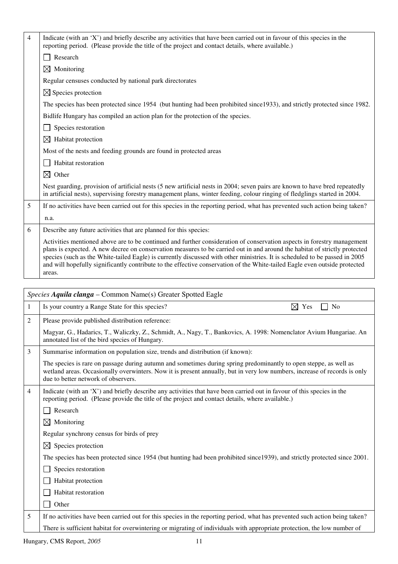| 4            | Indicate (with an 'X') and briefly describe any activities that have been carried out in favour of this species in the<br>reporting period. (Please provide the title of the project and contact details, where available.)                                                                                                                                                                                                                                                                                                  |
|--------------|------------------------------------------------------------------------------------------------------------------------------------------------------------------------------------------------------------------------------------------------------------------------------------------------------------------------------------------------------------------------------------------------------------------------------------------------------------------------------------------------------------------------------|
|              | Research                                                                                                                                                                                                                                                                                                                                                                                                                                                                                                                     |
|              | $\boxtimes$ Monitoring                                                                                                                                                                                                                                                                                                                                                                                                                                                                                                       |
|              | Regular censuses conducted by national park directorates                                                                                                                                                                                                                                                                                                                                                                                                                                                                     |
|              | $\boxtimes$ Species protection                                                                                                                                                                                                                                                                                                                                                                                                                                                                                               |
|              | The species has been protected since 1954 (but hunting had been prohibited since 1933), and strictly protected since 1982.                                                                                                                                                                                                                                                                                                                                                                                                   |
|              | Bidlife Hungary has compiled an action plan for the protection of the species.                                                                                                                                                                                                                                                                                                                                                                                                                                               |
|              | Species restoration                                                                                                                                                                                                                                                                                                                                                                                                                                                                                                          |
|              | $\boxtimes$ Habitat protection                                                                                                                                                                                                                                                                                                                                                                                                                                                                                               |
|              | Most of the nests and feeding grounds are found in protected areas                                                                                                                                                                                                                                                                                                                                                                                                                                                           |
|              | Habitat restoration                                                                                                                                                                                                                                                                                                                                                                                                                                                                                                          |
|              | $\boxtimes$ Other                                                                                                                                                                                                                                                                                                                                                                                                                                                                                                            |
|              | Nest guarding, provision of artificial nests (5 new artificial nests in 2004; seven pairs are known to have bred repeatedly<br>in artificial nests), supervising forestry management plans, winter feeding, colour ringing of fledglings started in 2004.                                                                                                                                                                                                                                                                    |
| 5            | If no activities have been carried out for this species in the reporting period, what has prevented such action being taken?                                                                                                                                                                                                                                                                                                                                                                                                 |
|              | n.a.                                                                                                                                                                                                                                                                                                                                                                                                                                                                                                                         |
| 6            | Describe any future activities that are planned for this species:                                                                                                                                                                                                                                                                                                                                                                                                                                                            |
|              | Activities mentioned above are to be continued and further consideration of conservation aspects in forestry management<br>plans is expected. A new decree on conservation measures to be carried out in and around the habitat of strictly protected<br>species (such as the White-tailed Eagle) is currently discussed with other ministries. It is scheduled to be passed in 2005<br>and will hopefully significantly contribute to the effective conservation of the White-tailed Eagle even outside protected<br>areas. |
|              |                                                                                                                                                                                                                                                                                                                                                                                                                                                                                                                              |
|              |                                                                                                                                                                                                                                                                                                                                                                                                                                                                                                                              |
|              | Species Aquila clanga – Common Name(s) Greater Spotted Eagle                                                                                                                                                                                                                                                                                                                                                                                                                                                                 |
| $\mathbf{1}$ | $\boxtimes$ Yes<br>Is your country a Range State for this species?<br>No                                                                                                                                                                                                                                                                                                                                                                                                                                                     |
| 2            | Please provide published distribution reference:                                                                                                                                                                                                                                                                                                                                                                                                                                                                             |
|              | Magyar, G., Hadarics, T., Waliczky, Z., Schmidt, A., Nagy, T., Bankovics, A. 1998: Nomenclator Avium Hungariae. An<br>annotated list of the bird species of Hungary.                                                                                                                                                                                                                                                                                                                                                         |
| 3            | Summarise information on population size, trends and distribution (if known):                                                                                                                                                                                                                                                                                                                                                                                                                                                |
|              | The species is rare on passage during autumn and sometimes during spring predominantly to open steppe, as well as<br>wetland areas. Occasionally overwinters. Now it is present annually, but in very low numbers, increase of records is only<br>due to better network of observers.                                                                                                                                                                                                                                        |
| 4            | Indicate (with an 'X') and briefly describe any activities that have been carried out in favour of this species in the<br>reporting period. (Please provide the title of the project and contact details, where available.)                                                                                                                                                                                                                                                                                                  |
|              | Research                                                                                                                                                                                                                                                                                                                                                                                                                                                                                                                     |
|              | Monitoring<br>$\bowtie$                                                                                                                                                                                                                                                                                                                                                                                                                                                                                                      |
|              | Regular synchrony census for birds of prey                                                                                                                                                                                                                                                                                                                                                                                                                                                                                   |
|              | $\boxtimes$ Species protection                                                                                                                                                                                                                                                                                                                                                                                                                                                                                               |
|              | The species has been protected since 1954 (but hunting had been prohibited since 1939), and strictly protected since 2001.                                                                                                                                                                                                                                                                                                                                                                                                   |
|              | Species restoration                                                                                                                                                                                                                                                                                                                                                                                                                                                                                                          |
|              | Habitat protection                                                                                                                                                                                                                                                                                                                                                                                                                                                                                                           |
|              | Habitat restoration                                                                                                                                                                                                                                                                                                                                                                                                                                                                                                          |
|              | Other                                                                                                                                                                                                                                                                                                                                                                                                                                                                                                                        |

There is sufficient habitat for overwintering or migrating of individuals with appropriate protection, the low number of

Hungary, CMS Report, 2005 11

 $\overline{1}$ 

┱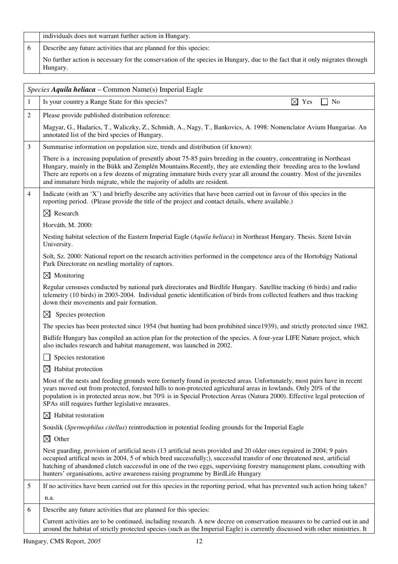|   | individuals does not warrant further action in Hungary.                                                                                                                                                                                                                                                                                                                                                                                                        |
|---|----------------------------------------------------------------------------------------------------------------------------------------------------------------------------------------------------------------------------------------------------------------------------------------------------------------------------------------------------------------------------------------------------------------------------------------------------------------|
| 6 | Describe any future activities that are planned for this species:                                                                                                                                                                                                                                                                                                                                                                                              |
|   | No further action is necessary for the conservation of the species in Hungary, due to the fact that it only migrates through<br>Hungary.                                                                                                                                                                                                                                                                                                                       |
|   | Species Aquila heliaca – Common Name(s) Imperial Eagle                                                                                                                                                                                                                                                                                                                                                                                                         |
| 1 | Is your country a Range State for this species?<br>$\boxtimes$ Yes<br>N <sub>0</sub>                                                                                                                                                                                                                                                                                                                                                                           |
| 2 | Please provide published distribution reference:                                                                                                                                                                                                                                                                                                                                                                                                               |
|   | Magyar, G., Hadarics, T., Waliczky, Z., Schmidt, A., Nagy, T., Bankovics, A. 1998: Nomenclator Avium Hungariae. An<br>annotated list of the bird species of Hungary.                                                                                                                                                                                                                                                                                           |
| 3 | Summarise information on population size, trends and distribution (if known):                                                                                                                                                                                                                                                                                                                                                                                  |
|   | There is a increasing population of presently about 75-85 pairs breeding in the country, concentrating in Northeast<br>Hungary, mainly in the Bükk and Zemplén Mountains. Recently, they are extending their breeding area to the lowland<br>There are reports on a few dozens of migrating immature birds every year all around the country. Most of the juveniles<br>and immature birds migrate, while the majority of adults are resident.                  |
| 4 | Indicate (with an 'X') and briefly describe any activities that have been carried out in favour of this species in the<br>reporting period. (Please provide the title of the project and contact details, where available.)                                                                                                                                                                                                                                    |
|   | $\boxtimes$ Research                                                                                                                                                                                                                                                                                                                                                                                                                                           |
|   | Horváth, M. 2000:                                                                                                                                                                                                                                                                                                                                                                                                                                              |
|   | Nesting habitat selection of the Eastern Imperial Eagle (Aquila heliaca) in Northeast Hungary. Thesis. Szent István<br>University.                                                                                                                                                                                                                                                                                                                             |
|   | Solt, Sz. 2000: National report on the research activities performed in the competence area of the Hortobágy National<br>Park Directorate on nestling mortality of raptors.                                                                                                                                                                                                                                                                                    |
|   | $\boxtimes$ Monitoring                                                                                                                                                                                                                                                                                                                                                                                                                                         |
|   | Regular censuses conducted by national park directorates and Birdlife Hungary. Satellite tracking (6 birds) and radio<br>telemetry (10 birds) in 2003-2004. Individual genetic identification of birds from collected feathers and thus tracking<br>down their movements and pair formation.                                                                                                                                                                   |
|   | $\boxtimes$ Species protection                                                                                                                                                                                                                                                                                                                                                                                                                                 |
|   | The species has been protected since 1954 (but hunting had been prohibited since 1939), and strictly protected since 1982.                                                                                                                                                                                                                                                                                                                                     |
|   | Bidlife Hungary has compiled an action plan for the protection of the species. A four-year LIFE Nature project, which<br>also includes research and habitat management, was launched in 2002.                                                                                                                                                                                                                                                                  |
|   | Species restoration                                                                                                                                                                                                                                                                                                                                                                                                                                            |
|   | Habitat protection<br>$\boxtimes$                                                                                                                                                                                                                                                                                                                                                                                                                              |
|   | Most of the nests and feeding grounds were formerly found in protected areas. Unfortunately, most pairs have in recent<br>years moved out from protected, forested hills to non-protected agricultural areas in lowlands. Only 20% of the<br>population is in protected areas now, but 70% is in Special Protection Areas (Natura 2000). Effective legal protection of<br>SPAs still requires further legislative measures.                                    |
|   | Habitat restoration<br>$\boxtimes$                                                                                                                                                                                                                                                                                                                                                                                                                             |
|   | Souslik (Spermophilus citellus) reintroduction in potential feeding grounds for the Imperial Eagle                                                                                                                                                                                                                                                                                                                                                             |
|   | $\boxtimes$<br>Other                                                                                                                                                                                                                                                                                                                                                                                                                                           |
|   | Nest guarding, provision of artificial nests (13 artificial nests provided and 20 older ones repaired in 2004; 9 pairs<br>occupied artifical nests in 2004, 5 of which bred successfully;), successful transfer of one threatened nest, artificial<br>hatching of abandoned clutch successful in one of the two eggs, supervising forestry management plans, consulting with<br>hunters' organisations, active awareness raising programme by BirdLife Hungary |
| 5 | If no activities have been carried out for this species in the reporting period, what has prevented such action being taken?                                                                                                                                                                                                                                                                                                                                   |
|   | n.a.                                                                                                                                                                                                                                                                                                                                                                                                                                                           |

6 Describe any future activities that are planned for this species: #

Current activities are to be continued, including research. A new decree on conservation measures to be carried out in and around the habitat of strictly protected species (such as the Imperial Eagle) is currently discussed with other ministries. It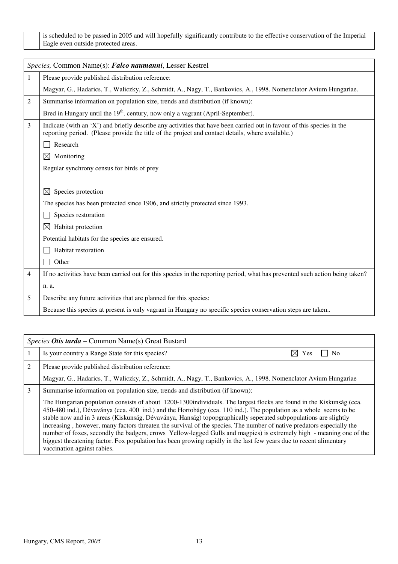is scheduled to be passed in 2005 and will hopefully significantly contribute to the effective conservation of the Imperial Eagle even outside protected areas.

|   | Species, Common Name(s): Falco naumanni, Lesser Kestrel                                                                                                                                                                     |
|---|-----------------------------------------------------------------------------------------------------------------------------------------------------------------------------------------------------------------------------|
| 1 | Please provide published distribution reference:                                                                                                                                                                            |
|   | Magyar, G., Hadarics, T., Waliczky, Z., Schmidt, A., Nagy, T., Bankovics, A., 1998. Nomenclator Avium Hungariae.                                                                                                            |
| 2 | Summarise information on population size, trends and distribution (if known):                                                                                                                                               |
|   | Bred in Hungary until the 19 <sup>th</sup> . century, now only a vagrant (April-September).                                                                                                                                 |
| 3 | Indicate (with an 'X') and briefly describe any activities that have been carried out in favour of this species in the<br>reporting period. (Please provide the title of the project and contact details, where available.) |
|   | Research                                                                                                                                                                                                                    |
|   | $\boxtimes$<br>Monitoring                                                                                                                                                                                                   |
|   | Regular synchrony census for birds of prey                                                                                                                                                                                  |
|   |                                                                                                                                                                                                                             |
|   | Species protection<br>$\boxtimes$                                                                                                                                                                                           |
|   | The species has been protected since 1906, and strictly protected since 1993.                                                                                                                                               |
|   | Species restoration                                                                                                                                                                                                         |
|   | Habitat protection<br>$\boxtimes$                                                                                                                                                                                           |
|   | Potential habitats for the species are ensured.                                                                                                                                                                             |
|   | Habitat restoration                                                                                                                                                                                                         |
|   | Other                                                                                                                                                                                                                       |
| 4 | If no activities have been carried out for this species in the reporting period, what has prevented such action being taken?                                                                                                |
|   | n. a.                                                                                                                                                                                                                       |
| 5 | Describe any future activities that are planned for this species:                                                                                                                                                           |
|   | Because this species at present is only vagrant in Hungary no specific species conservation steps are taken                                                                                                                 |

|   | <i>Species Otis tarda – Common Name(s) Great Bustard</i>                                                                                                                                                                                                                                                                                                                                                                                                                                                                                                                                                                                                                                                                                                            |  |
|---|---------------------------------------------------------------------------------------------------------------------------------------------------------------------------------------------------------------------------------------------------------------------------------------------------------------------------------------------------------------------------------------------------------------------------------------------------------------------------------------------------------------------------------------------------------------------------------------------------------------------------------------------------------------------------------------------------------------------------------------------------------------------|--|
|   | Is your country a Range State for this species?<br>$\boxtimes$ Yes<br>N <sub>0</sub>                                                                                                                                                                                                                                                                                                                                                                                                                                                                                                                                                                                                                                                                                |  |
| 2 | Please provide published distribution reference:                                                                                                                                                                                                                                                                                                                                                                                                                                                                                                                                                                                                                                                                                                                    |  |
|   | Magyar, G., Hadarics, T., Waliczky, Z., Schmidt, A., Nagy, T., Bankovics, A., 1998. Nomenclator Avium Hungariae                                                                                                                                                                                                                                                                                                                                                                                                                                                                                                                                                                                                                                                     |  |
| 3 | Summarise information on population size, trends and distribution (if known):                                                                                                                                                                                                                                                                                                                                                                                                                                                                                                                                                                                                                                                                                       |  |
|   | The Hungarian population consists of about 1200-1300 individuals. The largest flocks are found in the Kiskunság (cca.<br>450-480 ind.), Dévaványa (cca. 400 ind.) and the Hortobágy (cca. 110 ind.). The population as a whole seems to be<br>stable now and in 3 areas (Kiskunság, Dévaványa, Hanság) topopgraphically seperated subpopulations are slightly<br>increasing, however, many factors threaten the survival of the species. The number of native predators especially the<br>number of foxes, secondly the badgers, crows Yellow-legged Gulls and magpies) is extremely high - meaning one of the<br>biggest threatening factor. Fox population has been growing rapidly in the last few years due to recent alimentary<br>vaccination against rabies. |  |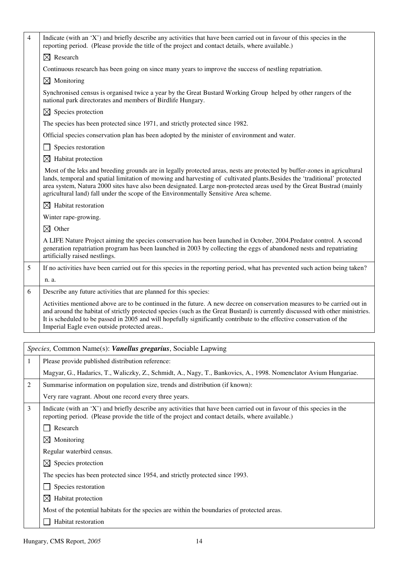| $\overline{4}$ | Indicate (with an 'X') and briefly describe any activities that have been carried out in favour of this species in the<br>reporting period. (Please provide the title of the project and contact details, where available.)                                                                                                                                                                                                                                              |
|----------------|--------------------------------------------------------------------------------------------------------------------------------------------------------------------------------------------------------------------------------------------------------------------------------------------------------------------------------------------------------------------------------------------------------------------------------------------------------------------------|
|                | $\boxtimes$ Research                                                                                                                                                                                                                                                                                                                                                                                                                                                     |
|                | Continuous research has been going on since many years to improve the success of nestling repatriation.                                                                                                                                                                                                                                                                                                                                                                  |
|                | $\boxtimes$ Monitoring                                                                                                                                                                                                                                                                                                                                                                                                                                                   |
|                | Synchronised census is organised twice a year by the Great Bustard Working Group helped by other rangers of the<br>national park directorates and members of Birdlife Hungary.                                                                                                                                                                                                                                                                                           |
|                | $\boxtimes$ Species protection                                                                                                                                                                                                                                                                                                                                                                                                                                           |
|                | The species has been protected since 1971, and strictly protected since 1982.                                                                                                                                                                                                                                                                                                                                                                                            |
|                | Official species conservation plan has been adopted by the minister of environment and water.                                                                                                                                                                                                                                                                                                                                                                            |
|                | Species restoration                                                                                                                                                                                                                                                                                                                                                                                                                                                      |
|                | $\boxtimes$ Habitat protection                                                                                                                                                                                                                                                                                                                                                                                                                                           |
|                | Most of the leks and breeding grounds are in legally protected areas, nests are protected by buffer-zones in agricultural<br>lands, temporal and spatial limitation of mowing and harvesting of cultivated plants. Besides the 'traditional' protected<br>area system, Natura 2000 sites have also been designated. Large non-protected areas used by the Great Bustrad (mainly<br>agricultural land) fall under the scope of the Environmentally Sensitive Area scheme. |
|                | $\boxtimes$ Habitat restoration                                                                                                                                                                                                                                                                                                                                                                                                                                          |
|                | Winter rape-growing.                                                                                                                                                                                                                                                                                                                                                                                                                                                     |
|                | $\boxtimes$ Other                                                                                                                                                                                                                                                                                                                                                                                                                                                        |
|                | A LIFE Nature Project aiming the species conservation has been launched in October, 2004.Predator control. A second<br>generation repatriation program has been launched in 2003 by collecting the eggs of abandoned nests and repatriating<br>artificially raised nestlings.                                                                                                                                                                                            |
| 5              | If no activities have been carried out for this species in the reporting period, what has prevented such action being taken?                                                                                                                                                                                                                                                                                                                                             |
|                | n. a.                                                                                                                                                                                                                                                                                                                                                                                                                                                                    |
| 6              | Describe any future activities that are planned for this species:                                                                                                                                                                                                                                                                                                                                                                                                        |
|                | Activities mentioned above are to be continued in the future. A new decree on conservation measures to be carried out in<br>and around the habitat of strictly protected species (such as the Great Bustard) is currently discussed with other ministries.<br>It is scheduled to be passed in 2005 and will hopefully significantly contribute to the effective conservation of the<br>Imperial Eagle even outside protected areas                                       |
|                |                                                                                                                                                                                                                                                                                                                                                                                                                                                                          |
|                | Species, Common Name(s): Vanellus gregarius, Sociable Lapwing                                                                                                                                                                                                                                                                                                                                                                                                            |
| $\mathbf{1}$   | Please provide published distribution reference:                                                                                                                                                                                                                                                                                                                                                                                                                         |
|                | Magyar, G., Hadarics, T., Waliczky, Z., Schmidt, A., Nagy, T., Bankovics, A., 1998. Nomenclator Avium Hungariae.                                                                                                                                                                                                                                                                                                                                                         |
| $\overline{c}$ | Summarise information on population size, trends and distribution (if known):                                                                                                                                                                                                                                                                                                                                                                                            |
|                | Very rare vagrant. About one record every three years.                                                                                                                                                                                                                                                                                                                                                                                                                   |
| 3              | Indicate (with an 'X') and briefly describe any activities that have been carried out in favour of this species in the<br>reporting period. (Please provide the title of the project and contact details, where available.)                                                                                                                                                                                                                                              |
|                | Research                                                                                                                                                                                                                                                                                                                                                                                                                                                                 |
|                | Monitoring<br>$\bowtie$                                                                                                                                                                                                                                                                                                                                                                                                                                                  |
|                | Regular waterbird census.                                                                                                                                                                                                                                                                                                                                                                                                                                                |
|                | Species protection<br>⊠                                                                                                                                                                                                                                                                                                                                                                                                                                                  |

The species has been protected since 1954, and strictly protected since 1993.

Species restoration

 $\boxtimes$  Habitat protection

Most of the potential habitats for the species are within the boundaries of protected areas.

 $\Box$  Habitat restoration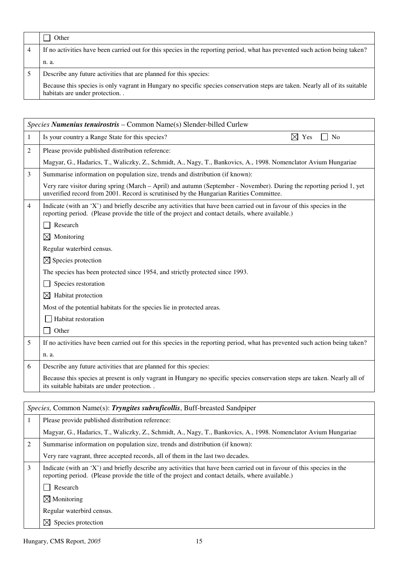|   | Other                                                                                                                                                         |
|---|---------------------------------------------------------------------------------------------------------------------------------------------------------------|
| 4 | If no activities have been carried out for this species in the reporting period, what has prevented such action being taken?                                  |
|   | n. a.                                                                                                                                                         |
|   | Describe any future activities that are planned for this species:                                                                                             |
|   | Because this species is only vagrant in Hungary no specific species conservation steps are taken. Nearly all of its suitable<br>habitats are under protection |

|                | Species Numenius tenuirostris - Common Name(s) Slender-billed Curlew                                                                                                                                                        |  |
|----------------|-----------------------------------------------------------------------------------------------------------------------------------------------------------------------------------------------------------------------------|--|
| 1              | Is your country a Range State for this species?<br>$\boxtimes$ Yes<br>N <sub>o</sub>                                                                                                                                        |  |
| 2              | Please provide published distribution reference:                                                                                                                                                                            |  |
|                | Magyar, G., Hadarics, T., Waliczky, Z., Schmidt, A., Nagy, T., Bankovics, A., 1998. Nomenclator Avium Hungariae                                                                                                             |  |
| 3              | Summarise information on population size, trends and distribution (if known):                                                                                                                                               |  |
|                | Very rare visitor during spring (March – April) and autumn (September - November). During the reporting period 1, yet<br>unverified record from 2001. Record is scrutinised by the Hungarian Rarities Committee.            |  |
| $\overline{4}$ | Indicate (with an 'X') and briefly describe any activities that have been carried out in favour of this species in the<br>reporting period. (Please provide the title of the project and contact details, where available.) |  |
|                | Research                                                                                                                                                                                                                    |  |
|                | Monitoring<br>$\boxtimes$                                                                                                                                                                                                   |  |
|                | Regular waterbird census.                                                                                                                                                                                                   |  |
|                | $\boxtimes$ Species protection                                                                                                                                                                                              |  |
|                | The species has been protected since 1954, and strictly protected since 1993.                                                                                                                                               |  |
|                | Species restoration                                                                                                                                                                                                         |  |
|                | Habitat protection<br>$\boxtimes$                                                                                                                                                                                           |  |
|                | Most of the potential habitats for the species lie in protected areas.                                                                                                                                                      |  |
|                | Habitat restoration                                                                                                                                                                                                         |  |
|                | Other                                                                                                                                                                                                                       |  |
| 5              | If no activities have been carried out for this species in the reporting period, what has prevented such action being taken?                                                                                                |  |
|                | n. a.                                                                                                                                                                                                                       |  |
| 6              | Describe any future activities that are planned for this species:                                                                                                                                                           |  |
|                | Because this species at present is only vagrant in Hungary no specific species conservation steps are taken. Nearly all of<br>its suitable habitats are under protection                                                    |  |

|   | <i>Species,</i> Common Name(s): <i>Tryngites subruficollis</i> , Buff-breasted Sandpiper                                                                                                                                    |  |
|---|-----------------------------------------------------------------------------------------------------------------------------------------------------------------------------------------------------------------------------|--|
|   | Please provide published distribution reference:                                                                                                                                                                            |  |
|   | Magyar, G., Hadarics, T., Waliczky, Z., Schmidt, A., Nagy, T., Bankovics, A., 1998. Nomenclator Avium Hungariae                                                                                                             |  |
| 2 | Summarise information on population size, trends and distribution (if known):                                                                                                                                               |  |
|   | Very rare vagrant, three accepted records, all of them in the last two decades.                                                                                                                                             |  |
| 3 | Indicate (with an 'X') and briefly describe any activities that have been carried out in favour of this species in the<br>reporting period. (Please provide the title of the project and contact details, where available.) |  |
|   | Research                                                                                                                                                                                                                    |  |
|   | $\boxtimes$ Monitoring                                                                                                                                                                                                      |  |
|   | Regular waterbird census.                                                                                                                                                                                                   |  |
|   | Species protection                                                                                                                                                                                                          |  |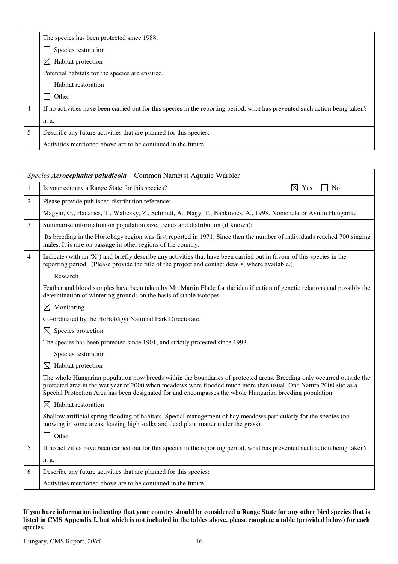|   | The species has been protected since 1988.                                                                                   |
|---|------------------------------------------------------------------------------------------------------------------------------|
|   | Species restoration                                                                                                          |
|   | $\bowtie$<br>Habitat protection                                                                                              |
|   | Potential habitats for the species are ensured.                                                                              |
|   | Habitat restoration                                                                                                          |
|   | Other                                                                                                                        |
| 4 | If no activities have been carried out for this species in the reporting period, what has prevented such action being taken? |
|   | n. a.                                                                                                                        |
| 5 | Describe any future activities that are planned for this species:                                                            |
|   | Activities mentioned above are to be continued in the future.                                                                |

|                | Species Acrocephalus paludicola – Common Name(s) Aquatic Warbler                                                                                                                                                                                                                                                                                       |  |
|----------------|--------------------------------------------------------------------------------------------------------------------------------------------------------------------------------------------------------------------------------------------------------------------------------------------------------------------------------------------------------|--|
| $\mathbf{1}$   | $\boxtimes$ Yes<br>Is your country a Range State for this species?<br>N <sub>o</sub>                                                                                                                                                                                                                                                                   |  |
| $\mathfrak{2}$ | Please provide published distribution reference:                                                                                                                                                                                                                                                                                                       |  |
|                | Magyar, G., Hadarics, T., Waliczky, Z., Schmidt, A., Nagy, T., Bankovics, A., 1998. Nomenclator Avium Hungariae                                                                                                                                                                                                                                        |  |
| 3              | Summarise information on population size, trends and distribution (if known):                                                                                                                                                                                                                                                                          |  |
|                | Its breeding in the Hortobágy region was first reported in 1971. Since then the number of individuals reached 700 singing<br>males. It is rare on passage in other regions of the country.                                                                                                                                                             |  |
| $\overline{4}$ | Indicate (with an 'X') and briefly describe any activities that have been carried out in favour of this species in the<br>reporting period. (Please provide the title of the project and contact details, where available.)                                                                                                                            |  |
|                | Research                                                                                                                                                                                                                                                                                                                                               |  |
|                | Feather and blood samples have been taken by Mr. Martin Flade for the identification of genetic relations and possibly the<br>determination of wintering grounds on the basis of stable isotopes.                                                                                                                                                      |  |
|                | $\times$ Monitoring                                                                                                                                                                                                                                                                                                                                    |  |
|                | Co-ordinated by the Hortobágyi National Park Directorate.                                                                                                                                                                                                                                                                                              |  |
|                | $\bowtie$<br>Species protection                                                                                                                                                                                                                                                                                                                        |  |
|                | The species has been protected since 1901, and strictly protected since 1993.                                                                                                                                                                                                                                                                          |  |
|                | Species restoration                                                                                                                                                                                                                                                                                                                                    |  |
|                | Habitat protection<br>$\boxtimes$                                                                                                                                                                                                                                                                                                                      |  |
|                | The whole Hungarian population now breeds within the boundaries of protected areas. Breeding only occurred outside the<br>protected area in the wet year of 2000 when meadows were flooded much more than usual. One Natura 2000 site as a<br>Special Protection Area has been designated for and encompasses the whole Hungarian breeding population. |  |
|                | $\boxtimes$ Habitat restoration                                                                                                                                                                                                                                                                                                                        |  |
|                | Shallow artificial spring flooding of habitats. Special management of hay meadows particularly for the species (no<br>mowing in some areas, leaving high stalks and dead plant matter under the grass).                                                                                                                                                |  |
|                | Other                                                                                                                                                                                                                                                                                                                                                  |  |
| 5              | If no activities have been carried out for this species in the reporting period, what has prevented such action being taken?                                                                                                                                                                                                                           |  |
|                | n. a.                                                                                                                                                                                                                                                                                                                                                  |  |
| 6              | Describe any future activities that are planned for this species:                                                                                                                                                                                                                                                                                      |  |
|                | Activities mentioned above are to be continued in the future.                                                                                                                                                                                                                                                                                          |  |

#### **If you have information indicating that your country should be considered a Range State for any other bird species that is listed in CMS Appendix I, but which is not included in the tables above, please complete a table (provided below) for each species.**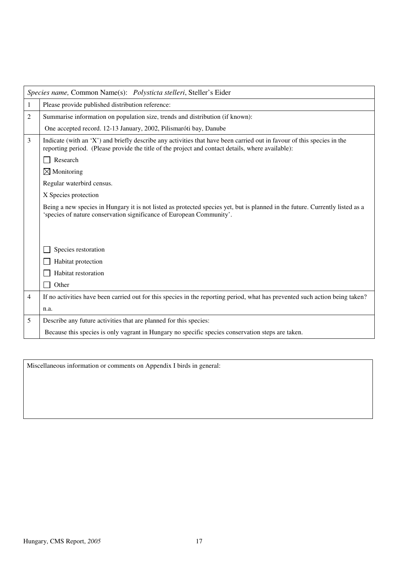|                | Species name, Common Name(s): Polysticta stelleri, Steller's Eider                                                                                                                                                          |
|----------------|-----------------------------------------------------------------------------------------------------------------------------------------------------------------------------------------------------------------------------|
| 1              | Please provide published distribution reference:                                                                                                                                                                            |
| $\overline{c}$ | Summarise information on population size, trends and distribution (if known):                                                                                                                                               |
|                | One accepted record. 12-13 January, 2002, Pilismaróti bay, Danube                                                                                                                                                           |
| 3              | Indicate (with an 'X') and briefly describe any activities that have been carried out in favour of this species in the<br>reporting period. (Please provide the title of the project and contact details, where available): |
|                | Research                                                                                                                                                                                                                    |
|                | $\boxtimes$ Monitoring                                                                                                                                                                                                      |
|                | Regular waterbird census.                                                                                                                                                                                                   |
|                | X Species protection                                                                                                                                                                                                        |
|                | Being a new species in Hungary it is not listed as protected species yet, but is planned in the future. Currently listed as a<br>'species of nature conservation significance of European Community'.                       |
|                |                                                                                                                                                                                                                             |
|                | Species restoration                                                                                                                                                                                                         |
|                | Habitat protection                                                                                                                                                                                                          |
|                | Habitat restoration                                                                                                                                                                                                         |
|                | Other                                                                                                                                                                                                                       |
| 4              | If no activities have been carried out for this species in the reporting period, what has prevented such action being taken?                                                                                                |
|                | n.a.                                                                                                                                                                                                                        |
| 5              | Describe any future activities that are planned for this species:                                                                                                                                                           |
|                | Because this species is only vagrant in Hungary no specific species conservation steps are taken.                                                                                                                           |

Miscellaneous information or comments on Appendix I birds in general: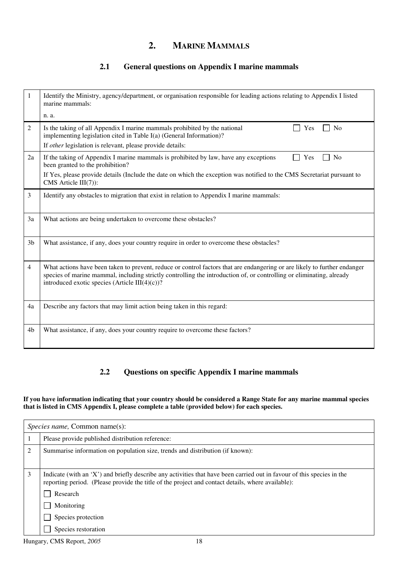## **2. MARINE MAMMALS**

#### **2.1 General questions on Appendix I marine mammals**

| 1              | Identify the Ministry, agency/department, or organisation responsible for leading actions relating to Appendix I listed<br>marine mammals:                                                                                                                                                          |
|----------------|-----------------------------------------------------------------------------------------------------------------------------------------------------------------------------------------------------------------------------------------------------------------------------------------------------|
|                | n. a.                                                                                                                                                                                                                                                                                               |
| 2              | <b>No</b><br>Is the taking of all Appendix I marine mammals prohibited by the national<br>Yes<br>implementing legislation cited in Table I(a) (General Information)?<br>If other legislation is relevant, please provide details:                                                                   |
|                |                                                                                                                                                                                                                                                                                                     |
| 2a             | If the taking of Appendix I marine mammals is prohibited by law, have any exceptions<br>Yes<br>N <sub>0</sub><br>been granted to the prohibition?                                                                                                                                                   |
|                | If Yes, please provide details (Include the date on which the exception was notified to the CMS Secretariat pursuant to<br>CMS Article III(7)):                                                                                                                                                     |
| 3              | Identify any obstacles to migration that exist in relation to Appendix I marine mammals:                                                                                                                                                                                                            |
| 3a             | What actions are being undertaken to overcome these obstacles?                                                                                                                                                                                                                                      |
| 3 <sub>b</sub> | What assistance, if any, does your country require in order to overcome these obstacles?                                                                                                                                                                                                            |
| 4              | What actions have been taken to prevent, reduce or control factors that are endangering or are likely to further endanger<br>species of marine mammal, including strictly controlling the introduction of, or controlling or eliminating, already<br>introduced exotic species (Article III(4)(c))? |
| 4a             | Describe any factors that may limit action being taken in this regard:                                                                                                                                                                                                                              |
| 4b             | What assistance, if any, does your country require to overcome these factors?                                                                                                                                                                                                                       |

#### **2.2 Questions on specific Appendix I marine mammals**

#### **If you have information indicating that your country should be considered a Range State for any marine mammal species that is listed in CMS Appendix I, please complete a table (provided below) for each species.**

|   | <i>Species name, Common name(s):</i>                                                                                                                                                                                                                                                               |  |
|---|----------------------------------------------------------------------------------------------------------------------------------------------------------------------------------------------------------------------------------------------------------------------------------------------------|--|
|   | Please provide published distribution reference:                                                                                                                                                                                                                                                   |  |
| 2 | Summarise information on population size, trends and distribution (if known):                                                                                                                                                                                                                      |  |
| 3 | Indicate (with an 'X') and briefly describe any activities that have been carried out in favour of this species in the<br>reporting period. (Please provide the title of the project and contact details, where available):<br>Research<br>Monitoring<br>Species protection<br>Species restoration |  |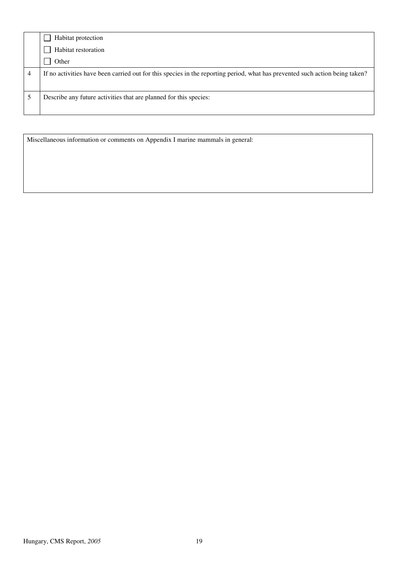| Habitat protection                                                                                                           |
|------------------------------------------------------------------------------------------------------------------------------|
| Habitat restoration                                                                                                          |
| Other                                                                                                                        |
| If no activities have been carried out for this species in the reporting period, what has prevented such action being taken? |
| Describe any future activities that are planned for this species:                                                            |

Miscellaneous information or comments on Appendix I marine mammals in general: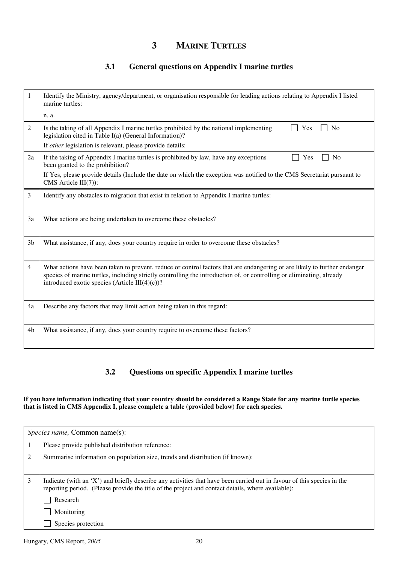### **3 MARINE TURTLES**

#### **3.1 General questions on Appendix I marine turtles**

| 1              | Identify the Ministry, agency/department, or organisation responsible for leading actions relating to Appendix I listed<br>marine turtles:                                                                                                                                                           |
|----------------|------------------------------------------------------------------------------------------------------------------------------------------------------------------------------------------------------------------------------------------------------------------------------------------------------|
|                | n. a.                                                                                                                                                                                                                                                                                                |
| 2              | Is the taking of all Appendix I marine turtles prohibited by the national implementing<br>Yes<br>N <sub>0</sub><br>legislation cited in Table I(a) (General Information)?                                                                                                                            |
|                | If other legislation is relevant, please provide details:                                                                                                                                                                                                                                            |
| 2a             | If the taking of Appendix I marine turtles is prohibited by law, have any exceptions<br>N <sub>0</sub><br>Yes<br>been granted to the prohibition?                                                                                                                                                    |
|                | If Yes, please provide details (Include the date on which the exception was notified to the CMS Secretariat pursuant to<br>CMS Article III(7)):                                                                                                                                                      |
| $\overline{3}$ | Identify any obstacles to migration that exist in relation to Appendix I marine turtles:                                                                                                                                                                                                             |
| 3a             | What actions are being undertaken to overcome these obstacles?                                                                                                                                                                                                                                       |
| 3 <sub>b</sub> | What assistance, if any, does your country require in order to overcome these obstacles?                                                                                                                                                                                                             |
| $\overline{4}$ | What actions have been taken to prevent, reduce or control factors that are endangering or are likely to further endanger<br>species of marine turtles, including strictly controlling the introduction of, or controlling or eliminating, already<br>introduced exotic species (Article III(4)(c))? |
| 4a             | Describe any factors that may limit action being taken in this regard:                                                                                                                                                                                                                               |
| 4b             | What assistance, if any, does your country require to overcome these factors?                                                                                                                                                                                                                        |

#### **3.2 Questions on specific Appendix I marine turtles**

#### **If you have information indicating that your country should be considered a Range State for any marine turtle species that is listed in CMS Appendix I, please complete a table (provided below) for each species.**

|   | <i>Species name,</i> Common name(s):                                                                                                                                                                                        |  |
|---|-----------------------------------------------------------------------------------------------------------------------------------------------------------------------------------------------------------------------------|--|
|   | Please provide published distribution reference:                                                                                                                                                                            |  |
| 2 | Summarise information on population size, trends and distribution (if known):                                                                                                                                               |  |
| 3 | Indicate (with an 'X') and briefly describe any activities that have been carried out in favour of this species in the<br>reporting period. (Please provide the title of the project and contact details, where available): |  |
|   | Research                                                                                                                                                                                                                    |  |
|   | Monitoring                                                                                                                                                                                                                  |  |
|   | Species protection                                                                                                                                                                                                          |  |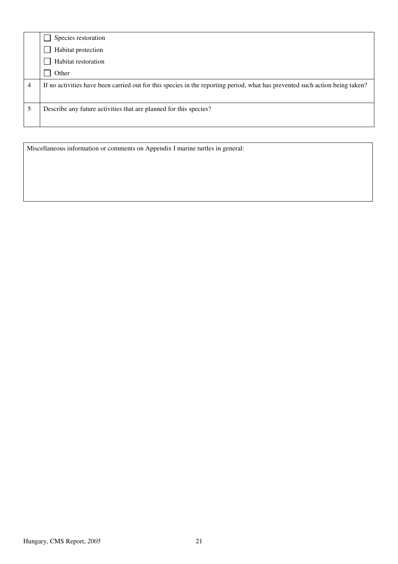|   | Species restoration                                                                                                          |
|---|------------------------------------------------------------------------------------------------------------------------------|
|   | Habitat protection                                                                                                           |
|   | Habitat restoration                                                                                                          |
|   | Other                                                                                                                        |
|   |                                                                                                                              |
| 4 | If no activities have been carried out for this species in the reporting period, what has prevented such action being taken? |
|   |                                                                                                                              |
|   | Describe any future activities that are planned for this species?                                                            |

Miscellaneous information or comments on Appendix I marine turtles in general: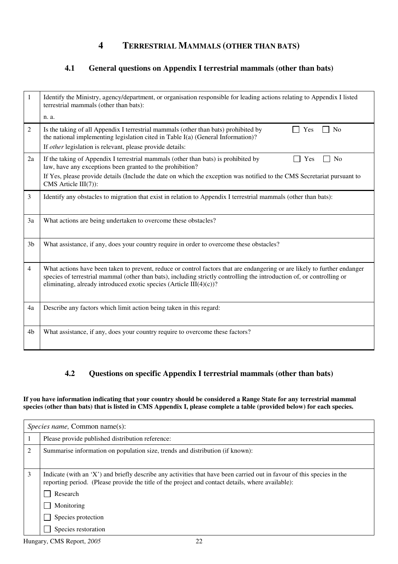#### **4 TERRESTRIAL MAMMALS (OTHER THAN BATS)**

#### **4.1 General questions on Appendix I terrestrial mammals (other than bats)**

| 1              | Identify the Ministry, agency/department, or organisation responsible for leading actions relating to Appendix I listed<br>terrestrial mammals (other than bats):                                                                                                                                                              |
|----------------|--------------------------------------------------------------------------------------------------------------------------------------------------------------------------------------------------------------------------------------------------------------------------------------------------------------------------------|
|                | n. a.                                                                                                                                                                                                                                                                                                                          |
| 2              | Is the taking of all Appendix I terrestrial mammals (other than bats) prohibited by<br><b>No</b><br>Yes<br>the national implementing legislation cited in Table I(a) (General Information)?<br>If other legislation is relevant, please provide details:                                                                       |
| 2a             | If the taking of Appendix I terrestrial mammals (other than bats) is prohibited by<br>Yes<br>N <sub>0</sub><br>law, have any exceptions been granted to the prohibition?                                                                                                                                                       |
|                | If Yes, please provide details (Include the date on which the exception was notified to the CMS Secretariat pursuant to<br>CMS Article $III(7)$ :                                                                                                                                                                              |
| 3              | Identify any obstacles to migration that exist in relation to Appendix I terrestrial mammals (other than bats):                                                                                                                                                                                                                |
| 3a             | What actions are being undertaken to overcome these obstacles?                                                                                                                                                                                                                                                                 |
| 3 <sub>b</sub> | What assistance, if any, does your country require in order to overcome these obstacles?                                                                                                                                                                                                                                       |
| 4              | What actions have been taken to prevent, reduce or control factors that are endangering or are likely to further endanger<br>species of terrestrial mammal (other than bats), including strictly controlling the introduction of, or controlling or<br>eliminating, already introduced exotic species (Article III $(4)(c)$ )? |
| 4a             | Describe any factors which limit action being taken in this regard:                                                                                                                                                                                                                                                            |
| 4b             | What assistance, if any, does your country require to overcome these factors?                                                                                                                                                                                                                                                  |

#### **4.2 Questions on specific Appendix I terrestrial mammals (other than bats)**

#### **If you have information indicating that your country should be considered a Range State for any terrestrial mammal species (other than bats) that is listed in CMS Appendix I, please complete a table (provided below) for each species.**

|                | <i>Species name, Common name(s):</i>                                                                                                                                                                                                                                                               |  |
|----------------|----------------------------------------------------------------------------------------------------------------------------------------------------------------------------------------------------------------------------------------------------------------------------------------------------|--|
|                | Please provide published distribution reference:                                                                                                                                                                                                                                                   |  |
| $\overline{2}$ | Summarise information on population size, trends and distribution (if known):                                                                                                                                                                                                                      |  |
| 3              | Indicate (with an 'X') and briefly describe any activities that have been carried out in favour of this species in the<br>reporting period. (Please provide the title of the project and contact details, where available):<br>Research<br>Monitoring<br>Species protection<br>Species restoration |  |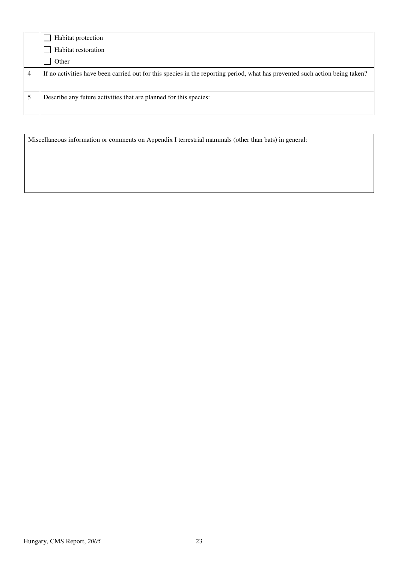| Habitat protection                                                                                                           |
|------------------------------------------------------------------------------------------------------------------------------|
| Habitat restoration                                                                                                          |
| Other                                                                                                                        |
| If no activities have been carried out for this species in the reporting period, what has prevented such action being taken? |
| Describe any future activities that are planned for this species:                                                            |

Miscellaneous information or comments on Appendix I terrestrial mammals (other than bats) in general: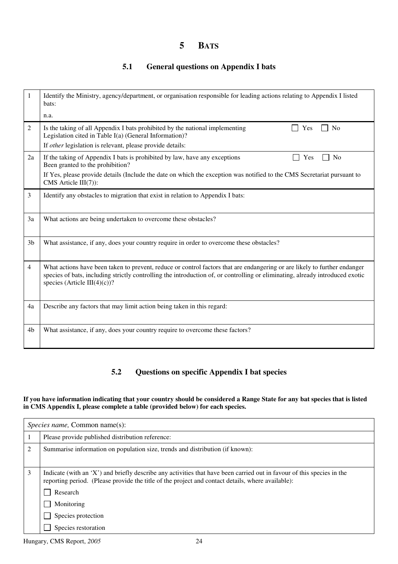### **5 BATS**

#### **5.1 General questions on Appendix I bats**

| 1              | Identify the Ministry, agency/department, or organisation responsible for leading actions relating to Appendix I listed<br>bats:                                                                                                                                                           |
|----------------|--------------------------------------------------------------------------------------------------------------------------------------------------------------------------------------------------------------------------------------------------------------------------------------------|
|                | n.a.                                                                                                                                                                                                                                                                                       |
| $\overline{2}$ | Is the taking of all Appendix I bats prohibited by the national implementing<br>No<br>Yes<br>Legislation cited in Table I(a) (General Information)?                                                                                                                                        |
|                | If other legislation is relevant, please provide details:                                                                                                                                                                                                                                  |
| 2a             | If the taking of Appendix I bats is prohibited by law, have any exceptions<br><b>No</b><br>Yes<br>Been granted to the prohibition?                                                                                                                                                         |
|                | If Yes, please provide details (Include the date on which the exception was notified to the CMS Secretariat pursuant to<br>CMS Article III(7)):                                                                                                                                            |
| 3              | Identify any obstacles to migration that exist in relation to Appendix I bats:                                                                                                                                                                                                             |
| 3a             | What actions are being undertaken to overcome these obstacles?                                                                                                                                                                                                                             |
| 3 <sub>b</sub> | What assistance, if any, does your country require in order to overcome these obstacles?                                                                                                                                                                                                   |
| $\overline{4}$ | What actions have been taken to prevent, reduce or control factors that are endangering or are likely to further endanger<br>species of bats, including strictly controlling the introduction of, or controlling or eliminating, already introduced exotic<br>species (Article III(4)(c))? |
| 4a             | Describe any factors that may limit action being taken in this regard:                                                                                                                                                                                                                     |
| 4b             | What assistance, if any, does your country require to overcome these factors?                                                                                                                                                                                                              |

#### **5.2 Questions on specific Appendix I bat species**

#### **If you have information indicating that your country should be considered a Range State for any bat species that is listed in CMS Appendix I, please complete a table (provided below) for each species.**

|   | <i>Species name, Common name(s):</i>                                                                                                                                                                                        |  |  |
|---|-----------------------------------------------------------------------------------------------------------------------------------------------------------------------------------------------------------------------------|--|--|
|   | Please provide published distribution reference:                                                                                                                                                                            |  |  |
| 2 | Summarise information on population size, trends and distribution (if known):                                                                                                                                               |  |  |
|   |                                                                                                                                                                                                                             |  |  |
| 3 | Indicate (with an 'X') and briefly describe any activities that have been carried out in favour of this species in the<br>reporting period. (Please provide the title of the project and contact details, where available): |  |  |
|   | Research                                                                                                                                                                                                                    |  |  |
|   | Monitoring                                                                                                                                                                                                                  |  |  |
|   | Species protection                                                                                                                                                                                                          |  |  |
|   | Species restoration                                                                                                                                                                                                         |  |  |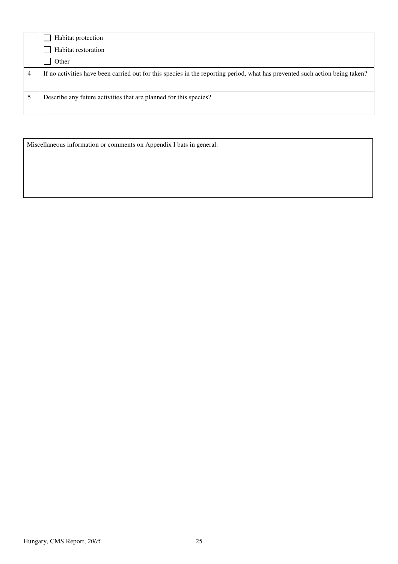| Habitat protection                                                                                                           |
|------------------------------------------------------------------------------------------------------------------------------|
| Habitat restoration                                                                                                          |
| Other                                                                                                                        |
| If no activities have been carried out for this species in the reporting period, what has prevented such action being taken? |
| Describe any future activities that are planned for this species?                                                            |

Miscellaneous information or comments on Appendix I bats in general: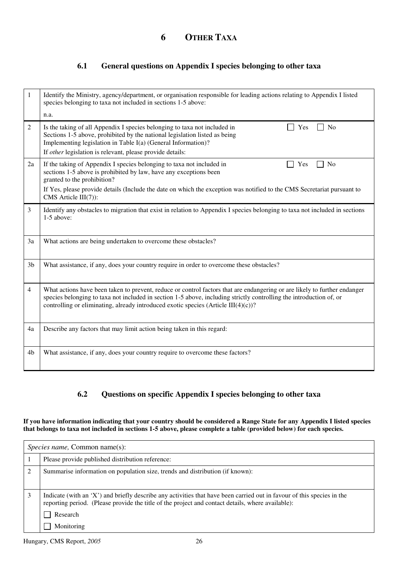### **6 OTHER TAXA**

#### **6.1 General questions on Appendix I species belonging to other taxa**

| 1              | Identify the Ministry, agency/department, or organisation responsible for leading actions relating to Appendix I listed<br>species belonging to taxa not included in sections 1-5 above:<br>n.a.                                                                                                                                          |
|----------------|-------------------------------------------------------------------------------------------------------------------------------------------------------------------------------------------------------------------------------------------------------------------------------------------------------------------------------------------|
| 2              | Is the taking of all Appendix I species belonging to taxa not included in<br>N <sub>0</sub><br>Yes<br>Sections 1-5 above, prohibited by the national legislation listed as being<br>Implementing legislation in Table I(a) (General Information)?                                                                                         |
|                | If other legislation is relevant, please provide details:                                                                                                                                                                                                                                                                                 |
| 2a             | If the taking of Appendix I species belonging to taxa not included in<br>Yes<br>N <sub>o</sub><br>sections 1-5 above is prohibited by law, have any exceptions been<br>granted to the prohibition?                                                                                                                                        |
|                | If Yes, please provide details (Include the date on which the exception was notified to the CMS Secretariat pursuant to<br>CMS Article III(7)):                                                                                                                                                                                           |
| 3              | Identify any obstacles to migration that exist in relation to Appendix I species belonging to taxa not included in sections<br>$1-5$ above:                                                                                                                                                                                               |
| 3a             | What actions are being undertaken to overcome these obstacles?                                                                                                                                                                                                                                                                            |
| 3 <sub>b</sub> | What assistance, if any, does your country require in order to overcome these obstacles?                                                                                                                                                                                                                                                  |
| $\overline{4}$ | What actions have been taken to prevent, reduce or control factors that are endangering or are likely to further endanger<br>species belonging to taxa not included in section 1-5 above, including strictly controlling the introduction of, or<br>controlling or eliminating, already introduced exotic species (Article $III(4)(c)$ )? |
| 4a             | Describe any factors that may limit action being taken in this regard:                                                                                                                                                                                                                                                                    |
| 4b             | What assistance, if any, does your country require to overcome these factors?                                                                                                                                                                                                                                                             |

#### **6.2 Questions on specific Appendix I species belonging to other taxa**

**If you have information indicating that your country should be considered a Range State for any Appendix I listed species that belongs to taxa not included in sections 1-5 above, please complete a table (provided below) for each species.** 

|   | <i>Species name, Common name(s):</i>                                                                                                                                                                                        |  |  |
|---|-----------------------------------------------------------------------------------------------------------------------------------------------------------------------------------------------------------------------------|--|--|
|   | Please provide published distribution reference:                                                                                                                                                                            |  |  |
| 2 | Summarise information on population size, trends and distribution (if known):                                                                                                                                               |  |  |
| 3 | Indicate (with an 'X') and briefly describe any activities that have been carried out in favour of this species in the<br>reporting period. (Please provide the title of the project and contact details, where available): |  |  |
|   | Research                                                                                                                                                                                                                    |  |  |
|   | Monitoring                                                                                                                                                                                                                  |  |  |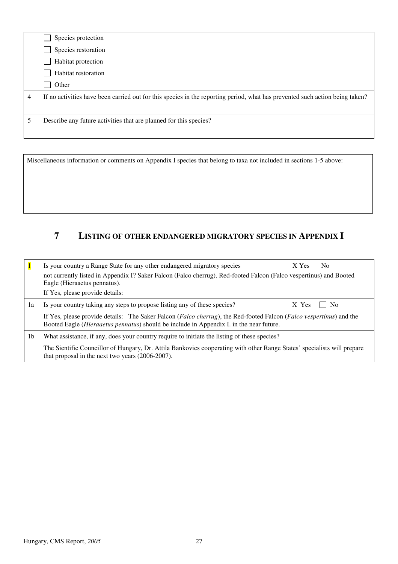|                | Species protection                                                                                                           |
|----------------|------------------------------------------------------------------------------------------------------------------------------|
|                | Species restoration                                                                                                          |
|                | Habitat protection                                                                                                           |
|                | Habitat restoration                                                                                                          |
|                | Other                                                                                                                        |
| $\overline{4}$ | If no activities have been carried out for this species in the reporting period, what has prevented such action being taken? |
|                |                                                                                                                              |
|                | Describe any future activities that are planned for this species?                                                            |
|                |                                                                                                                              |

Miscellaneous information or comments on Appendix I species that belong to taxa not included in sections 1-5 above:

## **7 LISTING OF OTHER ENDANGERED MIGRATORY SPECIES IN APPENDIX I**

|    | Is your country a Range State for any other endangered migratory species                                                                                                                                                                  | X Yes | N <sub>0</sub> |
|----|-------------------------------------------------------------------------------------------------------------------------------------------------------------------------------------------------------------------------------------------|-------|----------------|
|    | not currently listed in Appendix I? Saker Falcon (Falco cherrug), Red-footed Falcon (Falco vespertinus) and Booted<br>Eagle (Hieraaetus pennatus).                                                                                        |       |                |
|    | If Yes, please provide details:                                                                                                                                                                                                           |       |                |
| 1a | Is your country taking any steps to propose listing any of these species?                                                                                                                                                                 | X Yes | No             |
|    | If Yes, please provide details: The Saker Falcon ( <i>Falco cherrug</i> ), the Red-footed Falcon ( <i>Falco vespertinus</i> ) and the<br>Booted Eagle ( <i>Hieraaetus pennatus</i> ) should be include in Appendix I. in the near future. |       |                |
| 1b | What assistance, if any, does your country require to initiate the listing of these species?                                                                                                                                              |       |                |
|    | The Sientific Councillor of Hungary, Dr. Attila Bankovics cooperating with other Range States' specialists will prepare<br>that proposal in the next two years (2006-2007).                                                               |       |                |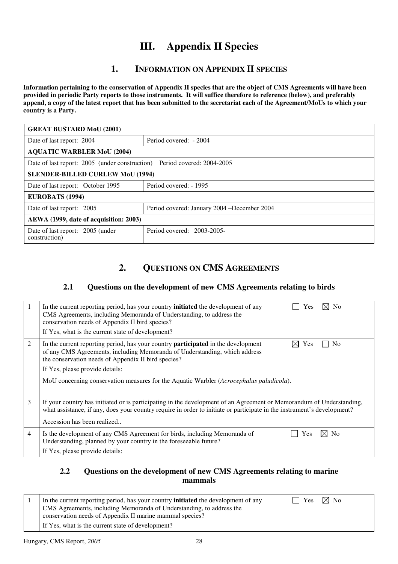## **III. Appendix II Species**

### **1. INFORMATION ON APPENDIX II SPECIES**

**Information pertaining to the conservation of Appendix II species that are the object of CMS Agreements will have been provided in periodic Party reports to those instruments. It will suffice therefore to reference (below), and preferably append, a copy of the latest report that has been submitted to the secretariat each of the Agreement/MoUs to which your country is a Party.** 

| <b>GREAT BUSTARD MoU (2001)</b>                   |                                                                          |  |  |
|---------------------------------------------------|--------------------------------------------------------------------------|--|--|
| Date of last report: 2004                         | Period covered: - 2004                                                   |  |  |
| <b>AQUATIC WARBLER MoU (2004)</b>                 |                                                                          |  |  |
|                                                   | Date of last report: 2005 (under construction) Period covered: 2004-2005 |  |  |
|                                                   | <b>SLENDER-BILLED CURLEW MoU (1994)</b>                                  |  |  |
| Date of last report: October 1995                 | Period covered: - 1995                                                   |  |  |
| EUROBATS (1994)                                   |                                                                          |  |  |
| Date of last report: 2005                         | Period covered: January 2004 – December 2004                             |  |  |
| AEWA (1999, date of acquisition: 2003)            |                                                                          |  |  |
| Date of last report: 2005 (under<br>construction) | Period covered: 2003-2005-                                               |  |  |

## **2. QUESTIONS ON CMS AGREEMENTS**

#### **2.1 Questions on the development of new CMS Agreements relating to birds**

|                | In the current reporting period, has your country <b>initiated</b> the development of any<br>⊠ No<br>Yes<br>CMS Agreements, including Memoranda of Understanding, to address the<br>conservation needs of Appendix II bird species?<br>If Yes, what is the current state of development?                                                                                                                  |
|----------------|-----------------------------------------------------------------------------------------------------------------------------------------------------------------------------------------------------------------------------------------------------------------------------------------------------------------------------------------------------------------------------------------------------------|
| 2              | In the current reporting period, has your country <b>participated</b> in the development<br>$\boxtimes$ Yes<br>N <sub>0</sub><br>of any CMS Agreements, including Memoranda of Understanding, which address<br>the conservation needs of Appendix II bird species?<br>If Yes, please provide details:<br>MoU concerning conservation measures for the Aquatic Warbler ( <i>Acrocephalus paludicola</i> ). |
| 3              | If your country has initiated or is participating in the development of an Agreement or Memorandum of Understanding,<br>what assistance, if any, does your country require in order to initiate or participate in the instrument's development?<br>Accession has been realized                                                                                                                            |
| $\overline{4}$ | Is the development of any CMS Agreement for birds, including Memoranda of<br>N <sub>0</sub><br>Yes<br>Understanding, planned by your country in the foreseeable future?<br>If Yes, please provide details:                                                                                                                                                                                                |

#### **2.2 Questions on the development of new CMS Agreements relating to marine mammals**

|  | In the current reporting period, has your country <b>initiated</b> the development of any | $\vert$ Yes $\boxtimes$ No |  |
|--|-------------------------------------------------------------------------------------------|----------------------------|--|
|  | CMS Agreements, including Memoranda of Understanding, to address the                      |                            |  |
|  | conservation needs of Appendix II marine mammal species?                                  |                            |  |
|  | If Yes, what is the current state of development?                                         |                            |  |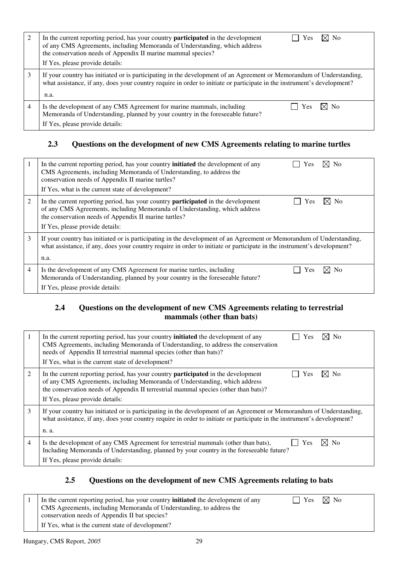| 2 | $\boxtimes$ No<br>In the current reporting period, has your country <b>participated</b> in the development<br>Yes<br>of any CMS Agreements, including Memoranda of Understanding, which address<br>the conservation needs of Appendix II marine mammal species?<br>If Yes, please provide details: |
|---|----------------------------------------------------------------------------------------------------------------------------------------------------------------------------------------------------------------------------------------------------------------------------------------------------|
| 3 | If your country has initiated or is participating in the development of an Agreement or Memorandum of Understanding,<br>what assistance, if any, does your country require in order to initiate or participate in the instrument's development?<br>n.a.                                            |
| 4 | Is the development of any CMS Agreement for marine mammals, including<br>⊠ No<br>Yes<br>Memoranda of Understanding, planned by your country in the foreseeable future?<br>If Yes, please provide details:                                                                                          |

### **2.3 Questions on the development of new CMS Agreements relating to marine turtles**

| 1 | $\times$ l No<br>In the current reporting period, has your country <b>initiated</b> the development of any<br>Yes<br>CMS Agreements, including Memoranda of Understanding, to address the<br>conservation needs of Appendix II marine turtles?<br>If Yes, what is the current state of development? |
|---|-----------------------------------------------------------------------------------------------------------------------------------------------------------------------------------------------------------------------------------------------------------------------------------------------------|
| 2 | $\times$ No<br>In the current reporting period, has your country <b>participated</b> in the development<br>Yes<br>of any CMS Agreements, including Memoranda of Understanding, which address<br>the conservation needs of Appendix II marine turtles?<br>If Yes, please provide details:            |
| 3 | If your country has initiated or is participating in the development of an Agreement or Memorandum of Understanding,<br>what assistance, if any, does your country require in order to initiate or participate in the instrument's development?<br>n.a.                                             |
| 4 | Is the development of any CMS Agreement for marine turtles, including<br>⊠ No<br>Yes<br>Memoranda of Understanding, planned by your country in the foreseeable future?<br>If Yes, please provide details:                                                                                           |

#### **2.4 Questions on the development of new CMS Agreements relating to terrestrial mammals (other than bats)**

|                | $\times$ l No<br>In the current reporting period, has your country <b>initiated</b> the development of any<br>Yes<br>CMS Agreements, including Memoranda of Understanding, to address the conservation<br>needs of Appendix II terrestrial mammal species (other than bats)?<br>If Yes, what is the current state of development? |
|----------------|-----------------------------------------------------------------------------------------------------------------------------------------------------------------------------------------------------------------------------------------------------------------------------------------------------------------------------------|
| 2              | $\times$ No<br>In the current reporting period, has your country <b>participated</b> in the development<br>Yes<br>of any CMS Agreements, including Memoranda of Understanding, which address<br>the conservation needs of Appendix II terrestrial mammal species (other than bats)?<br>If Yes, please provide details:            |
| 3              | If your country has initiated or is participating in the development of an Agreement or Memorandum of Understanding,<br>what assistance, if any, does your country require in order to initiate or participate in the instrument's development?<br>n. a.                                                                          |
| $\overline{4}$ | Is the development of any CMS Agreement for terrestrial mammals (other than bats),<br>N <sub>o</sub><br>Yes<br>Including Memoranda of Understanding, planned by your country in the foreseeable future?<br>If Yes, please provide details:                                                                                        |

#### **2.5 Questions on the development of new CMS Agreements relating to bats**

| In the current reporting period, has your country <b>initiated</b> the development of any | $\vert$   Yes $\boxtimes$ No |  |
|-------------------------------------------------------------------------------------------|------------------------------|--|
| CMS Agreements, including Memoranda of Understanding, to address the                      |                              |  |
| conservation needs of Appendix II bat species?                                            |                              |  |
| If Yes, what is the current state of development?                                         |                              |  |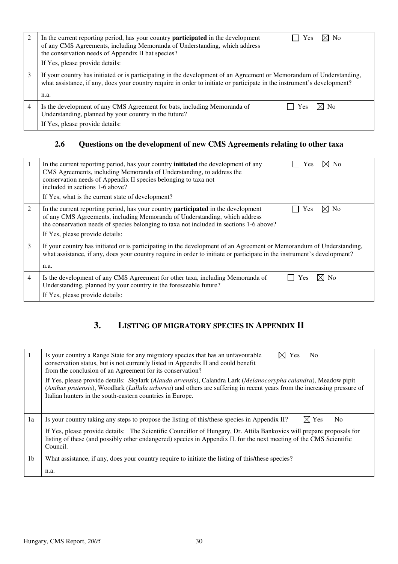|   | $\boxtimes$ No<br>In the current reporting period, has your country <b>participated</b> in the development<br>Yes<br>of any CMS Agreements, including Memoranda of Understanding, which address<br>the conservation needs of Appendix II bat species?<br>If Yes, please provide details: |
|---|------------------------------------------------------------------------------------------------------------------------------------------------------------------------------------------------------------------------------------------------------------------------------------------|
|   | If your country has initiated or is participating in the development of an Agreement or Memorandum of Understanding,<br>what assistance, if any, does your country require in order to initiate or participate in the instrument's development?<br>n.a.                                  |
| 4 | Is the development of any CMS Agreement for bats, including Memoranda of<br>⊠ No<br><b>Yes</b><br>Understanding, planned by your country in the future?<br>If Yes, please provide details:                                                                                               |

## **2.6 Questions on the development of new CMS Agreements relating to other taxa**

|   | ⊠ No<br>In the current reporting period, has your country <b>initiated</b> the development of any<br><b>Yes</b><br>CMS Agreements, including Memoranda of Understanding, to address the<br>conservation needs of Appendix II species belonging to taxa not<br>included in sections 1-6 above?<br>If Yes, what is the current state of development? |
|---|----------------------------------------------------------------------------------------------------------------------------------------------------------------------------------------------------------------------------------------------------------------------------------------------------------------------------------------------------|
| 2 | In the current reporting period, has your country <b>participated</b> in the development<br>⊠ No<br>Yes<br>of any CMS Agreements, including Memoranda of Understanding, which address<br>the conservation needs of species belonging to taxa not included in sections 1-6 above?<br>If Yes, please provide details:                                |
| 3 | If your country has initiated or is participating in the development of an Agreement or Memorandum of Understanding,<br>what assistance, if any, does your country require in order to initiate or participate in the instrument's development?<br>n.a.                                                                                            |
| 4 | Is the development of any CMS Agreement for other taxa, including Memoranda of<br>⊠ No<br>Yes<br>Understanding, planned by your country in the foreseeable future?<br>If Yes, please provide details:                                                                                                                                              |

## **3. LISTING OF MIGRATORY SPECIES IN APPENDIX II**

|                | Is your country a Range State for any migratory species that has an unfavourable<br>N <sub>0</sub><br><b>Yes</b><br>conservation status, but is not currently listed in Appendix II and could benefit<br>from the conclusion of an Agreement for its conservation?                                      |
|----------------|---------------------------------------------------------------------------------------------------------------------------------------------------------------------------------------------------------------------------------------------------------------------------------------------------------|
|                | If Yes, please provide details: Skylark (Alauda arvensis), Calandra Lark (Melanocorypha calandra), Meadow pipit<br>(Anthus pratensis), Woodlark (Lullula arborea) and others are suffering in recent years from the increasing pressure of<br>Italian hunters in the south-eastern countries in Europe. |
| 1a             | $\boxtimes$ Yes<br>N <sub>0</sub><br>Is your country taking any steps to propose the listing of this/these species in Appendix II?                                                                                                                                                                      |
|                | If Yes, please provide details: The Scientific Councillor of Hungary, Dr. Attila Bankovics will prepare proposals for<br>listing of these (and possibly other endangered) species in Appendix II. for the next meeting of the CMS Scientific<br>Council.                                                |
| 1 <sub>b</sub> | What assistance, if any, does your country require to initiate the listing of this/these species?                                                                                                                                                                                                       |
|                | n.a.                                                                                                                                                                                                                                                                                                    |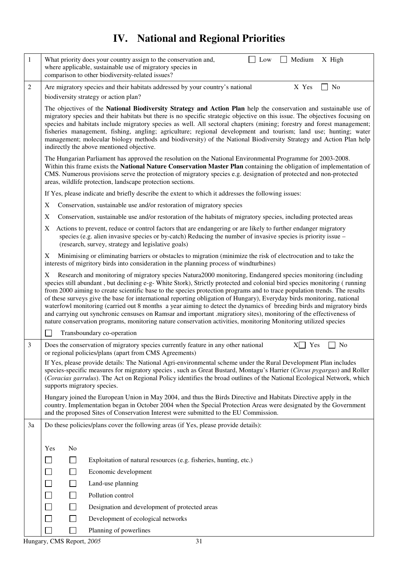# **IV. National and Regional Priorities**

| $\mathbf{1}$   | Medium<br>What priority does your country assign to the conservation and,<br>Low<br>X High<br>where applicable, sustainable use of migratory species in<br>comparison to other biodiversity-related issues?                                                                                                                                                                                                                                                                                                                                                                                                                                                                                                                                                                                                                                                                                             |
|----------------|---------------------------------------------------------------------------------------------------------------------------------------------------------------------------------------------------------------------------------------------------------------------------------------------------------------------------------------------------------------------------------------------------------------------------------------------------------------------------------------------------------------------------------------------------------------------------------------------------------------------------------------------------------------------------------------------------------------------------------------------------------------------------------------------------------------------------------------------------------------------------------------------------------|
| $\overline{c}$ | Are migratory species and their habitats addressed by your country's national<br>X Yes<br>No<br>biodiversity strategy or action plan?                                                                                                                                                                                                                                                                                                                                                                                                                                                                                                                                                                                                                                                                                                                                                                   |
|                | The objectives of the National Biodiversity Strategy and Action Plan help the conservation and sustainable use of<br>migratory species and their habitats but there is no specific strategic objective on this issue. The objectives focusing on<br>species and habitats include migratory species as well. All sectoral chapters (mining; forestry and forest management;<br>fisheries management, fishing, angling; agriculture; regional development and tourism; land use; hunting; water<br>management; molecular biology methods and biodiversity) of the National Biodiversity Strategy and Action Plan help<br>indirectly the above mentioned objective.                                                                                                                                                                                                                                        |
|                | The Hungarian Parliament has approved the resolution on the National Environmental Programme for 2003-2008.<br>Within this frame exists the National Nature Conservation Master Plan containing the obligation of implementation of<br>CMS. Numerous provisions serve the protection of migratory species e.g. designation of protected and non-protected<br>areas, wildlife protection, landscape protection sections.                                                                                                                                                                                                                                                                                                                                                                                                                                                                                 |
|                | If Yes, please indicate and briefly describe the extent to which it addresses the following issues:                                                                                                                                                                                                                                                                                                                                                                                                                                                                                                                                                                                                                                                                                                                                                                                                     |
|                | Conservation, sustainable use and/or restoration of migratory species<br>X                                                                                                                                                                                                                                                                                                                                                                                                                                                                                                                                                                                                                                                                                                                                                                                                                              |
|                | Conservation, sustainable use and/or restoration of the habitats of migratory species, including protected areas<br>X                                                                                                                                                                                                                                                                                                                                                                                                                                                                                                                                                                                                                                                                                                                                                                                   |
|                | Actions to prevent, reduce or control factors that are endangering or are likely to further endanger migratory<br>X<br>species (e.g. alien invasive species or by-catch) Reducing the number of invasive species is priority issue $-$<br>(research, survey, strategy and legislative goals)                                                                                                                                                                                                                                                                                                                                                                                                                                                                                                                                                                                                            |
|                | Minimising or eliminating barriers or obstacles to migration (minimize the risk of electrocution and to take the<br>X<br>interests of migritory birds into consideration in the planning process of windturbines)                                                                                                                                                                                                                                                                                                                                                                                                                                                                                                                                                                                                                                                                                       |
|                | Research and monitoring of migratory species Natura 2000 monitoring, Endangered species monitoring (including<br>X<br>species still abundant, but declining e-g- White Stork), Strictly protected and colonial bird species monitoring (running<br>from 2000 aiming to create scientific base to the species protection programs and to trace population trends. The results<br>of these surveys give the base for international reporting obligation of Hungary), Everyday birds monitoring, national<br>waterfowl monitoring (carried out 8 months a year aiming to detect the dynamics of breeding birds and migratory birds<br>and carrying out synchronic censuses on Ramsar and important .migratiory sites), monitoring of the effectiveness of<br>nature conservation programs, monitoring nature conservation activities, monitoring Monitoring utilized species<br>Transboundary co-operation |
| 3              | Does the conservation of migratory species currently feature in any other national<br>Yes<br>No<br>XI                                                                                                                                                                                                                                                                                                                                                                                                                                                                                                                                                                                                                                                                                                                                                                                                   |
|                | or regional policies/plans (apart from CMS Agreements)                                                                                                                                                                                                                                                                                                                                                                                                                                                                                                                                                                                                                                                                                                                                                                                                                                                  |
|                | If Yes, please provide details: The National Agri-environmental scheme under the Rural Development Plan includes<br>species-specific measures for migratory species, such as Great Bustard, Montagu's Harrier (Circus pygargus) and Roller<br>(Coracias garrulus). The Act on Regional Policy identifies the broad outlines of the National Ecological Network, which<br>supports migratory species.                                                                                                                                                                                                                                                                                                                                                                                                                                                                                                    |
|                | Hungary joined the European Union in May 2004, and thus the Birds Directive and Habitats Directive apply in the<br>country. Implementation began in October 2004 when the Special Protection Areas were designated by the Government<br>and the proposed Sites of Conservation Interest were submitted to the EU Commission.                                                                                                                                                                                                                                                                                                                                                                                                                                                                                                                                                                            |
| 3a             | Do these policies/plans cover the following areas (if Yes, please provide details):                                                                                                                                                                                                                                                                                                                                                                                                                                                                                                                                                                                                                                                                                                                                                                                                                     |
|                |                                                                                                                                                                                                                                                                                                                                                                                                                                                                                                                                                                                                                                                                                                                                                                                                                                                                                                         |
|                | No<br>Yes                                                                                                                                                                                                                                                                                                                                                                                                                                                                                                                                                                                                                                                                                                                                                                                                                                                                                               |
|                | $\Box$<br>Exploitation of natural resources (e.g. fisheries, hunting, etc.)                                                                                                                                                                                                                                                                                                                                                                                                                                                                                                                                                                                                                                                                                                                                                                                                                             |
|                | $\Box$<br>Economic development                                                                                                                                                                                                                                                                                                                                                                                                                                                                                                                                                                                                                                                                                                                                                                                                                                                                          |
|                | $\Box$<br>Land-use planning                                                                                                                                                                                                                                                                                                                                                                                                                                                                                                                                                                                                                                                                                                                                                                                                                                                                             |
|                | $\Box$<br>Pollution control                                                                                                                                                                                                                                                                                                                                                                                                                                                                                                                                                                                                                                                                                                                                                                                                                                                                             |
|                | Designation and development of protected areas                                                                                                                                                                                                                                                                                                                                                                                                                                                                                                                                                                                                                                                                                                                                                                                                                                                          |
|                | $\overline{\phantom{a}}$<br>Development of ecological networks                                                                                                                                                                                                                                                                                                                                                                                                                                                                                                                                                                                                                                                                                                                                                                                                                                          |
|                | $\mathbb{R}^n$<br>Planning of powerlines                                                                                                                                                                                                                                                                                                                                                                                                                                                                                                                                                                                                                                                                                                                                                                                                                                                                |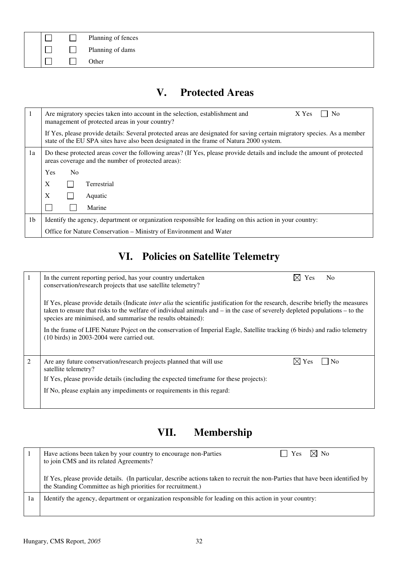|  | Planning of fences |
|--|--------------------|
|  | Planning of dams   |
|  | Other              |

## **V. Protected Areas**

|                | Are migratory species taken into account in the selection, establishment and<br>N <sub>o</sub><br>X Yes<br>management of protected areas in your country?                                                           |
|----------------|---------------------------------------------------------------------------------------------------------------------------------------------------------------------------------------------------------------------|
|                | If Yes, please provide details: Several protected areas are designated for saving certain migratory species. As a member<br>state of the EU SPA sites have also been designated in the frame of Natura 2000 system. |
| 1a             | Do these protected areas cover the following areas? (If Yes, please provide details and include the amount of protected<br>areas coverage and the number of protected areas):                                       |
|                | Yes<br>N <sub>0</sub>                                                                                                                                                                                               |
|                | X<br><b>Terrestrial</b>                                                                                                                                                                                             |
|                | X<br>Aquatic                                                                                                                                                                                                        |
|                | Marine                                                                                                                                                                                                              |
| 1 <sub>b</sub> | Identify the agency, department or organization responsible for leading on this action in your country:                                                                                                             |
|                | Office for Nature Conservation - Ministry of Environment and Water                                                                                                                                                  |

# **VI. Policies on Satellite Telemetry**

|   | In the current reporting period, has your country undertaken<br>conservation/research projects that use satellite telemetry?                                                                                                                                                                                                              | $\boxtimes$ Yes | N <sub>0</sub> |
|---|-------------------------------------------------------------------------------------------------------------------------------------------------------------------------------------------------------------------------------------------------------------------------------------------------------------------------------------------|-----------------|----------------|
|   | If Yes, please provide details (Indicate <i>inter alia</i> the scientific justification for the research, describe briefly the measures<br>taken to ensure that risks to the welfare of individual animals and $-$ in the case of severely depleted populations $-$ to the<br>species are minimised, and summarise the results obtained): |                 |                |
|   | In the frame of LIFE Nature Poject on the conservation of Imperial Eagle, Satellite tracking (6 birds) and radio telemetry<br>$(10 \text{ birds})$ in 2003-2004 were carried out.                                                                                                                                                         |                 |                |
| 2 | Are any future conservation/research projects planned that will use<br>satellite telemetry?                                                                                                                                                                                                                                               | $\boxtimes$ Yes | $\overline{N}$ |
|   | If Yes, please provide details (including the expected time frame for these projects):                                                                                                                                                                                                                                                    |                 |                |
|   | If No, please explain any impediments or requirements in this regard:                                                                                                                                                                                                                                                                     |                 |                |
|   |                                                                                                                                                                                                                                                                                                                                           |                 |                |

# **VII. Membership**

|    | $\boxtimes$ No<br>Have actions been taken by your country to encourage non-Parties<br><b>Yes</b><br>to join CMS and its related Agreements?                                                   |
|----|-----------------------------------------------------------------------------------------------------------------------------------------------------------------------------------------------|
|    | If Yes, please provide details. (In particular, describe actions taken to recruit the non-Parties that have been identified by<br>the Standing Committee as high priorities for recruitment.) |
| 1a | Identify the agency, department or organization responsible for leading on this action in your country:                                                                                       |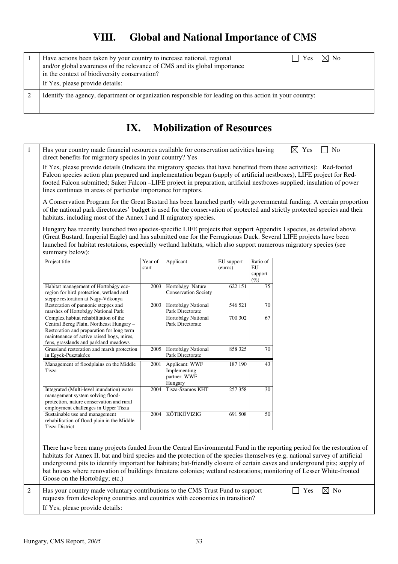## **VIII. Global and National Importance of CMS**

| $\Box$ Yes $\boxtimes$ No<br>Have actions been taken by your country to increase national, regional<br>and/or global awareness of the relevance of CMS and its global importance<br>in the context of biodiversity conservation?<br>If Yes, please provide details: |
|---------------------------------------------------------------------------------------------------------------------------------------------------------------------------------------------------------------------------------------------------------------------|
| Identify the agency, department or organization responsible for leading on this action in your country:                                                                                                                                                             |

## **IX. Mobilization of Resources**

1 Has your country made financial resources available for conservation activities having  $\boxtimes$  Yes  $\Box$  No direct benefits for migratory species in your country? Yes

If Yes, please provide details (Indicate the migratory species that have benefited from these activities): Red-footed Falcon species action plan prepared and implementation begun (supply of artificial nestboxes), LIFE project for Redfooted Falcon submitted; Saker Falcon –LIFE project in preparation, artificial nestboxes supplied; insulation of power lines continues in areas of particular importance for raptors.

A Conservation Program for the Great Bustard has been launched partly with governmental funding. A certain proportion of the national park directorates' budget is used for the conservation of protected and strictly protected species and their habitats, including most of the Annex I and II migratory species.

Hungary has recently launched two species-specific LIFE projects that support Appendix I species, as detailed above (Great Bustard, Imperial Eagle) and has submitted one for the Ferrugionus Duck. Several LIFE projects have been launched for habitat restotaions, especially wetland habitats, which also support numerous migratory species (see summary below):

| Project title                                                                                                                                                                                                        | Year of | Applicant                                                        | EU support | Ratio of                |
|----------------------------------------------------------------------------------------------------------------------------------------------------------------------------------------------------------------------|---------|------------------------------------------------------------------|------------|-------------------------|
|                                                                                                                                                                                                                      | start   |                                                                  | (euros)    | EU<br>support<br>$(\%)$ |
| Habitat management of Hortobágy eco-<br>region for bird protection, wetland and<br>steppe restoration at Nagy-Vókonya                                                                                                | 2003    | Hortobágy Nature<br><b>Conservation Society</b>                  | 622 151    | 75                      |
| Restoration of pannonic steppes and<br>marshes of Hortobágy National Park                                                                                                                                            | 2003    | Hortobágy National<br>Park Directorate                           | 546 521    | 70                      |
| Complex habitat rehabilitation of the<br>Central Bereg Plain, Northeast Hungary -<br>Restoration and preparation for long term<br>maintenance of active raised bogs, mires,<br>fens, grasslands and parkland meadows |         | Hortobágy National<br>Park Directorate                           | 700 302    | 67                      |
| Grassland restoration and marsh protection<br>in Egyek-Pusztakócs                                                                                                                                                    | 2005    | Hortobágy National<br>Park Directorate                           | 858 325    | 70                      |
| Management of floodplains on the Middle<br>Tisza                                                                                                                                                                     | 2001    | <b>Applicant: WWF</b><br>Implementing<br>partner: WWF<br>Hungary | 187 190    | 43                      |
| Integrated (Multi-level inundation) water<br>management system solving flood-<br>protection, nature conservation and rural<br>employment challenges in Upper Tisza                                                   | 2004    | Tisza-Szamos KHT                                                 | 257 358    | 30                      |
| Sustainable use and management<br>rehabilitation of flood plain in the Middle<br><b>Tisza District</b>                                                                                                               | 2004    | KÖTIKÖVIZIG                                                      | 691 508    | 50                      |

There have been many projects funded from the Central Environmental Fund in the reporting period for the restoration of habitats for Annex II. bat and bird species and the protection of the species themselves (e.g. national survey of artificial underground pits to identify important bat habitats; bat-friendly closure of certain caves and underground pits; supply of bat houses where renovation of buildings threatens colonies; wetland restorations; monitoring of Lesser White-fronted Goose on the Hortobágy; etc.)

2 Has your country made voluntary contributions to the CMS Trust Fund to support  $\Box$  Yes  $\boxtimes$  No requests from developing countries and countries with economies in transition? If Yes, please provide details: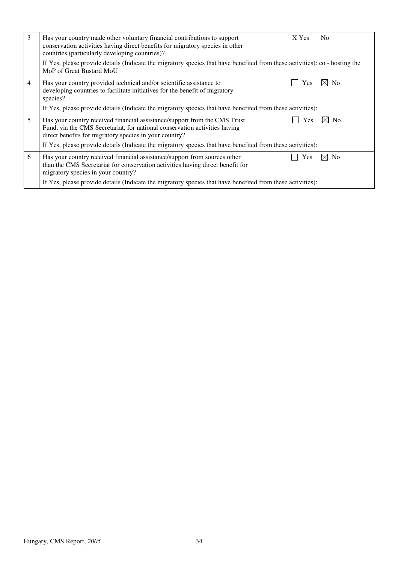| 3 | Has your country made other voluntary financial contributions to support<br>conservation activities having direct benefits for migratory species in other<br>countries (particularly developing countries)?                                                                  | X Yes      | N <sub>0</sub> |
|---|------------------------------------------------------------------------------------------------------------------------------------------------------------------------------------------------------------------------------------------------------------------------------|------------|----------------|
|   | If Yes, please provide details (Indicate the migratory species that have benefited from these activities): co - hosting the<br>MoP of Great Bustard MoU                                                                                                                      |            |                |
| 4 | Has your country provided technical and/or scientific assistance to<br>developing countries to facilitate initiatives for the benefit of migratory<br>species?<br>If Yes, please provide details (Indicate the migratory species that have benefited from these activities): | Yes        | $\boxtimes$ No |
| 5 | Has your country received financial assistance/support from the CMS Trust                                                                                                                                                                                                    | <b>Yes</b> | ⊠ No           |
|   | Fund, via the CMS Secretariat, for national conservation activities having<br>direct benefits for migratory species in your country?                                                                                                                                         |            |                |
|   | If Yes, please provide details (Indicate the migratory species that have benefited from these activities):                                                                                                                                                                   |            |                |
| 6 | Has your country received financial assistance/support from sources other<br>than the CMS Secretariat for conservation activities having direct benefit for<br>migratory species in your country?                                                                            | Yes        | ⊠ No           |
|   | If Yes, please provide details (Indicate the migratory species that have benefited from these activities):                                                                                                                                                                   |            |                |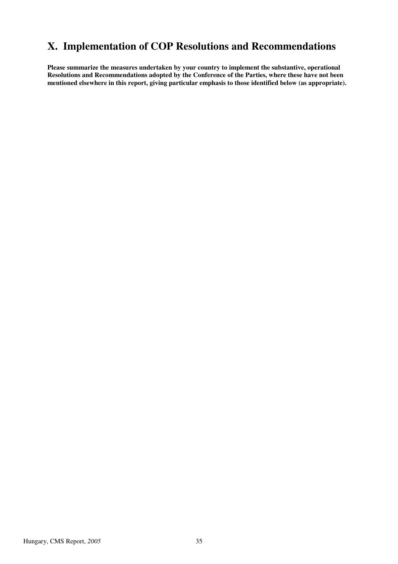## **X. Implementation of COP Resolutions and Recommendations**

**Please summarize the measures undertaken by your country to implement the substantive, operational Resolutions and Recommendations adopted by the Conference of the Parties, where these have not been mentioned elsewhere in this report, giving particular emphasis to those identified below (as appropriate).**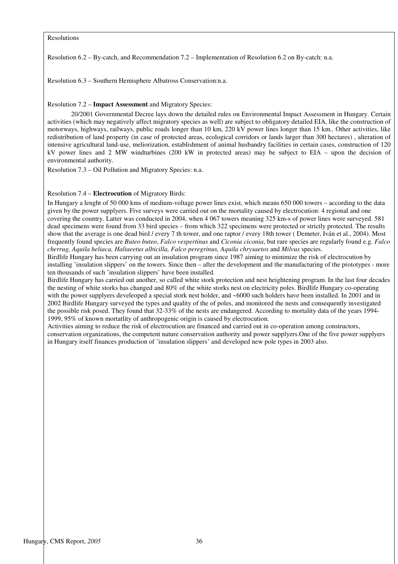Resolutions

Resolution 6.2 – By-catch, and Recommendation 7.2 – Implementation of Resolution 6.2 on By-catch: n.a.

Resolution 6.3 – Southern Hemisphere Albatross Conservation:n.a.

Resolution 7.2 – **Impact Assessment** and Migratory Species:

20/2001 Governmental Decree lays down the detailed rules on Environmental Impact Assessment in Hungary. Certain activities (which may negatively affect migratory species as well) are subject to obligatory detailed EIA, like the construction of motorways, highways, railways, public roads longer than 10 km, 220 kV power lines longer than 15 km.. Other activities, like redistribution of land property (in case of protected areas, ecological corridors or lands larger than 300 hectares) , alteration of intensive agricultural land-use, meliorization, establishment of animal husbandry facilities in certain cases, construction of 120 kV power lines and 2 MW windturbines (200 kW in protected areas) may be subject to EIA – upon the decision of environmental authority.

Resolution 7.3 – Oil Pollution and Migratory Species: n.a.

#### Resolution 7.4 – **Electrocution** of Migratory Birds:

In Hungary a lenght of 50 000 kms of medium-voltage power lines exist, which means 650 000 towers – according to the data given by the power supplyers. Five surveys were carried out on the mortality caused by electrocution: 4 regional and one covering the country. Latter was conducted in 2004, when 4 067 towers meaning 325 km-s of power lines were surveyed. 581 dead specimens were found from 33 bird species – from which 322 specimens were protected or strictly protected. The results show that the average is one dead bird / every 7 th tower, and one raptor / every 18th tower ( Demeter, Iván et al., 2004). Most frequently found species are *Buteo buteo*, *Falco vespertinus* and *Ciconia ciconia*, but rare species are regularly found e.g. *Falco cherrug, Aquila heliaca, Haliaeetus albicilla, Falco peregrinus, Aquila chrysaetos* and *Milvus* species.

Birdlife Hungary has been carrying out an insulation program since 1987 aiming to minimize the risk of electrocution by installing 'insulation slippers' on the towers. Since then – after the development and the manufacturing of the prototypes - more ten thousands of such 'insulation slippers' have been installed.

Birdlife Hungary has carried out another, so called white stork protection and nest heightening program. In the last four decades the nesting of white storks has changed and 80% of the white storks nest on electricity poles. Birdlife Hungary co-operating with the power supplyers develeoped a special stork nest holder, and ~6000 such holders have been installed. In 2001 and in 2002 Birdlife Hungary surveyed the types and quality of the of poles, and monitored the nests and consequently investigated the possible risk posed. They found that 32-33% of the nests are endangered. According to mortality data of the years 1994- 1999, 95% of known mortatlity of anthropogenic origin is caused by electrocution.

Activities aiming to reduce the risk of electrocution are financed and carried out in co-operation among constructors, conservation organizations, the competent nature conservation authority and power supplyers.One of the five power supplyers in Hungary itself finances production of 'insulation slippers' and developed new pole types in 2003 also.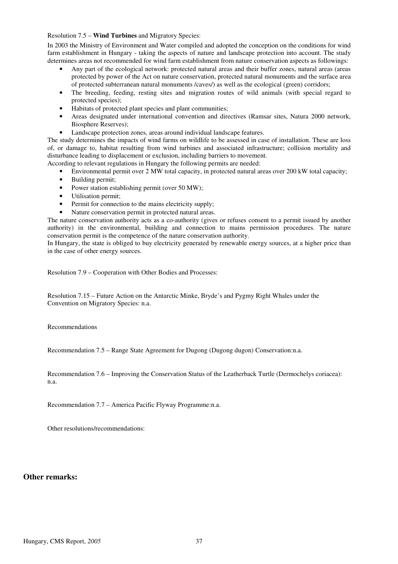#### Resolution 7.5 – **Wind Turbines** and Migratory Species:

In 2003 the Ministry of Environment and Water compiled and adopted the conception on the conditions for wind farm establishment in Hungary - taking the aspects of nature and landscape protection into account. The study determines areas not recommended for wind farm establishment from nature conservation aspects as followings:

- Any part of the ecological network: protected natural areas and their buffer zones, natural areas (areas protected by power of the Act on nature conservation, protected natural monuments and the surface area of protected subterranean natural monuments /caves/) as well as the ecological (green) corridors;
- The breeding, feeding, resting sites and migration routes of wild animals (with special regard to protected species);
- Habitats of protected plant species and plant communities;
- Areas designated under international convention and directives (Ramsar sites, Natura 2000 network, Biosphere Reserves);
- Landscape protection zones, areas around individual landscape features.

The study determines the impacts of wind farms on wildlife to be assessed in case of installation. These are loss of, or damage to, habitat resulting from wind turbines and associated infrastructure; collision mortality and disturbance leading to displacement or exclusion, including barriers to movement.

According to relevant regulations in Hungary the following permits are needed:

- Environmental permit over 2 MW total capacity, in protected natural areas over 200 kW total capacity;
- Building permit;
- Power station establishing permit (over 50 MW);
- Utilisation permit;
- Permit for connection to the mains electricity supply;
- Nature conservation permit in protected natural areas.

The nature conservation authority acts as a co-authority (gives or refuses consent to a permit issued by another authority) in the environmental, building and connection to mains permission procedures. The nature conservation permit is the competence of the nature conservation authority.

In Hungary, the state is obliged to buy electricity generated by renewable energy sources, at a higher price than in the case of other energy sources.

Resolution 7.9 – Cooperation with Other Bodies and Processes:

Resolution 7.15 – Future Action on the Antarctic Minke, Bryde's and Pygmy Right Whales under the Convention on Migratory Species: n.a.

Recommendations

Recommendation 7.5 – Range State Agreement for Dugong (Dugong dugon) Conservation:n.a.

Recommendation 7.6 – Improving the Conservation Status of the Leatherback Turtle (Dermochelys coriacea): n.a.

Recommendation 7.7 – America Pacific Flyway Programme:n.a.

Other resolutions/recommendations:

#### **Other remarks:**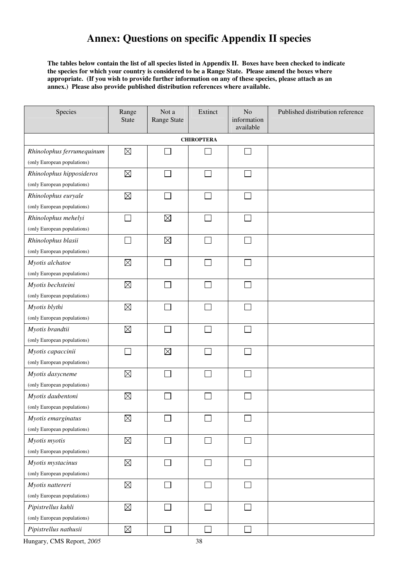## **Annex: Questions on specific Appendix II species**

**The tables below contain the list of all species listed in Appendix II. Boxes have been checked to indicate the species for which your country is considered to be a Range State. Please amend the boxes where appropriate. (If you wish to provide further information on any of these species, please attach as an annex.) Please also provide published distribution references where available.** 

| Species                     | Range<br><b>State</b>       | Not a<br>Range State | Extinct      | N <sub>o</sub><br>information<br>available | Published distribution reference |  |  |  |  |
|-----------------------------|-----------------------------|----------------------|--------------|--------------------------------------------|----------------------------------|--|--|--|--|
| <b>CHIROPTERA</b>           |                             |                      |              |                                            |                                  |  |  |  |  |
| Rhinolophus ferrumequinum   | $\boxtimes$                 |                      |              | $\Box$                                     |                                  |  |  |  |  |
| (only European populations) |                             |                      |              |                                            |                                  |  |  |  |  |
| Rhinolophus hipposideros    | $\boxtimes$                 |                      |              | $\mathbf{I}$                               |                                  |  |  |  |  |
| (only European populations) |                             |                      |              |                                            |                                  |  |  |  |  |
| Rhinolophus euryale         | $\boxtimes$                 |                      | ×.           | $\mathcal{L}_{\mathcal{A}}$                |                                  |  |  |  |  |
| (only European populations) |                             |                      |              |                                            |                                  |  |  |  |  |
| Rhinolophus mehelyi         | $\mathcal{L}_{\mathcal{A}}$ | $\boxtimes$          | ×.           | $\sim$                                     |                                  |  |  |  |  |
| (only European populations) |                             |                      |              |                                            |                                  |  |  |  |  |
| Rhinolophus blasii          |                             | $\boxtimes$          | $\sim$       | $\sim$                                     |                                  |  |  |  |  |
| (only European populations) |                             |                      |              |                                            |                                  |  |  |  |  |
| Myotis alchatoe             | $\boxtimes$                 |                      |              | <b>Contract</b>                            |                                  |  |  |  |  |
| (only European populations) |                             |                      |              |                                            |                                  |  |  |  |  |
| Myotis bechsteini           | $\boxtimes$                 |                      |              | П                                          |                                  |  |  |  |  |
| (only European populations) |                             |                      |              |                                            |                                  |  |  |  |  |
| Myotis blythi               | $\boxtimes$                 |                      |              |                                            |                                  |  |  |  |  |
| (only European populations) |                             |                      |              |                                            |                                  |  |  |  |  |
| Myotis brandtii             | $\boxtimes$                 |                      |              |                                            |                                  |  |  |  |  |
| (only European populations) |                             |                      |              |                                            |                                  |  |  |  |  |
| Myotis capaccinii           |                             | $\boxtimes$          |              |                                            |                                  |  |  |  |  |
| (only European populations) |                             |                      |              |                                            |                                  |  |  |  |  |
| Myotis dasycneme            | $\boxtimes$                 |                      | ×            | $\sim$                                     |                                  |  |  |  |  |
| (only European populations) |                             |                      |              |                                            |                                  |  |  |  |  |
| Myotis daubentoni           | $\boxtimes$                 |                      |              |                                            |                                  |  |  |  |  |
| (only European populations) |                             |                      |              |                                            |                                  |  |  |  |  |
| Myotis emarginatus          | $\boxtimes$                 |                      | ×            |                                            |                                  |  |  |  |  |
| (only European populations) |                             |                      |              |                                            |                                  |  |  |  |  |
| Myotis myotis               | $\boxtimes$                 |                      | $\mathsf{L}$ | П                                          |                                  |  |  |  |  |
| (only European populations) |                             |                      |              |                                            |                                  |  |  |  |  |
| Myotis mystacinus           | $\boxtimes$                 |                      |              |                                            |                                  |  |  |  |  |
| (only European populations) |                             |                      |              |                                            |                                  |  |  |  |  |
| Myotis nattereri            | $\boxtimes$                 |                      |              | $\overline{\phantom{0}}$                   |                                  |  |  |  |  |
| (only European populations) |                             |                      |              |                                            |                                  |  |  |  |  |
| Pipistrellus kuhli          | $\boxtimes$                 |                      |              |                                            |                                  |  |  |  |  |
| (only European populations) |                             |                      |              |                                            |                                  |  |  |  |  |
| Pipistrellus nathusii       | $\boxtimes$                 |                      |              |                                            |                                  |  |  |  |  |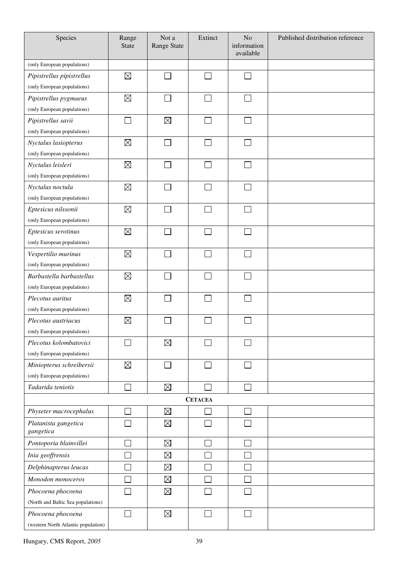| Species                             | Range<br><b>State</b> | Not a<br><b>Range State</b> | Extinct        | No<br>information<br>available | Published distribution reference |
|-------------------------------------|-----------------------|-----------------------------|----------------|--------------------------------|----------------------------------|
| (only European populations)         |                       |                             |                |                                |                                  |
| Pipistrellus pipistrellus           | $\boxtimes$           |                             |                |                                |                                  |
| (only European populations)         |                       |                             |                |                                |                                  |
| Pipistrellus pygmaeus               | $\boxtimes$           |                             | e i            |                                |                                  |
| (only European populations)         |                       |                             |                |                                |                                  |
| Pipistrellus savii                  |                       | $\boxtimes$                 |                |                                |                                  |
| (only European populations)         |                       |                             |                |                                |                                  |
| Nyctalus lasiopterus                | $\boxtimes$           |                             |                |                                |                                  |
| (only European populations)         |                       |                             |                |                                |                                  |
| Nyctalus leisleri                   | $\boxtimes$           |                             | a i            |                                |                                  |
| (only European populations)         |                       |                             |                |                                |                                  |
| Nyctalus noctula                    | $\boxtimes$           |                             |                |                                |                                  |
| (only European populations)         |                       |                             |                |                                |                                  |
| Eptesicus nilssonii                 | $\boxtimes$           |                             |                |                                |                                  |
| (only European populations)         |                       |                             |                |                                |                                  |
| Eptesicus serotinus                 | $\boxtimes$           |                             |                |                                |                                  |
| (only European populations)         |                       |                             |                |                                |                                  |
| Vespertilio murinus                 | $\boxtimes$           |                             |                |                                |                                  |
| (only European populations)         |                       |                             |                |                                |                                  |
| Barbastella barbastellus            | $\boxtimes$           |                             |                |                                |                                  |
| (only European populations)         |                       |                             |                |                                |                                  |
| Plecotus auritus                    | $\boxtimes$           |                             |                |                                |                                  |
| (only European populations)         |                       |                             |                |                                |                                  |
| Plecotus austriacus                 | $\boxtimes$           |                             |                |                                |                                  |
| (only European populations)         |                       |                             |                |                                |                                  |
| Plecotus kolombatovici              |                       | $\boxtimes$                 |                |                                |                                  |
| (only European populations)         |                       |                             |                |                                |                                  |
| Miniopterus schreibersii            | $\boxtimes$           |                             |                |                                |                                  |
| (only European populations)         |                       |                             |                |                                |                                  |
| Tadarida teniotis                   |                       | $\boxtimes$                 |                |                                |                                  |
|                                     |                       |                             | <b>CETACEA</b> |                                |                                  |
| Physeter macrocephalus              |                       | $\boxtimes$                 |                |                                |                                  |
| Platanista gangetica<br>gangetica   |                       | $\boxtimes$                 |                |                                |                                  |
| Pontoporia blainvillei              |                       | $\boxtimes$                 |                |                                |                                  |
| Inia geoffrensis                    |                       | $\boxtimes$                 |                |                                |                                  |
| Delphinapterus leucas               |                       | $\boxtimes$                 |                |                                |                                  |
| Monodon monoceros                   |                       | $\boxtimes$                 |                |                                |                                  |
| Phocoena phocoena                   |                       | $\boxtimes$                 |                |                                |                                  |
| (North and Baltic Sea populations)  |                       |                             |                |                                |                                  |
| Phocoena phocoena                   |                       | $\boxtimes$                 |                |                                |                                  |
| (western North Atlantic population) |                       |                             |                |                                |                                  |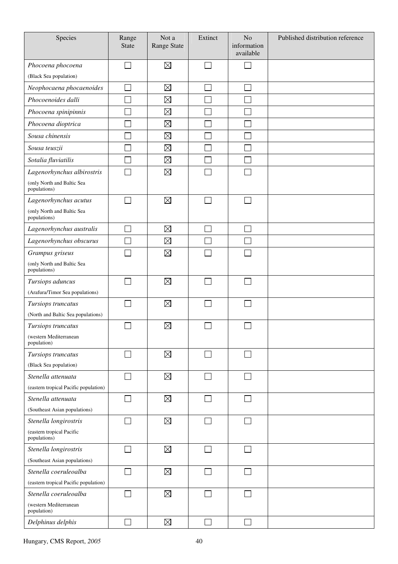| Species                                                        | Range<br><b>State</b> | Not a<br><b>Range State</b> | Extinct | N <sub>o</sub><br>information<br>available | Published distribution reference |
|----------------------------------------------------------------|-----------------------|-----------------------------|---------|--------------------------------------------|----------------------------------|
| Phocoena phocoena                                              | $\sim$                | $\boxtimes$                 | $\sim$  | J.                                         |                                  |
| (Black Sea population)                                         |                       |                             |         |                                            |                                  |
| Neophocaena phocaenoides                                       |                       | $\boxtimes$                 |         |                                            |                                  |
| Phocoenoides dalli                                             |                       | $\boxtimes$                 |         |                                            |                                  |
| Phocoena spinipinnis                                           |                       | $\boxtimes$                 |         |                                            |                                  |
| Phocoena dioptrica                                             |                       | $\boxtimes$                 |         |                                            |                                  |
| Sousa chinensis                                                |                       | $\boxtimes$                 |         |                                            |                                  |
| Sousa teuszii                                                  |                       | $\boxtimes$                 |         |                                            |                                  |
| Sotalia fluviatilis                                            |                       | $\boxtimes$                 |         |                                            |                                  |
| Lagenorhynchus albirostris                                     |                       | $\boxtimes$                 |         |                                            |                                  |
| (only North and Baltic Sea<br>populations)                     |                       |                             |         |                                            |                                  |
| Lagenorhynchus acutus                                          |                       | $\boxtimes$                 |         |                                            |                                  |
| (only North and Baltic Sea<br>populations)                     |                       |                             |         |                                            |                                  |
| Lagenorhynchus australis                                       |                       | $\boxtimes$                 |         |                                            |                                  |
| Lagenorhynchus obscurus                                        |                       | $\boxtimes$                 |         |                                            |                                  |
| Grampus griseus                                                |                       | $\boxtimes$                 |         |                                            |                                  |
| (only North and Baltic Sea<br>populations)                     |                       |                             |         |                                            |                                  |
| Tursiops aduncus                                               |                       | $\boxtimes$                 |         |                                            |                                  |
| (Arafura/Timor Sea populations)                                |                       |                             |         |                                            |                                  |
| Tursiops truncatus                                             |                       | $\boxtimes$                 |         |                                            |                                  |
| (North and Baltic Sea populations)                             |                       |                             |         |                                            |                                  |
| Tursiops truncatus                                             |                       | $\boxtimes$                 |         |                                            |                                  |
| (western Mediterranean<br>population)                          |                       |                             |         |                                            |                                  |
| Tursiops truncatus                                             |                       | $\boxtimes$                 |         |                                            |                                  |
| (Black Sea population)                                         |                       |                             |         |                                            |                                  |
| Stenella attenuata                                             |                       | $\boxtimes$                 |         |                                            |                                  |
| (eastern tropical Pacific population)                          |                       |                             |         |                                            |                                  |
| Stenella attenuata                                             | $\sim$                | $\boxtimes$                 |         | $\sim$                                     |                                  |
| (Southeast Asian populations)                                  |                       |                             |         |                                            |                                  |
| Stenella longirostris                                          | $\sim$                | $\boxtimes$                 |         | □                                          |                                  |
| (eastern tropical Pacific<br>populations)                      |                       |                             |         |                                            |                                  |
| Stenella longirostris                                          |                       | $\boxtimes$                 |         |                                            |                                  |
| (Southeast Asian populations)                                  |                       |                             |         |                                            |                                  |
| Stenella coeruleoalba                                          |                       | $\boxtimes$                 |         |                                            |                                  |
| (eastern tropical Pacific population)<br>Stenella coeruleoalba |                       | $\boxtimes$                 |         |                                            |                                  |
| (western Mediterranean                                         |                       |                             |         |                                            |                                  |
| population)                                                    |                       |                             |         |                                            |                                  |
| Delphinus delphis                                              |                       | $\boxtimes$                 |         |                                            |                                  |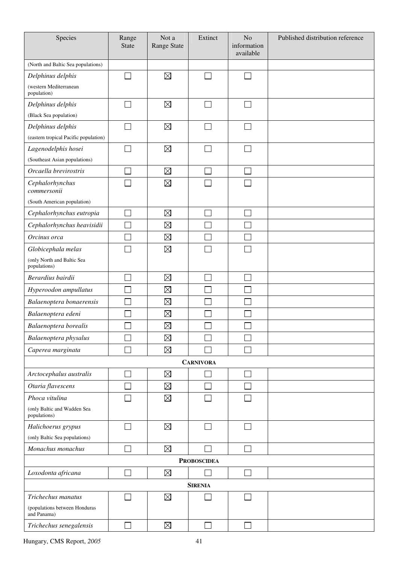| Species                                      | Range<br><b>State</b> | Not a<br>Range State | Extinct                     | No<br>information<br>available | Published distribution reference |
|----------------------------------------------|-----------------------|----------------------|-----------------------------|--------------------------------|----------------------------------|
| (North and Baltic Sea populations)           |                       |                      |                             |                                |                                  |
| Delphinus delphis                            |                       | $\boxtimes$          | ×.                          | $\sim$                         |                                  |
| (western Mediterranean<br>population)        |                       |                      |                             |                                |                                  |
| Delphinus delphis                            |                       | $\boxtimes$          |                             |                                |                                  |
| (Black Sea population)                       |                       |                      |                             |                                |                                  |
| Delphinus delphis                            |                       | $\boxtimes$          |                             |                                |                                  |
| (eastern tropical Pacific population)        |                       |                      |                             |                                |                                  |
| Lagenodelphis hosei                          |                       | $\boxtimes$          |                             |                                |                                  |
| (Southeast Asian populations)                |                       |                      |                             |                                |                                  |
| Orcaella brevirostris                        |                       | $\boxtimes$          |                             |                                |                                  |
| Cephalorhynchus<br>commersonii               |                       | $\boxtimes$          |                             |                                |                                  |
| (South American population)                  |                       |                      |                             |                                |                                  |
| Cephalorhynchus eutropia                     |                       | $\boxtimes$          |                             |                                |                                  |
| Cephalorhynchus heavisidii                   |                       | $\boxtimes$          |                             |                                |                                  |
| Orcinus orca                                 |                       | $\boxtimes$          |                             |                                |                                  |
| Globicephala melas                           |                       | $\boxtimes$          |                             |                                |                                  |
| (only North and Baltic Sea<br>populations)   |                       |                      |                             |                                |                                  |
| Berardius bairdii                            |                       | $\boxtimes$          |                             |                                |                                  |
| Hyperoodon ampullatus                        |                       | $\boxtimes$          |                             |                                |                                  |
| Balaenoptera bonaerensis                     |                       | $\boxtimes$          |                             |                                |                                  |
| Balaenoptera edeni                           |                       | $\boxtimes$          |                             |                                |                                  |
| Balaenoptera borealis                        |                       | $\boxtimes$          |                             |                                |                                  |
| Balaenoptera physalus                        |                       | $\boxtimes$          |                             |                                |                                  |
| Caperea marginata                            |                       | $\boxtimes$          |                             |                                |                                  |
|                                              |                       |                      | <b>CARNIVORA</b>            |                                |                                  |
| Arctocephalus australis                      |                       | $\boxtimes$          |                             |                                |                                  |
| Otaria flavescens                            |                       | $\boxtimes$          |                             |                                |                                  |
| Phoca vitulina                               |                       | $\boxtimes$          |                             |                                |                                  |
| (only Baltic and Wadden Sea<br>populations)  |                       |                      |                             |                                |                                  |
| Halichoerus grypus                           |                       | $\boxtimes$          | $\mathcal{L}_{\mathcal{A}}$ |                                |                                  |
| (only Baltic Sea populations)                |                       |                      |                             |                                |                                  |
| Monachus monachus                            | J.                    | $\boxtimes$          | π                           |                                |                                  |
|                                              |                       |                      | <b>PROBOSCIDEA</b>          |                                |                                  |
| Loxodonta africana                           | J.                    | $\boxtimes$          |                             | Ξ                              |                                  |
|                                              |                       |                      | <b>SIRENIA</b>              |                                |                                  |
| Trichechus manatus                           |                       | $\boxtimes$          |                             |                                |                                  |
| (populations between Honduras<br>and Panama) |                       |                      |                             |                                |                                  |
| Trichechus senegalensis                      | ┓                     | $\boxtimes$          | П                           |                                |                                  |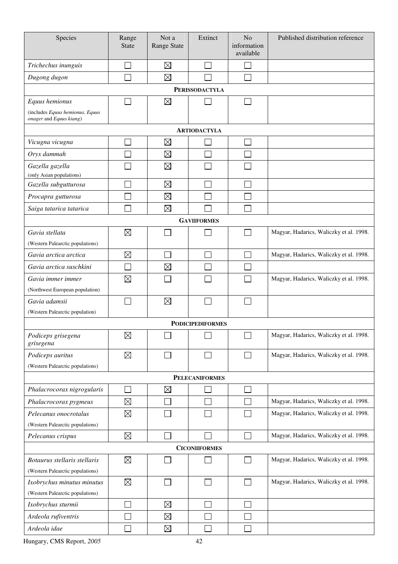| Species                                     | Range<br><b>State</b> | Not a<br>Range State | Extinct                 | N <sub>o</sub><br>information<br>available | Published distribution reference        |
|---------------------------------------------|-----------------------|----------------------|-------------------------|--------------------------------------------|-----------------------------------------|
| Trichechus inunguis                         |                       | $\boxtimes$          |                         |                                            |                                         |
| Dugong dugon                                |                       | $\boxtimes$          |                         |                                            |                                         |
|                                             |                       |                      | <b>PERISSODACTYLA</b>   |                                            |                                         |
| Equus hemionus                              |                       | $\boxtimes$          |                         |                                            |                                         |
| (includes Equus hemionus, Equus             |                       |                      |                         |                                            |                                         |
| onager and Equus kiang)                     |                       |                      |                         |                                            |                                         |
|                                             |                       |                      | <b>ARTIODACTYLA</b>     |                                            |                                         |
| Vicugna vicugna                             |                       | $\boxtimes$          |                         |                                            |                                         |
| Oryx dammah                                 |                       | $\boxtimes$          |                         |                                            |                                         |
| Gazella gazella<br>(only Asian populations) |                       | $\boxtimes$          |                         |                                            |                                         |
| Gazella subgutturosa                        |                       | $\boxtimes$          |                         |                                            |                                         |
| Procapra gutturosa                          |                       | $\boxtimes$          |                         |                                            |                                         |
| Saiga tatarica tatarica                     |                       | $\boxtimes$          |                         |                                            |                                         |
|                                             |                       |                      | <b>GAVIIFORMES</b>      |                                            |                                         |
| Gavia stellata                              | $\boxtimes$           |                      |                         |                                            | Magyar, Hadarics, Waliczky et al. 1998. |
| (Western Palearctic populations)            |                       |                      |                         |                                            |                                         |
| Gavia arctica arctica                       | $\boxtimes$           |                      |                         |                                            | Magyar, Hadarics, Waliczky et al. 1998. |
| Gavia arctica suschkini                     |                       | $\boxtimes$          |                         |                                            |                                         |
| Gavia immer immer                           | $\boxtimes$           |                      |                         |                                            | Magyar, Hadarics, Waliczky et al. 1998. |
| (Northwest European population)             |                       |                      |                         |                                            |                                         |
| Gavia adamsii                               |                       | $\boxtimes$          |                         |                                            |                                         |
| (Western Palearctic population)             |                       |                      |                         |                                            |                                         |
|                                             |                       |                      | <b>PODICIPEDIFORMES</b> |                                            |                                         |
| Podiceps grisegena<br>grisegena             | $\boxtimes$           |                      |                         |                                            | Magyar, Hadarics, Waliczky et al. 1998. |
| Podiceps auritus                            | $\boxtimes$           |                      |                         |                                            | Magyar, Hadarics, Waliczky et al. 1998. |
| (Western Palearctic populations)            |                       |                      |                         |                                            |                                         |
|                                             |                       |                      | <b>PELECANIFORMES</b>   |                                            |                                         |
| Phalacrocorax nigrogularis                  |                       | $\boxtimes$          |                         |                                            |                                         |
| Phalacrocorax pygmeus                       | $\boxtimes$           |                      |                         |                                            | Magyar, Hadarics, Waliczky et al. 1998. |
| Pelecanus onocrotalus                       | $\boxtimes$           |                      |                         |                                            | Magyar, Hadarics, Waliczky et al. 1998. |
| (Western Palearctic populations)            |                       |                      |                         |                                            |                                         |
| Pelecanus crispus                           | $\boxtimes$           |                      |                         |                                            | Magyar, Hadarics, Waliczky et al. 1998. |
|                                             |                       |                      | <b>CICONIIFORMES</b>    |                                            |                                         |
| Botaurus stellaris stellaris                | $\boxtimes$           |                      |                         |                                            | Magyar, Hadarics, Waliczky et al. 1998. |
| (Western Palearctic populations)            |                       |                      |                         |                                            |                                         |
| Ixobrychus minutus minutus                  | $\boxtimes$           |                      | $\Box$                  |                                            | Magyar, Hadarics, Waliczky et al. 1998. |
| (Western Palearctic populations)            |                       |                      |                         |                                            |                                         |
| Ixobrychus sturmii                          |                       | $\boxtimes$          |                         |                                            |                                         |
| Ardeola rufiventris                         |                       | $\boxtimes$          |                         |                                            |                                         |
| Ardeola idae                                |                       | $\boxtimes$          |                         |                                            |                                         |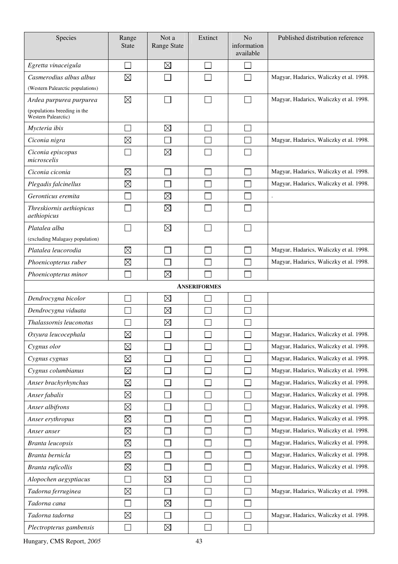| Species                                             | Range<br><b>State</b> | Not a<br><b>Range State</b> | Extinct             | N <sub>o</sub><br>information<br>available | Published distribution reference        |
|-----------------------------------------------------|-----------------------|-----------------------------|---------------------|--------------------------------------------|-----------------------------------------|
| Egretta vinaceigula                                 |                       | $\boxtimes$                 |                     |                                            |                                         |
| Casmerodius albus albus                             | $\boxtimes$           |                             |                     |                                            | Magyar, Hadarics, Waliczky et al. 1998. |
| (Western Palearctic populations)                    |                       |                             |                     |                                            |                                         |
| Ardea purpurea purpurea                             | $\boxtimes$           |                             |                     |                                            | Magyar, Hadarics, Waliczky et al. 1998. |
| (populations breeding in the<br>Western Palearctic) |                       |                             |                     |                                            |                                         |
| Mycteria ibis                                       |                       | $\boxtimes$                 |                     |                                            |                                         |
| Ciconia nigra                                       | $\boxtimes$           |                             |                     |                                            | Magyar, Hadarics, Waliczky et al. 1998. |
| Ciconia episcopus<br>microscelis                    |                       | $\boxtimes$                 |                     |                                            |                                         |
| Ciconia ciconia                                     | $\boxtimes$           |                             |                     |                                            | Magyar, Hadarics, Waliczky et al. 1998. |
| Plegadis falcinellus                                | $\boxtimes$           |                             |                     |                                            | Magyar, Hadarics, Waliczky et al. 1998. |
| Geronticus eremita                                  |                       | $\boxtimes$                 |                     |                                            | $\bullet$                               |
| Threskiornis aethiopicus<br>aethiopicus             |                       | $\boxtimes$                 |                     |                                            |                                         |
| Platalea alba                                       |                       | $\boxtimes$                 |                     |                                            |                                         |
| (excluding Malagasy population)                     |                       |                             |                     |                                            |                                         |
| Platalea leucorodia                                 | $\boxtimes$           |                             |                     |                                            | Magyar, Hadarics, Waliczky et al. 1998. |
| Phoenicopterus ruber                                | $\boxtimes$           |                             |                     |                                            | Magyar, Hadarics, Waliczky et al. 1998. |
| Phoenicopterus minor                                |                       | $\boxtimes$                 |                     |                                            |                                         |
|                                                     |                       |                             | <b>ANSERIFORMES</b> |                                            |                                         |
| Dendrocygna bicolor                                 |                       | $\boxtimes$                 |                     |                                            |                                         |
| Dendrocygna viduata                                 |                       | $\boxtimes$                 |                     |                                            |                                         |
| Thalassornis leuconotus                             |                       | $\boxtimes$                 |                     |                                            |                                         |
| Oxyura leucocephala                                 | $\boxtimes$           |                             |                     |                                            | Magyar, Hadarics, Waliczky et al. 1998. |
| Cygnus olor                                         | $\boxtimes$           |                             |                     |                                            | Magyar, Hadarics, Waliczky et al. 1998. |
| Cygnus cygnus                                       | $\boxtimes$           |                             |                     |                                            | Magyar, Hadarics, Waliczky et al. 1998. |
| Cygnus columbianus                                  | $\boxtimes$           |                             |                     |                                            | Magyar, Hadarics, Waliczky et al. 1998. |
| Anser brachyrhynchus                                | $\boxtimes$           |                             |                     |                                            | Magyar, Hadarics, Waliczky et al. 1998. |
| Anser fabalis                                       | $\boxtimes$           |                             |                     |                                            | Magyar, Hadarics, Waliczky et al. 1998. |
| Anser albifrons                                     | $\boxtimes$           |                             |                     |                                            | Magyar, Hadarics, Waliczky et al. 1998. |
| Anser erythropus                                    | $\boxtimes$           |                             |                     |                                            | Magyar, Hadarics, Waliczky et al. 1998. |
| Anser anser                                         | $\boxtimes$           |                             |                     |                                            | Magyar, Hadarics, Waliczky et al. 1998. |
| <b>Branta leucopsis</b>                             | $\boxtimes$           |                             |                     |                                            | Magyar, Hadarics, Waliczky et al. 1998. |
| Branta bernicla                                     | $\boxtimes$           |                             |                     |                                            | Magyar, Hadarics, Waliczky et al. 1998. |
| Branta ruficollis                                   | $\boxtimes$           |                             |                     |                                            | Magyar, Hadarics, Waliczky et al. 1998. |
| Alopochen aegyptiacus                               |                       | $\boxtimes$                 |                     |                                            |                                         |
| Tadorna ferruginea                                  | $\boxtimes$           |                             |                     |                                            | Magyar, Hadarics, Waliczky et al. 1998. |
| Tadorna cana                                        |                       | $\boxtimes$                 |                     |                                            |                                         |
| Tadorna tadorna                                     | $\boxtimes$           |                             |                     |                                            | Magyar, Hadarics, Waliczky et al. 1998. |
| Plectropterus gambensis                             |                       | $\boxtimes$                 |                     |                                            |                                         |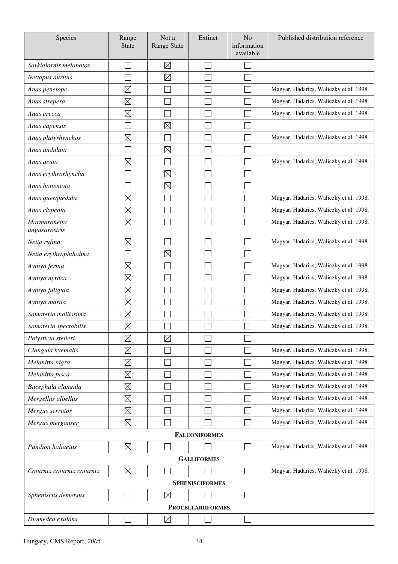| Species                               | Range<br><b>State</b> | Not a<br><b>Range State</b> | Extinct                  | N <sub>o</sub><br>information<br>available | Published distribution reference        |
|---------------------------------------|-----------------------|-----------------------------|--------------------------|--------------------------------------------|-----------------------------------------|
| Sarkidiornis melanotos                |                       | $\boxtimes$                 |                          |                                            |                                         |
| Nettapus auritus                      |                       | $\boxtimes$                 |                          |                                            |                                         |
| Anas penelope                         | $\boxtimes$           |                             |                          |                                            | Magyar, Hadarics, Waliczky et al. 1998. |
| Anas strepera                         | $\boxtimes$           |                             |                          |                                            | Magyar, Hadarics, Waliczky et al. 1998. |
| Anas crecca                           | $\boxtimes$           |                             |                          |                                            | Magyar, Hadarics, Waliczky et al. 1998. |
| Anas capensis                         |                       | $\boxtimes$                 |                          |                                            |                                         |
| Anas platyrhynchos                    | $\boxtimes$           |                             |                          |                                            | Magyar, Hadarics, Waliczky et al. 1998. |
| Anas undulata                         |                       | $\boxtimes$                 |                          |                                            |                                         |
| Anas acuta                            | $\boxtimes$           |                             |                          |                                            | Magyar, Hadarics, Waliczky et al. 1998. |
| Anas erythrorhyncha                   |                       | $\boxtimes$                 |                          |                                            |                                         |
| Anas hottentota                       |                       | $\boxtimes$                 |                          |                                            |                                         |
| Anas querquedula                      | $\boxtimes$           |                             |                          |                                            | Magyar, Hadarics, Waliczky et al. 1998. |
| Anas clypeata                         | $\boxtimes$           |                             |                          |                                            | Magyar, Hadarics, Waliczky et al. 1998. |
| <b>Marmaronetta</b><br>angustirostris | $\boxtimes$           |                             |                          |                                            | Magyar, Hadarics, Waliczky et al. 1998. |
| Netta rufina                          | $\boxtimes$           |                             |                          |                                            | Magyar, Hadarics, Waliczky et al. 1998. |
| Netta erythrophthalma                 |                       | $\boxtimes$                 |                          |                                            |                                         |
| Aythya ferina                         | $\boxtimes$           |                             |                          |                                            | Magyar, Hadarics, Waliczky et al. 1998. |
| Aythya nyroca                         | $\boxtimes$           |                             |                          |                                            | Magyar, Hadarics, Waliczky et al. 1998. |
| Aythya fuligula                       | $\boxtimes$           |                             |                          |                                            | Magyar, Hadarics, Waliczky et al. 1998. |
| Aythya marila                         | $\boxtimes$           |                             |                          |                                            | Magyar, Hadarics, Waliczky et al. 1998. |
| Somateria mollissima                  | $\boxtimes$           |                             |                          |                                            | Magyar, Hadarics, Waliczky et al. 1998. |
| Somateria spectabilis                 | $\boxtimes$           |                             |                          |                                            | Magyar, Hadarics, Waliczky et al. 1998. |
| Polysticta stelleri                   | $\boxtimes$           | $\boxtimes$                 |                          |                                            |                                         |
| Clangula hyemalis                     | $\boxtimes$           |                             |                          |                                            | Magyar, Hadarics, Waliczky et al. 1998. |
| Melanitta nigra                       | $\boxtimes$           |                             |                          |                                            | Magyar, Hadarics, Waliczky et al. 1998. |
| Melanitta fusca                       | $\boxtimes$           |                             |                          |                                            | Magyar, Hadarics, Waliczky et al. 1998. |
| Bucephala clangula                    | $\boxtimes$           |                             |                          |                                            | Magyar, Hadarics, Waliczky et al. 1998. |
| Mergellus albellus                    | $\boxtimes$           |                             |                          |                                            | Magyar, Hadarics, Waliczky et al. 1998. |
| Mergus serrator                       | $\boxtimes$           |                             |                          |                                            | Magyar, Hadarics, Waliczky et al. 1998. |
| Mergus merganser                      | $\boxtimes$           |                             |                          |                                            | Magyar, Hadarics, Waliczky et al. 1998. |
|                                       |                       |                             | <b>FALCONIFORMES</b>     |                                            |                                         |
| Pandion haliaetus                     | $\boxtimes$           |                             |                          | $\sim$                                     | Magyar, Hadarics, Waliczky et al. 1998. |
|                                       |                       |                             | <b>GALLIFORMES</b>       |                                            |                                         |
| Coturnix coturnix coturnix            | $\boxtimes$           |                             |                          |                                            | Magyar, Hadarics, Waliczky et al. 1998. |
|                                       |                       |                             | <b>SPHENISCIFORMES</b>   |                                            |                                         |
| Spheniscus demersus                   |                       | $\boxtimes$                 |                          |                                            |                                         |
|                                       |                       |                             | <b>PROCELLARIIFORMES</b> |                                            |                                         |
| Diomedea exulans                      |                       | $\boxtimes$                 |                          |                                            |                                         |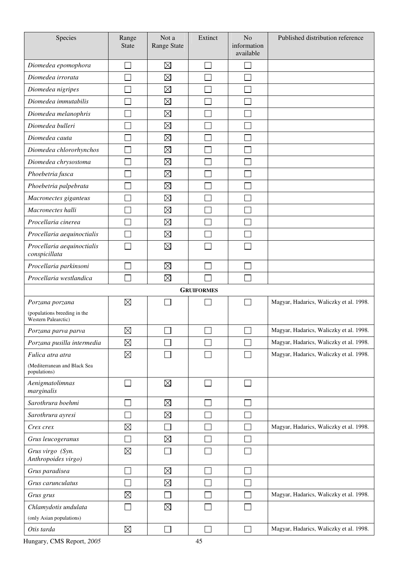| Species                                             | Range<br><b>State</b> | Not a<br>Range State | Extinct                  | N <sub>o</sub><br>information<br>available | Published distribution reference        |
|-----------------------------------------------------|-----------------------|----------------------|--------------------------|--------------------------------------------|-----------------------------------------|
| Diomedea epomophora                                 |                       | $\boxtimes$          |                          |                                            |                                         |
| Diomedea irrorata                                   |                       | $\boxtimes$          |                          |                                            |                                         |
| Diomedea nigripes                                   |                       | $\boxtimes$          |                          |                                            |                                         |
| Diomedea immutabilis                                |                       | $\boxtimes$          |                          |                                            |                                         |
| Diomedea melanophris                                |                       | $\boxtimes$          |                          |                                            |                                         |
| Diomedea bulleri                                    |                       | $\boxtimes$          |                          |                                            |                                         |
| Diomedea cauta                                      |                       | $\boxtimes$          |                          |                                            |                                         |
| Diomedea chlororhynchos                             |                       | $\boxtimes$          |                          |                                            |                                         |
| Diomedea chrysostoma                                |                       | $\boxtimes$          |                          |                                            |                                         |
| Phoebetria fusca                                    |                       | $\boxtimes$          |                          |                                            |                                         |
| Phoebetria palpebrata                               |                       | $\boxtimes$          |                          |                                            |                                         |
| Macronectes giganteus                               |                       | $\boxtimes$          |                          |                                            |                                         |
| Macronectes halli                                   |                       | $\boxtimes$          |                          |                                            |                                         |
| Procellaria cinerea                                 |                       | $\boxtimes$          |                          |                                            |                                         |
| Procellaria aequinoctialis                          |                       | $\boxtimes$          |                          |                                            |                                         |
| Procellaria aequinoctialis<br>conspicillata         |                       | $\boxtimes$          |                          |                                            |                                         |
| Procellaria parkinsoni                              |                       | $\boxtimes$          |                          |                                            |                                         |
| Procellaria westlandica                             |                       | $\boxtimes$          |                          |                                            |                                         |
|                                                     |                       |                      | <b>GRUIFORMES</b>        |                                            |                                         |
| Porzana porzana                                     | $\boxtimes$           |                      |                          |                                            | Magyar, Hadarics, Waliczky et al. 1998. |
| (populations breeding in the<br>Western Palearctic) |                       |                      |                          |                                            |                                         |
| Porzana parva parva                                 | $\boxtimes$           | ப                    | $\overline{\phantom{a}}$ | $\Box$                                     | Magyar, Hadarics, Waliczky et al. 1998. |
| Porzana pusilla intermedia                          | $\boxtimes$           |                      |                          |                                            | Magyar, Hadarics, Waliczky et al. 1998. |
| Fulica atra atra                                    | $\boxtimes$           |                      |                          |                                            | Magyar, Hadarics, Waliczky et al. 1998. |
| (Mediterranean and Black Sea<br>populations)        |                       |                      |                          |                                            |                                         |
| Aenigmatolimnas<br>marginalis                       |                       | $\boxtimes$          |                          |                                            |                                         |
| Sarothrura boehmi                                   |                       | $\boxtimes$          |                          |                                            |                                         |
| Sarothrura ayresi                                   |                       | $\boxtimes$          |                          |                                            |                                         |
| Crex crex                                           | $\boxtimes$           |                      |                          |                                            | Magyar, Hadarics, Waliczky et al. 1998. |
| Grus leucogeranus                                   |                       | $\boxtimes$          |                          |                                            |                                         |
| Grus virgo (Syn.<br>Anthropoides virgo)             | $\boxtimes$           |                      |                          |                                            |                                         |
| Grus paradisea                                      | $\mathcal{L}$         | $\boxtimes$          |                          |                                            |                                         |
| Grus carunculatus                                   |                       | $\boxtimes$          |                          |                                            |                                         |
| Grus grus                                           | $\boxtimes$           |                      |                          |                                            | Magyar, Hadarics, Waliczky et al. 1998. |
| Chlamydotis undulata                                |                       | $\boxtimes$          |                          |                                            |                                         |
| (only Asian populations)                            |                       |                      |                          |                                            |                                         |
| Otis tarda                                          | $\boxtimes$           |                      |                          |                                            | Magyar, Hadarics, Waliczky et al. 1998. |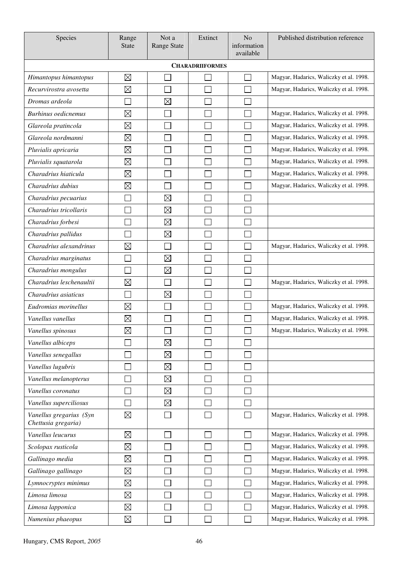| Species                                        | Range<br><b>State</b> | Not a<br><b>Range State</b> | Extinct                | N <sub>o</sub><br>information<br>available | Published distribution reference        |
|------------------------------------------------|-----------------------|-----------------------------|------------------------|--------------------------------------------|-----------------------------------------|
|                                                |                       |                             | <b>CHARADRIIFORMES</b> |                                            |                                         |
| Himantopus himantopus                          | $\boxtimes$           |                             |                        |                                            | Magyar, Hadarics, Waliczky et al. 1998. |
| Recurvirostra avosetta                         | $\boxtimes$           |                             |                        |                                            | Magyar, Hadarics, Waliczky et al. 1998. |
| Dromas ardeola                                 |                       | $\boxtimes$                 |                        |                                            |                                         |
| <b>Burhinus</b> oedicnemus                     | $\boxtimes$           |                             |                        |                                            | Magyar, Hadarics, Waliczky et al. 1998. |
| Glareola pratincola                            | $\boxtimes$           |                             |                        |                                            | Magyar, Hadarics, Waliczky et al. 1998. |
| Glareola nordmanni                             | $\boxtimes$           |                             |                        |                                            | Magyar, Hadarics, Waliczky et al. 1998. |
| Pluvialis apricaria                            | $\boxtimes$           |                             |                        |                                            | Magyar, Hadarics, Waliczky et al. 1998. |
| Pluvialis squatarola                           | $\boxtimes$           |                             |                        |                                            | Magyar, Hadarics, Waliczky et al. 1998. |
| Charadrius hiaticula                           | $\boxtimes$           |                             |                        |                                            | Magyar, Hadarics, Waliczky et al. 1998. |
| Charadrius dubius                              | $\boxtimes$           |                             |                        |                                            | Magyar, Hadarics, Waliczky et al. 1998. |
| Charadrius pecuarius                           |                       | $\boxtimes$                 |                        |                                            |                                         |
| Charadrius tricollaris                         |                       | $\boxtimes$                 |                        |                                            |                                         |
| Charadrius forbesi                             |                       | $\boxtimes$                 |                        |                                            |                                         |
| Charadrius pallidus                            |                       | $\boxtimes$                 |                        |                                            |                                         |
| Charadrius alexandrinus                        | $\boxtimes$           |                             |                        |                                            | Magyar, Hadarics, Waliczky et al. 1998. |
| Charadrius marginatus                          |                       | $\boxtimes$                 |                        |                                            |                                         |
| Charadrius mongulus                            |                       | $\boxtimes$                 |                        |                                            |                                         |
| Charadrius leschenaultii                       | $\boxtimes$           |                             |                        |                                            | Magyar, Hadarics, Waliczky et al. 1998. |
| Charadrius asiaticus                           |                       | $\boxtimes$                 |                        |                                            |                                         |
| Eudromias morinellus                           | $\boxtimes$           |                             |                        |                                            | Magyar, Hadarics, Waliczky et al. 1998. |
| Vanellus vanellus                              | $\boxtimes$           |                             |                        |                                            | Magyar, Hadarics, Waliczky et al. 1998. |
| Vanellus spinosus                              | $\boxtimes$           | $\Box$                      | ᆸ                      | $\Box$                                     | Magyar, Hadarics, Waliczky et al. 1998. |
| Vanellus albiceps                              |                       | $\boxtimes$                 |                        |                                            |                                         |
| Vanellus senegallus                            |                       | $\boxtimes$                 |                        |                                            |                                         |
| Vanellus lugubris                              |                       | $\boxtimes$                 |                        |                                            |                                         |
| Vanellus melanopterus                          |                       | $\boxtimes$                 |                        |                                            |                                         |
| Vanellus coronatus                             |                       | $\boxtimes$                 |                        |                                            |                                         |
| Vanellus superciliosus                         |                       | $\boxtimes$                 |                        |                                            |                                         |
| Vanellus gregarius (Syn<br>Chettusia gregaria) | $\boxtimes$           |                             |                        |                                            | Magyar, Hadarics, Waliczky et al. 1998. |
| Vanellus leucurus                              | $\boxtimes$           |                             |                        |                                            | Magyar, Hadarics, Waliczky et al. 1998. |
| Scolopax rusticola                             | $\boxtimes$           |                             |                        |                                            | Magyar, Hadarics, Waliczky et al. 1998. |
| Gallinago media                                | $\boxtimes$           |                             |                        |                                            | Magyar, Hadarics, Waliczky et al. 1998. |
| Gallinago gallinago                            | $\boxtimes$           |                             |                        |                                            | Magyar, Hadarics, Waliczky et al. 1998. |
| Lymnocryptes minimus                           | $\boxtimes$           |                             |                        |                                            | Magyar, Hadarics, Waliczky et al. 1998. |
| Limosa limosa                                  | $\boxtimes$           |                             |                        |                                            | Magyar, Hadarics, Waliczky et al. 1998. |
| Limosa lapponica                               | $\boxtimes$           |                             |                        |                                            | Magyar, Hadarics, Waliczky et al. 1998. |
| Numenius phaeopus                              | $\boxtimes$           |                             |                        |                                            | Magyar, Hadarics, Waliczky et al. 1998. |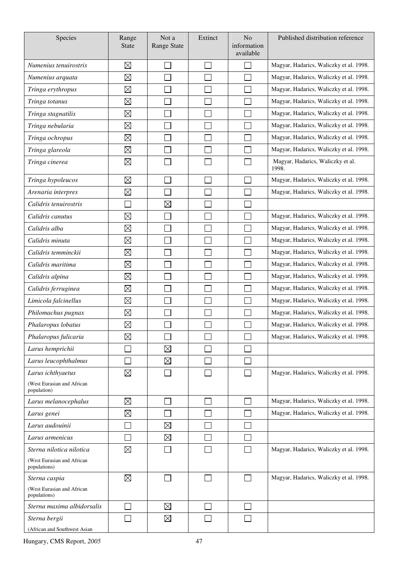| Species                                    | Range<br><b>State</b>    | Not a<br><b>Range State</b> | Extinct      | N <sub>o</sub><br>information<br>available | Published distribution reference           |
|--------------------------------------------|--------------------------|-----------------------------|--------------|--------------------------------------------|--------------------------------------------|
| Numenius tenuirostris                      | $\boxtimes$              |                             |              |                                            | Magyar, Hadarics, Waliczky et al. 1998.    |
| Numenius arquata                           | $\boxtimes$              |                             |              |                                            | Magyar, Hadarics, Waliczky et al. 1998.    |
| Tringa erythropus                          | $\boxtimes$              |                             |              |                                            | Magyar, Hadarics, Waliczky et al. 1998.    |
| Tringa totanus                             | $\boxtimes$              |                             |              |                                            | Magyar, Hadarics, Waliczky et al. 1998.    |
| Tringa stagnatilis                         | $\boxtimes$              |                             |              |                                            | Magyar, Hadarics, Waliczky et al. 1998.    |
| Tringa nebularia                           | $\boxtimes$              |                             |              |                                            | Magyar, Hadarics, Waliczky et al. 1998.    |
| Tringa ochropus                            | $\boxtimes$              |                             |              |                                            | Magyar, Hadarics, Waliczky et al. 1998.    |
| Tringa glareola                            | $\boxtimes$              |                             |              |                                            | Magyar, Hadarics, Waliczky et al. 1998.    |
| Tringa cinerea                             | $\boxtimes$              |                             |              |                                            | Magyar, Hadarics, Waliczky et al.<br>1998. |
| Tringa hypoleucos                          | $\boxtimes$              |                             |              |                                            | Magyar, Hadarics, Waliczky et al. 1998.    |
| Arenaria interpres                         | $\boxtimes$              |                             |              |                                            | Magyar, Hadarics, Waliczky et al. 1998.    |
| Calidris tenuirostris                      | $\overline{\phantom{0}}$ | $\boxtimes$                 |              |                                            |                                            |
| Calidris canutus                           | $\boxtimes$              |                             |              |                                            | Magyar, Hadarics, Waliczky et al. 1998.    |
| Calidris alba                              | $\boxtimes$              |                             |              |                                            | Magyar, Hadarics, Waliczky et al. 1998.    |
| Calidris minuta                            | $\boxtimes$              |                             |              |                                            | Magyar, Hadarics, Waliczky et al. 1998.    |
| Calidris temminckii                        | $\boxtimes$              |                             |              |                                            | Magyar, Hadarics, Waliczky et al. 1998.    |
| Calidris maritima                          | $\boxtimes$              |                             |              |                                            | Magyar, Hadarics, Waliczky et al. 1998.    |
| Calidris alpina                            | $\boxtimes$              |                             |              |                                            | Magyar, Hadarics, Waliczky et al. 1998.    |
| Calidris ferruginea                        | $\boxtimes$              |                             |              |                                            | Magyar, Hadarics, Waliczky et al. 1998.    |
| Limicola falcinellus                       | $\boxtimes$              |                             |              |                                            | Magyar, Hadarics, Waliczky et al. 1998.    |
| Philomachus pugnax                         | $\boxtimes$              |                             |              |                                            | Magyar, Hadarics, Waliczky et al. 1998.    |
| Phalaropus lobatus                         | $\boxtimes$              |                             |              |                                            | Magyar, Hadarics, Waliczky et al. 1998.    |
| Phalaropus fulicaria                       | $\boxtimes$              |                             |              |                                            | Magyar, Hadarics, Waliczky et al. 1998.    |
| Larus hemprichii                           |                          | $\boxtimes$                 |              |                                            |                                            |
| Larus leucophthalmus                       |                          | $\boxtimes$                 |              |                                            |                                            |
| Larus ichthyaetus                          | $\boxtimes$              |                             |              |                                            | Magyar, Hadarics, Waliczky et al. 1998.    |
| (West Eurasian and African<br>population)  |                          |                             |              |                                            |                                            |
| Larus melanocephalus                       | $\boxtimes$              |                             |              |                                            | Magyar, Hadarics, Waliczky et al. 1998.    |
| Larus genei                                | $\boxtimes$              |                             |              |                                            | Magyar, Hadarics, Waliczky et al. 1998.    |
| Larus audouinii                            |                          | $\boxtimes$                 |              |                                            |                                            |
| Larus armenicus                            |                          | $\boxtimes$                 |              |                                            |                                            |
| Sterna nilotica nilotica                   | $\boxtimes$              |                             |              |                                            | Magyar, Hadarics, Waliczky et al. 1998.    |
| (West Eurasian and African<br>populations) |                          |                             |              |                                            |                                            |
| Sterna caspia                              | $\boxtimes$              |                             | $\mathsf{L}$ | $\overline{\phantom{a}}$                   | Magyar, Hadarics, Waliczky et al. 1998.    |
| (West Eurasian and African<br>populations) |                          |                             |              |                                            |                                            |
| Sterna maxima albidorsalis                 |                          | $\boxtimes$                 |              | $\sim$                                     |                                            |
| Sterna bergii                              |                          | $\boxtimes$                 |              |                                            |                                            |
| (African and Southwest Asian               |                          |                             |              |                                            |                                            |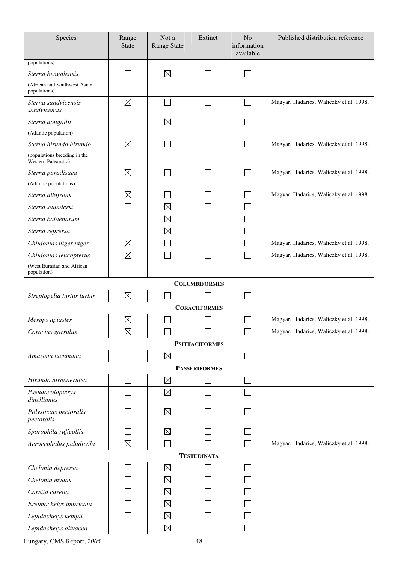| Species                                             | Range<br><b>State</b> | Not a<br><b>Range State</b> | Extinct               | N <sub>o</sub><br>information<br>available | Published distribution reference        |
|-----------------------------------------------------|-----------------------|-----------------------------|-----------------------|--------------------------------------------|-----------------------------------------|
| populations)                                        |                       |                             |                       |                                            |                                         |
| Sterna bengalensis                                  |                       | $\boxtimes$                 |                       |                                            |                                         |
| (African and Southwest Asian<br>populations)        |                       |                             |                       |                                            |                                         |
| Sterna sandvicensis<br>sandvicensis                 | $\boxtimes$           | Π                           | $\Box$                | $\sim$                                     | Magyar, Hadarics, Waliczky et al. 1998. |
| Sterna dougallii                                    |                       | $\boxtimes$                 | $\mathbf{L}$          |                                            |                                         |
| (Atlantic population)                               |                       |                             |                       |                                            |                                         |
| Sterna hirundo hirundo                              | $\boxtimes$           |                             |                       |                                            | Magyar, Hadarics, Waliczky et al. 1998. |
| (populations breeding in the<br>Western Palearctic) |                       |                             |                       |                                            |                                         |
| Sterna paradisaea                                   | $\boxtimes$           |                             | $\mathbb{R}^n$        |                                            | Magyar, Hadarics, Waliczky et al. 1998. |
| (Atlantic populations)                              |                       |                             |                       |                                            |                                         |
| Sterna albifrons                                    | $\boxtimes$           |                             |                       |                                            | Magyar, Hadarics, Waliczky et al. 1998. |
| Sterna saundersi                                    |                       | $\boxtimes$                 |                       |                                            |                                         |
| Sterna balaenarum                                   |                       | $\boxtimes$                 |                       |                                            |                                         |
| Sterna repressa                                     |                       | $\boxtimes$                 |                       |                                            |                                         |
| Chlidonias niger niger                              | $\boxtimes$           |                             |                       |                                            | Magyar, Hadarics, Waliczky et al. 1998. |
| Chlidonias leucopterus                              | $\boxtimes$           |                             |                       |                                            | Magyar, Hadarics, Waliczky et al. 1998. |
| (West Eurasian and African<br>population)           |                       |                             |                       |                                            |                                         |
|                                                     |                       |                             | <b>COLUMBIFORMES</b>  |                                            |                                         |
| Streptopelia turtur turtur                          | $\boxtimes$           |                             |                       |                                            |                                         |
|                                                     |                       |                             | <b>CORACIIFORMES</b>  |                                            |                                         |
| Merops apiaster                                     | $\boxtimes$           |                             |                       |                                            | Magyar, Hadarics, Waliczky et al. 1998. |
| Coracias garrulus                                   | $\boxtimes$           | $\Box$                      | $\Box$                | $\Box$                                     | Magyar, Hadarics, Waliczky et al. 1998. |
|                                                     |                       |                             | <b>PSITTACIFORMES</b> |                                            |                                         |
| Amazona tucumana                                    |                       | $\boxtimes$                 |                       | $\mathcal{L}_{\mathcal{A}}$                |                                         |
|                                                     |                       |                             | <b>PASSERIFORMES</b>  |                                            |                                         |
| Hirundo atrocaerulea                                |                       | $\boxtimes$                 |                       |                                            |                                         |
| Pseudocolopteryx<br>dinellianus                     |                       | $\boxtimes$                 |                       |                                            |                                         |
| Polystictus pectoralis<br>pectoralis                |                       | $\boxtimes$                 |                       |                                            |                                         |
| Sporophila ruficollis                               |                       | $\boxtimes$                 |                       |                                            |                                         |
| Acrocephalus paludicola                             | $\boxtimes$           |                             |                       |                                            | Magyar, Hadarics, Waliczky et al. 1998. |
| <b>TESTUDINATA</b>                                  |                       |                             |                       |                                            |                                         |
| Chelonia depressa                                   |                       | $\boxtimes$                 |                       |                                            |                                         |
| Chelonia mydas                                      |                       | $\boxtimes$                 |                       |                                            |                                         |
| Caretta caretta                                     |                       | $\boxtimes$                 |                       |                                            |                                         |
| Eretmochelys imbricata                              |                       | $\boxtimes$                 |                       |                                            |                                         |
| Lepidochelys kempii                                 |                       | $\boxtimes$                 |                       |                                            |                                         |
| Lepidochelys olivacea                               |                       | $\boxtimes$                 |                       |                                            |                                         |
|                                                     |                       |                             |                       |                                            |                                         |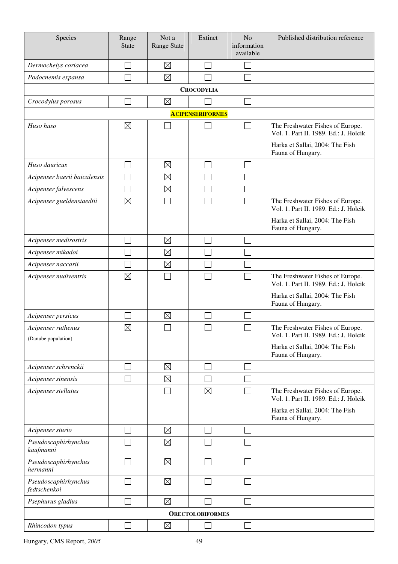| Species                                   | Range<br><b>State</b> | Not a<br><b>Range State</b> | Extinct                 | N <sub>o</sub><br>information<br>available | Published distribution reference                                          |
|-------------------------------------------|-----------------------|-----------------------------|-------------------------|--------------------------------------------|---------------------------------------------------------------------------|
| Dermochelys coriacea                      |                       | $\boxtimes$                 |                         |                                            |                                                                           |
| Podocnemis expansa                        |                       | $\boxtimes$                 |                         |                                            |                                                                           |
|                                           |                       |                             | <b>CROCODYLIA</b>       |                                            |                                                                           |
| Crocodylus porosus                        |                       | $\boxtimes$                 |                         |                                            |                                                                           |
|                                           |                       |                             | <b>ACIPENSERIFORMES</b> |                                            |                                                                           |
| Huso huso                                 | $\boxtimes$           |                             |                         |                                            | The Freshwater Fishes of Europe.<br>Vol. 1. Part II. 1989. Ed.: J. Holcik |
|                                           |                       |                             |                         |                                            | Harka et Sallai, 2004: The Fish<br>Fauna of Hungary.                      |
| Huso dauricus                             |                       | $\boxtimes$                 |                         |                                            |                                                                           |
| Acipenser baerii baicalensis              |                       | $\boxtimes$                 |                         |                                            |                                                                           |
| Acipenser fulvescens                      |                       | $\boxtimes$                 |                         |                                            |                                                                           |
| Acipenser gueldenstaedtii                 | $\boxtimes$           |                             |                         |                                            | The Freshwater Fishes of Europe.<br>Vol. 1. Part II. 1989. Ed.: J. Holcik |
|                                           |                       |                             |                         |                                            | Harka et Sallai, 2004: The Fish<br>Fauna of Hungary.                      |
| Acipenser medirostris                     |                       | $\boxtimes$                 |                         |                                            |                                                                           |
| Acipenser mikadoi                         |                       | $\boxtimes$                 |                         |                                            |                                                                           |
| Acipenser naccarii                        |                       | $\boxtimes$                 |                         |                                            |                                                                           |
| Acipenser nudiventris                     | $\boxtimes$           |                             |                         |                                            | The Freshwater Fishes of Europe.<br>Vol. 1. Part II. 1989. Ed.: J. Holcik |
|                                           |                       |                             |                         |                                            | Harka et Sallai, 2004: The Fish<br>Fauna of Hungary.                      |
| Acipenser persicus                        |                       | $\boxtimes$                 |                         |                                            |                                                                           |
| Acipenser ruthenus<br>(Danube population) | $\boxtimes$           |                             |                         |                                            | The Freshwater Fishes of Europe.<br>Vol. 1. Part II. 1989. Ed.: J. Holcik |
|                                           |                       |                             |                         |                                            | Harka et Sallai, 2004: The Fish<br>Fauna of Hungary.                      |
| Acipenser schrenckii                      |                       | $\boxtimes$                 |                         |                                            |                                                                           |
| Acipenser sinensis                        |                       | $\boxtimes$                 |                         |                                            |                                                                           |
| Acipenser stellatus                       |                       |                             | $\boxtimes$             |                                            | The Freshwater Fishes of Europe.<br>Vol. 1. Part II. 1989. Ed.: J. Holcik |
|                                           |                       |                             |                         |                                            | Harka et Sallai, 2004: The Fish<br>Fauna of Hungary.                      |
| Acipenser sturio                          |                       | $\boxtimes$                 |                         |                                            |                                                                           |
| Pseudoscaphirhynchus<br>kaufmanni         |                       | $\boxtimes$                 |                         |                                            |                                                                           |
| Pseudoscaphirhynchus<br>hermanni          |                       | $\boxtimes$                 |                         |                                            |                                                                           |
| Pseudoscaphirhynchus<br>fedtschenkoi      |                       | $\boxtimes$                 |                         |                                            |                                                                           |
| Psephurus gladius                         |                       | $\boxtimes$                 |                         |                                            |                                                                           |
| <b>ORECTOLOBIFORMES</b>                   |                       |                             |                         |                                            |                                                                           |
| Rhincodon typus                           |                       | $\boxtimes$                 |                         |                                            |                                                                           |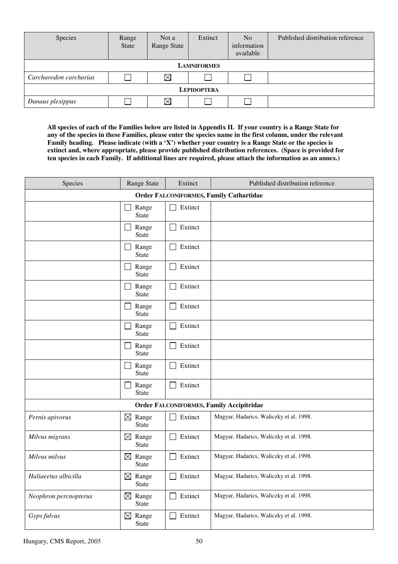| Species                | Range<br><b>State</b> | Not a<br>Range State | Extinct | N <sub>o</sub><br>information<br>available | Published distribution reference |  |  |
|------------------------|-----------------------|----------------------|---------|--------------------------------------------|----------------------------------|--|--|
| <b>LAMNIFORMES</b>     |                       |                      |         |                                            |                                  |  |  |
| Carcharodon carcharias |                       | $\boxtimes$          |         |                                            |                                  |  |  |
| <b>LEPIDOPTERA</b>     |                       |                      |         |                                            |                                  |  |  |
| Danaus plexippus       |                       | $\boxtimes$          |         |                                            |                                  |  |  |

**All species of each of the Families below are listed in Appendix II. If your country is a Range State for any of the species in these Families, please enter the species name in the first column, under the relevant Family heading. Please indicate (with a 'X') whether your country is a Range State or the species is extinct and, where appropriate, please provide published distribution references. (Space is provided for ten species in each Family. If additional lines are required, please attach the information as an annex.)** 

| Species                                         | Range State                          | Extinct | Published distribution reference        |  |  |  |  |
|-------------------------------------------------|--------------------------------------|---------|-----------------------------------------|--|--|--|--|
| <b>Order FALCONIFORMES, Family Cathartidae</b>  |                                      |         |                                         |  |  |  |  |
|                                                 | Range<br><b>State</b>                | Extinct |                                         |  |  |  |  |
|                                                 | Range<br><b>State</b>                | Extinct |                                         |  |  |  |  |
|                                                 | Range<br><b>State</b>                | Extinct |                                         |  |  |  |  |
|                                                 | Range<br><b>State</b>                | Extinct |                                         |  |  |  |  |
|                                                 | Range<br><b>State</b>                | Extinct |                                         |  |  |  |  |
|                                                 | Range<br><b>State</b>                | Extinct |                                         |  |  |  |  |
|                                                 | Range<br><b>State</b>                | Extinct |                                         |  |  |  |  |
|                                                 | Range<br><b>State</b>                | Extinct |                                         |  |  |  |  |
|                                                 | Range<br><b>State</b>                | Extinct |                                         |  |  |  |  |
|                                                 | Range<br><b>State</b>                | Extinct |                                         |  |  |  |  |
| <b>Order FALCONIFORMES, Family Accipitridae</b> |                                      |         |                                         |  |  |  |  |
| Pernis apivorus                                 | $\boxtimes$ Range<br><b>State</b>    | Extinct | Magyar, Hadarics, Waliczky et al. 1998. |  |  |  |  |
| Milvus migrans                                  | $\boxtimes$<br>Range<br><b>State</b> | Extinct | Magyar, Hadarics, Waliczky et al. 1998. |  |  |  |  |
| Milvus milvus                                   | $\boxtimes$<br>Range<br><b>State</b> | Extinct | Magyar, Hadarics, Waliczky et al. 1998. |  |  |  |  |
| Haliaeetus albicilla                            | $\boxtimes$ Range<br><b>State</b>    | Extinct | Magyar, Hadarics, Waliczky et al. 1998. |  |  |  |  |
| Neophron percnopterus                           | Range<br>$\boxtimes$<br>State        | Extinct | Magyar, Hadarics, Waliczky et al. 1998. |  |  |  |  |
| Gyps fulvus                                     | $\boxtimes$ Range<br>State           | Extinct | Magyar, Hadarics, Waliczky et al. 1998. |  |  |  |  |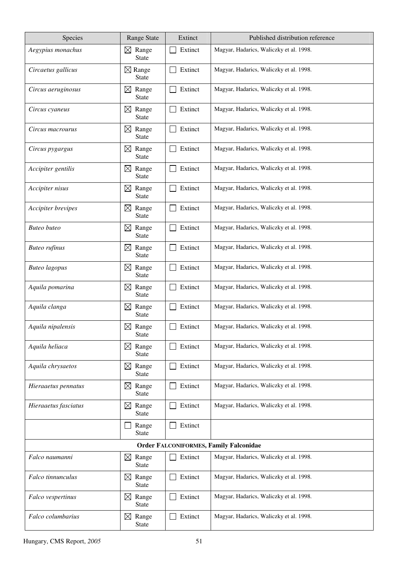| Species                                       | <b>Range State</b>                   | Extinct | Published distribution reference        |  |  |
|-----------------------------------------------|--------------------------------------|---------|-----------------------------------------|--|--|
| Aegypius monachus                             | Range<br>$\boxtimes$<br><b>State</b> | Extinct | Magyar, Hadarics, Waliczky et al. 1998. |  |  |
| Circaetus gallicus                            | $\boxtimes$ Range<br><b>State</b>    | Extinct | Magyar, Hadarics, Waliczky et al. 1998. |  |  |
| Circus aeruginosus                            | $\boxtimes$<br>Range<br><b>State</b> | Extinct | Magyar, Hadarics, Waliczky et al. 1998. |  |  |
| Circus cyaneus                                | $\boxtimes$<br>Range<br><b>State</b> | Extinct | Magyar, Hadarics, Waliczky et al. 1998. |  |  |
| Circus macrourus                              | $\boxtimes$<br>Range<br><b>State</b> | Extinct | Magyar, Hadarics, Waliczky et al. 1998. |  |  |
| Circus pygargus                               | $\boxtimes$<br>Range<br><b>State</b> | Extinct | Magyar, Hadarics, Waliczky et al. 1998. |  |  |
| Accipiter gentilis                            | $\boxtimes$<br>Range<br><b>State</b> | Extinct | Magyar, Hadarics, Waliczky et al. 1998. |  |  |
| Accipiter nisus                               | $\boxtimes$<br>Range<br><b>State</b> | Extinct | Magyar, Hadarics, Waliczky et al. 1998. |  |  |
| Accipiter brevipes                            | $\boxtimes$ Range<br><b>State</b>    | Extinct | Magyar, Hadarics, Waliczky et al. 1998. |  |  |
| <b>Buteo</b> buteo                            | $\boxtimes$ Range<br><b>State</b>    | Extinct | Magyar, Hadarics, Waliczky et al. 1998. |  |  |
| <b>Buteo</b> rufinus                          | $\boxtimes$ Range<br><b>State</b>    | Extinct | Magyar, Hadarics, Waliczky et al. 1998. |  |  |
| <b>Buteo</b> lagopus                          | Range<br>$\boxtimes$<br><b>State</b> | Extinct | Magyar, Hadarics, Waliczky et al. 1998. |  |  |
| Aquila pomarina                               | $\boxtimes$<br>Range<br><b>State</b> | Extinct | Magyar, Hadarics, Waliczky et al. 1998. |  |  |
| Aquila clanga                                 | $\boxtimes$<br>Range<br><b>State</b> | Extinct | Magyar, Hadarics, Waliczky et al. 1998. |  |  |
| Aquila nipalensis                             | Range<br>$\boxtimes$<br><b>State</b> | Extinct | Magyar, Hadarics, Waliczky et al. 1998. |  |  |
| Aquila heliaca                                | $\boxtimes$<br>Range<br><b>State</b> | Extinct | Magyar, Hadarics, Waliczky et al. 1998. |  |  |
| Aquila chrysaetos                             | $\boxtimes$<br>Range<br><b>State</b> | Extinct | Magyar, Hadarics, Waliczky et al. 1998. |  |  |
| Hieraaetus pennatus                           | Range<br>$\boxtimes$<br><b>State</b> | Extinct | Magyar, Hadarics, Waliczky et al. 1998. |  |  |
| Hieraaetus fasciatus                          | Range<br>$\boxtimes$<br>State        | Extinct | Magyar, Hadarics, Waliczky et al. 1998. |  |  |
|                                               | Range<br><b>State</b>                | Extinct |                                         |  |  |
| <b>Order FALCONIFORMES, Family Falconidae</b> |                                      |         |                                         |  |  |
| Falco naumanni                                | $\boxtimes$ Range<br><b>State</b>    | Extinct | Magyar, Hadarics, Waliczky et al. 1998. |  |  |
| Falco tinnunculus                             | $\boxtimes$ Range<br><b>State</b>    | Extinct | Magyar, Hadarics, Waliczky et al. 1998. |  |  |
| Falco vespertinus                             | $\boxtimes$<br>Range<br><b>State</b> | Extinct | Magyar, Hadarics, Waliczky et al. 1998. |  |  |
| Falco columbarius                             | Range<br>$\boxtimes$<br><b>State</b> | Extinct | Magyar, Hadarics, Waliczky et al. 1998. |  |  |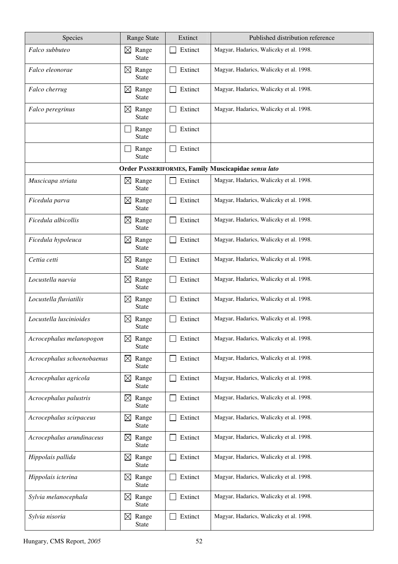| Species                    | <b>Range State</b>                   | Extinct | Published distribution reference                    |
|----------------------------|--------------------------------------|---------|-----------------------------------------------------|
| Falco subbuteo             | Range<br>$\boxtimes$<br><b>State</b> | Extinct | Magyar, Hadarics, Waliczky et al. 1998.             |
| Falco eleonorae            | Range<br>$\bowtie$<br><b>State</b>   | Extinct | Magyar, Hadarics, Waliczky et al. 1998.             |
| Falco cherrug              | Range<br>$\boxtimes$<br><b>State</b> | Extinct | Magyar, Hadarics, Waliczky et al. 1998.             |
| Falco peregrinus           | Range<br>$\boxtimes$<br><b>State</b> | Extinct | Magyar, Hadarics, Waliczky et al. 1998.             |
|                            | Range<br><b>State</b>                | Extinct |                                                     |
|                            | Range<br><b>State</b>                | Extinct |                                                     |
|                            |                                      |         | Order PASSERIFORMES, Family Muscicapidae sensu lato |
| Muscicapa striata          | $\boxtimes$ Range<br><b>State</b>    | Extinct | Magyar, Hadarics, Waliczky et al. 1998.             |
| Ficedula parva             | $\boxtimes$<br>Range<br>State        | Extinct | Magyar, Hadarics, Waliczky et al. 1998.             |
| Ficedula albicollis        | $\boxtimes$<br>Range<br><b>State</b> | Extinct | Magyar, Hadarics, Waliczky et al. 1998.             |
| Ficedula hypoleuca         | $\boxtimes$<br>Range<br><b>State</b> | Extinct | Magyar, Hadarics, Waliczky et al. 1998.             |
| Cettia cetti               | $\boxtimes$<br>Range<br><b>State</b> | Extinct | Magyar, Hadarics, Waliczky et al. 1998.             |
| Locustella naevia          | $\boxtimes$ Range<br><b>State</b>    | Extinct | Magyar, Hadarics, Waliczky et al. 1998.             |
| Locustella fluviatilis     | Range<br>$\boxtimes$<br>State        | Extinct | Magyar, Hadarics, Waliczky et al. 1998.             |
| Locustella luscinioides    | Range<br>$\boxtimes$<br><b>State</b> | Extinct | Magyar, Hadarics, Waliczky et al. 1998.             |
| Acrocephalus melanopogon   | Range<br>$\boxtimes$<br>State        | Extinct | Magyar, Hadarics, Waliczky et al. 1998.             |
| Acrocephalus schoenobaenus | $\boxtimes$<br>Range<br><b>State</b> | Extinct | Magyar, Hadarics, Waliczky et al. 1998.             |
| Acrocephalus agricola      | $\bowtie$<br>Range<br>State          | Extinct | Magyar, Hadarics, Waliczky et al. 1998.             |
| Acrocephalus palustris     | $\boxtimes$<br>Range<br><b>State</b> | Extinct | Magyar, Hadarics, Waliczky et al. 1998.             |
| Acrocephalus scirpaceus    | Range<br>$\boxtimes$<br>State        | Extinct | Magyar, Hadarics, Waliczky et al. 1998.             |
| Acrocephalus arundinaceus  | $\boxtimes$<br>Range<br>State        | Extinct | Magyar, Hadarics, Waliczky et al. 1998.             |
| Hippolais pallida          | Range<br>$\boxtimes$<br>State        | Extinct | Magyar, Hadarics, Waliczky et al. 1998.             |
| Hippolais icterina         | $\boxtimes$<br>Range<br>State        | Extinct | Magyar, Hadarics, Waliczky et al. 1998.             |
| Sylvia melanocephala       | $\bowtie$<br>Range<br><b>State</b>   | Extinct | Magyar, Hadarics, Waliczky et al. 1998.             |
| Sylvia nisoria             | Range<br>$\boxtimes$<br><b>State</b> | Extinct | Magyar, Hadarics, Waliczky et al. 1998.             |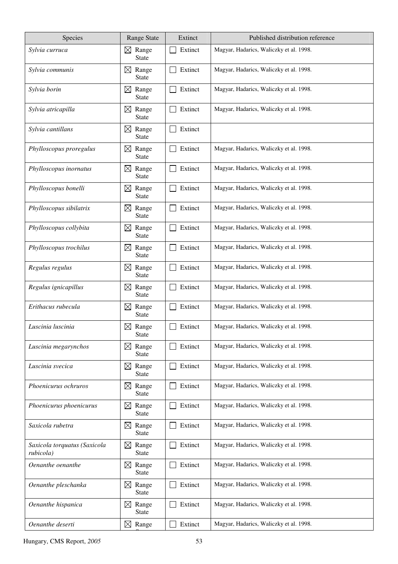| Species                                   | <b>Range State</b>                   | Extinct | Published distribution reference        |
|-------------------------------------------|--------------------------------------|---------|-----------------------------------------|
| Sylvia curruca                            | Range<br>$\boxtimes$<br><b>State</b> | Extinct | Magyar, Hadarics, Waliczky et al. 1998. |
| Sylvia communis                           | Range<br>$\boxtimes$<br><b>State</b> | Extinct | Magyar, Hadarics, Waliczky et al. 1998. |
| Sylvia borin                              | Range<br>$\boxtimes$<br><b>State</b> | Extinct | Magyar, Hadarics, Waliczky et al. 1998. |
| Sylvia atricapilla                        | $\boxtimes$<br>Range<br><b>State</b> | Extinct | Magyar, Hadarics, Waliczky et al. 1998. |
| Sylvia cantillans                         | $\boxtimes$<br>Range<br><b>State</b> | Extinct |                                         |
| Phylloscopus proregulus                   | $\boxtimes$<br>Range<br><b>State</b> | Extinct | Magyar, Hadarics, Waliczky et al. 1998. |
| Phylloscopus inornatus                    | $\boxtimes$<br>Range<br><b>State</b> | Extinct | Magyar, Hadarics, Waliczky et al. 1998. |
| Phylloscopus bonelli                      | $\boxtimes$<br>Range<br><b>State</b> | Extinct | Magyar, Hadarics, Waliczky et al. 1998. |
| Phylloscopus sibilatrix                   | Range<br>$\boxtimes$<br><b>State</b> | Extinct | Magyar, Hadarics, Waliczky et al. 1998. |
| Phylloscopus collybita                    | $\bowtie$<br>Range<br><b>State</b>   | Extinct | Magyar, Hadarics, Waliczky et al. 1998. |
| Phylloscopus trochilus                    | $\boxtimes$<br>Range<br><b>State</b> | Extinct | Magyar, Hadarics, Waliczky et al. 1998. |
| Regulus regulus                           | $\boxtimes$<br>Range<br><b>State</b> | Extinct | Magyar, Hadarics, Waliczky et al. 1998. |
| Regulus ignicapillus                      | $\boxtimes$<br>Range<br><b>State</b> | Extinct | Magyar, Hadarics, Waliczky et al. 1998. |
| Erithacus rubecula                        | $\boxtimes$<br>Range<br><b>State</b> | Extinct | Magyar, Hadarics, Waliczky et al. 1998. |
| Luscinia luscinia                         | Range<br>$\boxtimes$<br><b>State</b> | Extinct | Magyar, Hadarics, Waliczky et al. 1998. |
| Luscinia megarynchos                      | Range<br>$\boxtimes$<br>State        | Extinct | Magyar, Hadarics, Waliczky et al. 1998. |
| Luscinia svecica                          | $\boxtimes$<br>Range<br><b>State</b> | Extinct | Magyar, Hadarics, Waliczky et al. 1998. |
| Phoenicurus ochruros                      | Range<br>$\boxtimes$<br>State        | Extinct | Magyar, Hadarics, Waliczky et al. 1998. |
| Phoenicurus phoenicurus                   | $\boxtimes$<br>Range<br>State        | Extinct | Magyar, Hadarics, Waliczky et al. 1998. |
| Saxicola rubetra                          | $\boxtimes$<br>Range<br>State        | Extinct | Magyar, Hadarics, Waliczky et al. 1998. |
| Saxicola torquatus (Saxicola<br>rubicola) | Range<br>$\boxtimes$<br>State        | Extinct | Magyar, Hadarics, Waliczky et al. 1998. |
| Oenanthe oenanthe                         | $\boxtimes$ Range<br><b>State</b>    | Extinct | Magyar, Hadarics, Waliczky et al. 1998. |
| Oenanthe pleschanka                       | Range<br>$\boxtimes$<br><b>State</b> | Extinct | Magyar, Hadarics, Waliczky et al. 1998. |
| Oenanthe hispanica                        | Range<br>$\boxtimes$<br><b>State</b> | Extinct | Magyar, Hadarics, Waliczky et al. 1998. |
| Oenanthe deserti                          | $\boxtimes$<br>Range                 | Extinct | Magyar, Hadarics, Waliczky et al. 1998. |